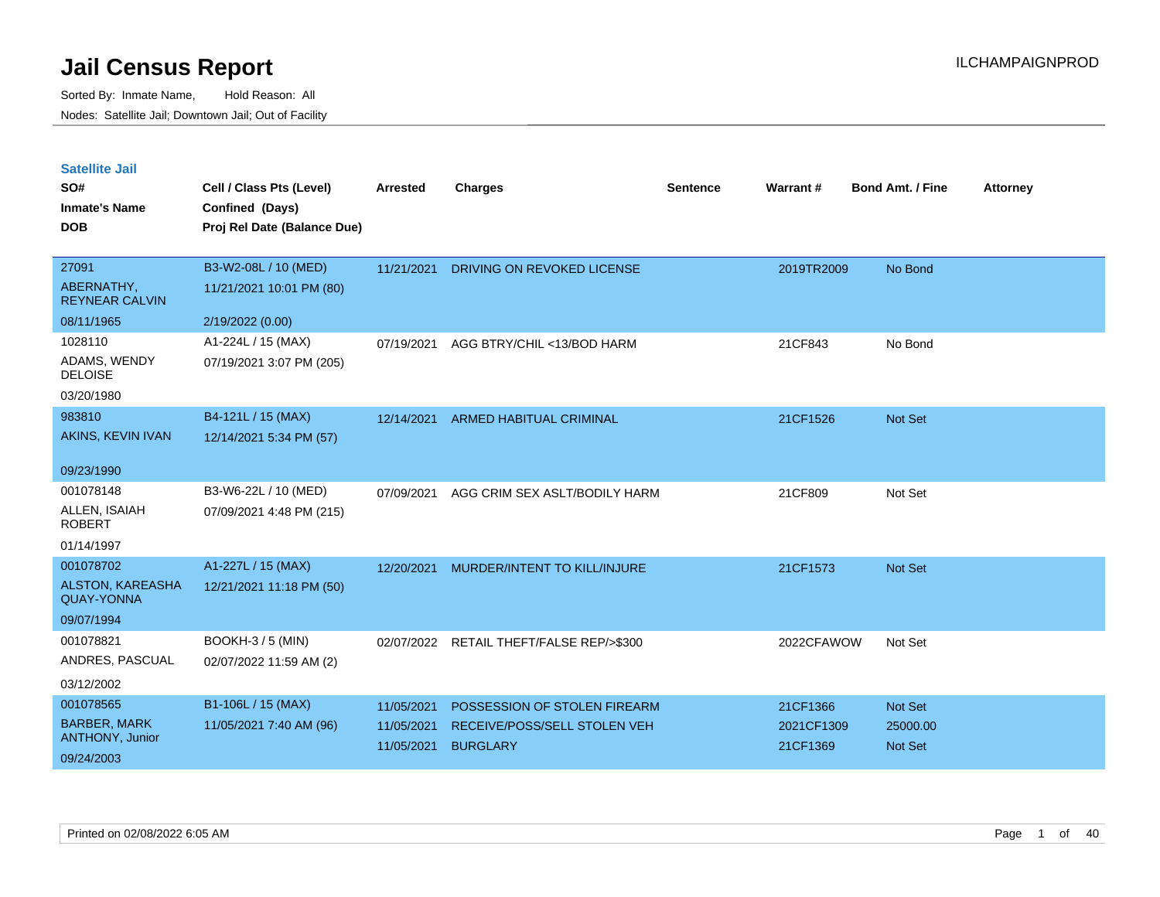| <b>Satellite Jail</b> |  |
|-----------------------|--|
|                       |  |

| SO#<br><b>Inmate's Name</b>                  | Cell / Class Pts (Level)<br>Confined (Days) | Arrested   | <b>Charges</b>                 | <b>Sentence</b> | Warrant#   | <b>Bond Amt. / Fine</b> | <b>Attorney</b> |
|----------------------------------------------|---------------------------------------------|------------|--------------------------------|-----------------|------------|-------------------------|-----------------|
| <b>DOB</b>                                   | Proj Rel Date (Balance Due)                 |            |                                |                 |            |                         |                 |
| 27091                                        | B3-W2-08L / 10 (MED)                        | 11/21/2021 | DRIVING ON REVOKED LICENSE     |                 | 2019TR2009 | No Bond                 |                 |
| ABERNATHY,<br><b>REYNEAR CALVIN</b>          | 11/21/2021 10:01 PM (80)                    |            |                                |                 |            |                         |                 |
| 08/11/1965                                   | 2/19/2022 (0.00)                            |            |                                |                 |            |                         |                 |
| 1028110                                      | A1-224L / 15 (MAX)                          | 07/19/2021 | AGG BTRY/CHIL <13/BOD HARM     |                 | 21CF843    | No Bond                 |                 |
| ADAMS, WENDY<br><b>DELOISE</b>               | 07/19/2021 3:07 PM (205)                    |            |                                |                 |            |                         |                 |
| 03/20/1980                                   |                                             |            |                                |                 |            |                         |                 |
| 983810                                       | B4-121L / 15 (MAX)                          | 12/14/2021 | <b>ARMED HABITUAL CRIMINAL</b> |                 | 21CF1526   | Not Set                 |                 |
| AKINS, KEVIN IVAN                            | 12/14/2021 5:34 PM (57)                     |            |                                |                 |            |                         |                 |
| 09/23/1990                                   |                                             |            |                                |                 |            |                         |                 |
| 001078148                                    | B3-W6-22L / 10 (MED)                        | 07/09/2021 | AGG CRIM SEX ASLT/BODILY HARM  |                 | 21CF809    | Not Set                 |                 |
| ALLEN, ISAIAH<br><b>ROBERT</b>               | 07/09/2021 4:48 PM (215)                    |            |                                |                 |            |                         |                 |
| 01/14/1997                                   |                                             |            |                                |                 |            |                         |                 |
| 001078702                                    | A1-227L / 15 (MAX)                          | 12/20/2021 | MURDER/INTENT TO KILL/INJURE   |                 | 21CF1573   | Not Set                 |                 |
| <b>ALSTON, KAREASHA</b><br><b>QUAY-YONNA</b> | 12/21/2021 11:18 PM (50)                    |            |                                |                 |            |                         |                 |
| 09/07/1994                                   |                                             |            |                                |                 |            |                         |                 |
| 001078821                                    | BOOKH-3 / 5 (MIN)                           | 02/07/2022 | RETAIL THEFT/FALSE REP/>\$300  |                 | 2022CFAWOW | Not Set                 |                 |
| ANDRES, PASCUAL                              | 02/07/2022 11:59 AM (2)                     |            |                                |                 |            |                         |                 |
| 03/12/2002                                   |                                             |            |                                |                 |            |                         |                 |
| 001078565                                    | B1-106L / 15 (MAX)                          | 11/05/2021 | POSSESSION OF STOLEN FIREARM   |                 | 21CF1366   | <b>Not Set</b>          |                 |
| <b>BARBER, MARK</b>                          | 11/05/2021 7:40 AM (96)                     | 11/05/2021 | RECEIVE/POSS/SELL STOLEN VEH   |                 | 2021CF1309 | 25000.00                |                 |
| <b>ANTHONY, Junior</b>                       |                                             | 11/05/2021 | <b>BURGLARY</b>                |                 | 21CF1369   | <b>Not Set</b>          |                 |
| 09/24/2003                                   |                                             |            |                                |                 |            |                         |                 |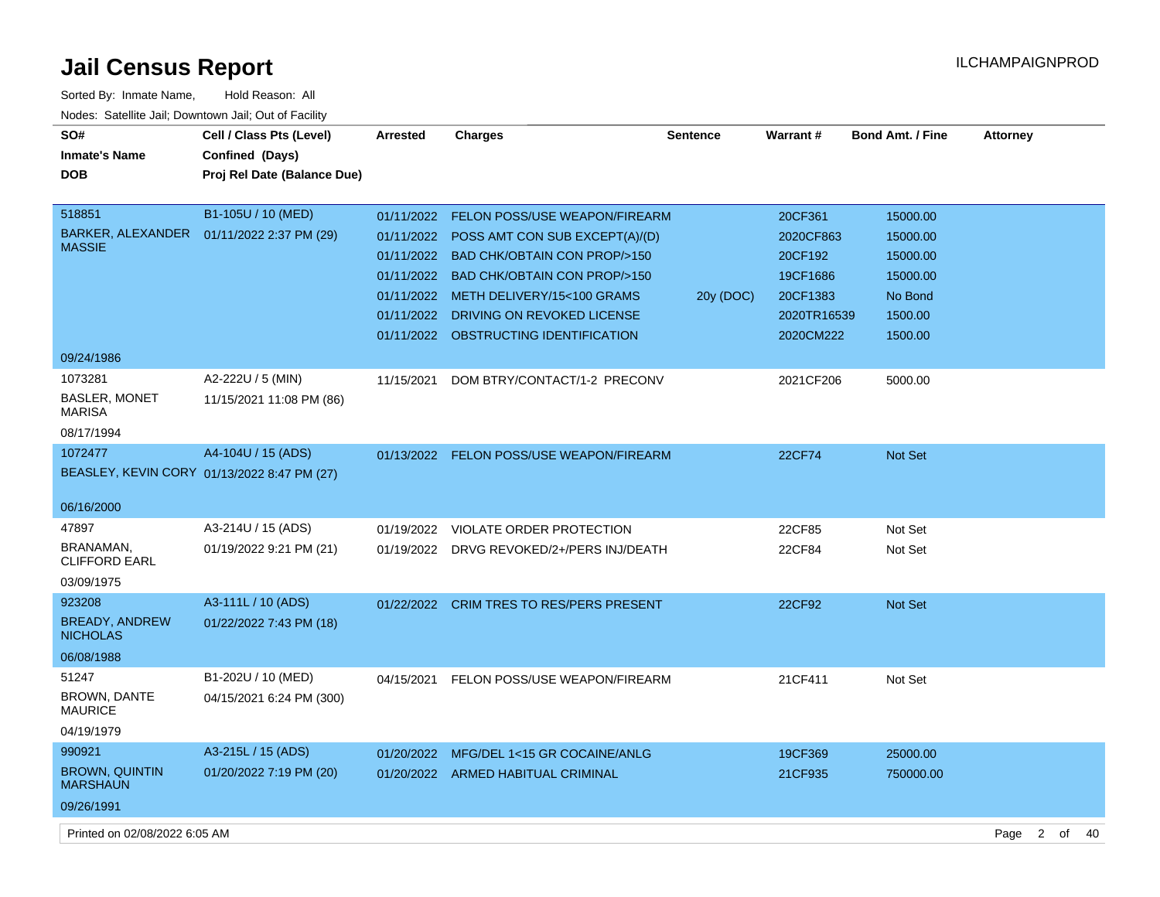| Sorted By: Inmate Name,                               | Hold Reason: All                            |                 |                                           |                 |               |                         |                 |                      |    |
|-------------------------------------------------------|---------------------------------------------|-----------------|-------------------------------------------|-----------------|---------------|-------------------------|-----------------|----------------------|----|
| Nodes: Satellite Jail; Downtown Jail; Out of Facility |                                             |                 |                                           |                 |               |                         |                 |                      |    |
| SO#                                                   | Cell / Class Pts (Level)                    | <b>Arrested</b> | <b>Charges</b>                            | <b>Sentence</b> | Warrant#      | <b>Bond Amt. / Fine</b> | <b>Attorney</b> |                      |    |
| <b>Inmate's Name</b>                                  | Confined (Days)                             |                 |                                           |                 |               |                         |                 |                      |    |
| <b>DOB</b>                                            | Proj Rel Date (Balance Due)                 |                 |                                           |                 |               |                         |                 |                      |    |
|                                                       |                                             |                 |                                           |                 |               |                         |                 |                      |    |
| 518851                                                | B1-105U / 10 (MED)                          | 01/11/2022      | <b>FELON POSS/USE WEAPON/FIREARM</b>      |                 | 20CF361       | 15000.00                |                 |                      |    |
| BARKER, ALEXANDER                                     | 01/11/2022 2:37 PM (29)                     | 01/11/2022      | POSS AMT CON SUB EXCEPT(A)/(D)            |                 | 2020CF863     | 15000.00                |                 |                      |    |
| <b>MASSIE</b>                                         |                                             |                 | 01/11/2022 BAD CHK/OBTAIN CON PROP/>150   |                 | 20CF192       | 15000.00                |                 |                      |    |
|                                                       |                                             |                 | 01/11/2022 BAD CHK/OBTAIN CON PROP/>150   |                 | 19CF1686      | 15000.00                |                 |                      |    |
|                                                       |                                             |                 | 01/11/2022 METH DELIVERY/15<100 GRAMS     | 20y (DOC)       | 20CF1383      | No Bond                 |                 |                      |    |
|                                                       |                                             | 01/11/2022      | DRIVING ON REVOKED LICENSE                |                 | 2020TR16539   | 1500.00                 |                 |                      |    |
|                                                       |                                             |                 | 01/11/2022 OBSTRUCTING IDENTIFICATION     |                 | 2020CM222     | 1500.00                 |                 |                      |    |
| 09/24/1986                                            |                                             |                 |                                           |                 |               |                         |                 |                      |    |
| 1073281                                               | A2-222U / 5 (MIN)                           | 11/15/2021      | DOM BTRY/CONTACT/1-2 PRECONV              |                 | 2021CF206     | 5000.00                 |                 |                      |    |
| BASLER, MONET<br><b>MARISA</b>                        | 11/15/2021 11:08 PM (86)                    |                 |                                           |                 |               |                         |                 |                      |    |
| 08/17/1994                                            |                                             |                 |                                           |                 |               |                         |                 |                      |    |
| 1072477                                               | A4-104U / 15 (ADS)                          | 01/13/2022      | FELON POSS/USE WEAPON/FIREARM             |                 | <b>22CF74</b> | <b>Not Set</b>          |                 |                      |    |
|                                                       | BEASLEY, KEVIN CORY 01/13/2022 8:47 PM (27) |                 |                                           |                 |               |                         |                 |                      |    |
|                                                       |                                             |                 |                                           |                 |               |                         |                 |                      |    |
| 06/16/2000                                            |                                             |                 |                                           |                 |               |                         |                 |                      |    |
| 47897                                                 | A3-214U / 15 (ADS)                          | 01/19/2022      | VIOLATE ORDER PROTECTION                  |                 | 22CF85        | Not Set                 |                 |                      |    |
| BRANAMAN,<br><b>CLIFFORD EARL</b>                     | 01/19/2022 9:21 PM (21)                     |                 | 01/19/2022 DRVG REVOKED/2+/PERS INJ/DEATH |                 | 22CF84        | Not Set                 |                 |                      |    |
| 03/09/1975                                            |                                             |                 |                                           |                 |               |                         |                 |                      |    |
| 923208                                                | A3-111L / 10 (ADS)                          | 01/22/2022      | <b>CRIM TRES TO RES/PERS PRESENT</b>      |                 | 22CF92        | <b>Not Set</b>          |                 |                      |    |
| <b>BREADY, ANDREW</b><br><b>NICHOLAS</b>              | 01/22/2022 7:43 PM (18)                     |                 |                                           |                 |               |                         |                 |                      |    |
| 06/08/1988                                            |                                             |                 |                                           |                 |               |                         |                 |                      |    |
| 51247                                                 | B1-202U / 10 (MED)                          | 04/15/2021      | FELON POSS/USE WEAPON/FIREARM             |                 | 21CF411       | Not Set                 |                 |                      |    |
| <b>BROWN, DANTE</b><br><b>MAURICE</b>                 | 04/15/2021 6:24 PM (300)                    |                 |                                           |                 |               |                         |                 |                      |    |
| 04/19/1979                                            |                                             |                 |                                           |                 |               |                         |                 |                      |    |
| 990921                                                | A3-215L / 15 (ADS)                          |                 | 01/20/2022 MFG/DEL 1<15 GR COCAINE/ANLG   |                 | 19CF369       | 25000.00                |                 |                      |    |
| <b>BROWN, QUINTIN</b><br><b>MARSHAUN</b>              | 01/20/2022 7:19 PM (20)                     |                 | 01/20/2022 ARMED HABITUAL CRIMINAL        |                 | 21CF935       | 750000.00               |                 |                      |    |
| 09/26/1991                                            |                                             |                 |                                           |                 |               |                         |                 |                      |    |
| Printed on 02/08/2022 6:05 AM                         |                                             |                 |                                           |                 |               |                         | Page            | $\overline{2}$<br>of | 40 |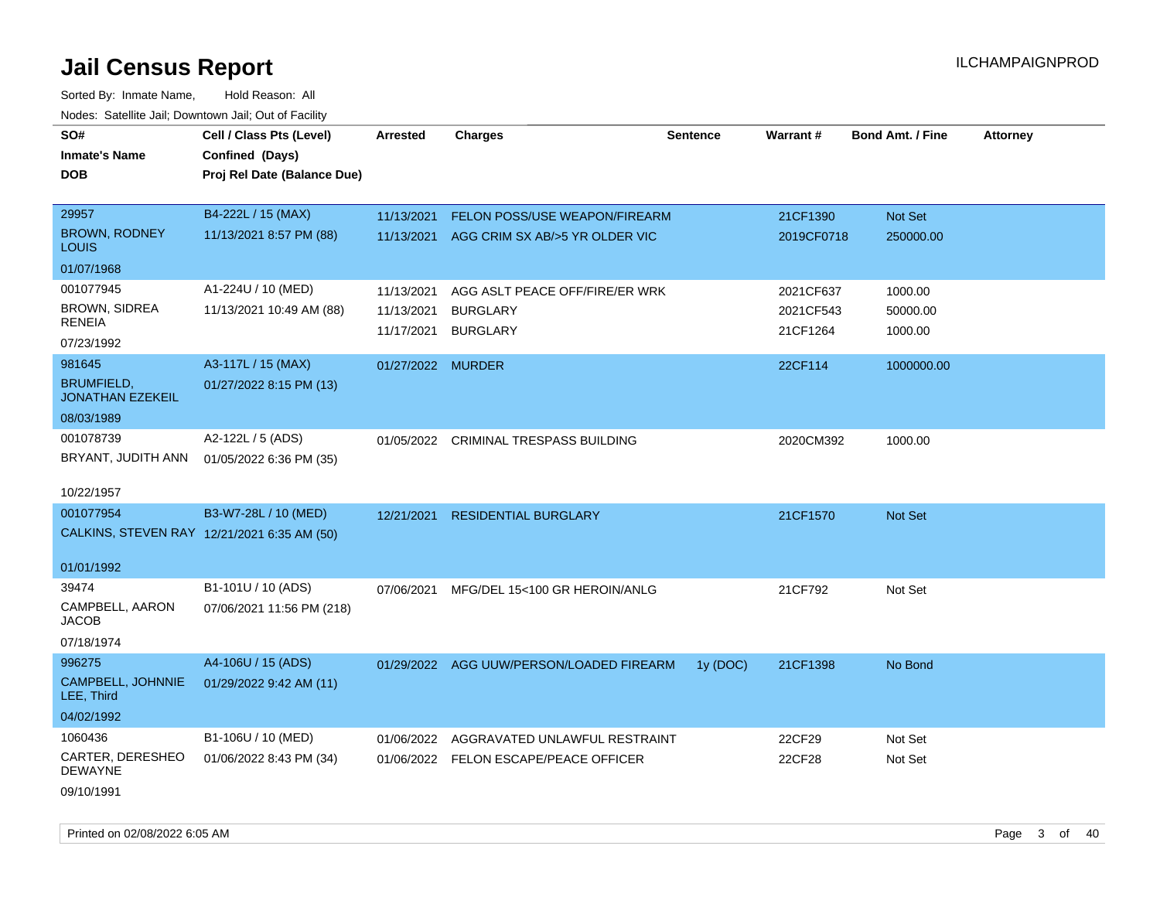Sorted By: Inmate Name, Hold Reason: All Nodes: Satellite Jail; Downtown Jail; Out of Facility

| SO#<br><b>Inmate's Name</b><br><b>DOB</b>    | Cell / Class Pts (Level)<br>Confined (Days)<br>Proj Rel Date (Balance Due) | <b>Arrested</b>   | <b>Charges</b>                           | <b>Sentence</b> | Warrant#   | <b>Bond Amt. / Fine</b> | <b>Attorney</b> |
|----------------------------------------------|----------------------------------------------------------------------------|-------------------|------------------------------------------|-----------------|------------|-------------------------|-----------------|
| 29957                                        | B4-222L / 15 (MAX)                                                         | 11/13/2021        | <b>FELON POSS/USE WEAPON/FIREARM</b>     |                 | 21CF1390   | Not Set                 |                 |
| <b>BROWN, RODNEY</b><br><b>LOUIS</b>         | 11/13/2021 8:57 PM (88)                                                    | 11/13/2021        | AGG CRIM SX AB/>5 YR OLDER VIC           |                 | 2019CF0718 | 250000.00               |                 |
| 01/07/1968                                   |                                                                            |                   |                                          |                 |            |                         |                 |
| 001077945                                    | A1-224U / 10 (MED)                                                         | 11/13/2021        | AGG ASLT PEACE OFF/FIRE/ER WRK           |                 | 2021CF637  | 1000.00                 |                 |
| BROWN, SIDREA<br><b>RENEIA</b>               | 11/13/2021 10:49 AM (88)                                                   | 11/13/2021        | <b>BURGLARY</b>                          |                 | 2021CF543  | 50000.00                |                 |
| 07/23/1992                                   |                                                                            | 11/17/2021        | <b>BURGLARY</b>                          |                 | 21CF1264   | 1000.00                 |                 |
| 981645                                       | A3-117L / 15 (MAX)                                                         | 01/27/2022 MURDER |                                          |                 | 22CF114    | 1000000.00              |                 |
| <b>BRUMFIELD,</b><br><b>JONATHAN EZEKEIL</b> | 01/27/2022 8:15 PM (13)                                                    |                   |                                          |                 |            |                         |                 |
| 08/03/1989                                   |                                                                            |                   |                                          |                 |            |                         |                 |
| 001078739<br>BRYANT, JUDITH ANN              | A2-122L / 5 (ADS)<br>01/05/2022 6:36 PM (35)                               |                   | 01/05/2022 CRIMINAL TRESPASS BUILDING    |                 | 2020CM392  | 1000.00                 |                 |
| 10/22/1957                                   |                                                                            |                   |                                          |                 |            |                         |                 |
| 001077954                                    | B3-W7-28L / 10 (MED)                                                       |                   |                                          |                 |            |                         |                 |
|                                              | CALKINS, STEVEN RAY 12/21/2021 6:35 AM (50)                                | 12/21/2021        | <b>RESIDENTIAL BURGLARY</b>              |                 | 21CF1570   | <b>Not Set</b>          |                 |
| 01/01/1992                                   |                                                                            |                   |                                          |                 |            |                         |                 |
| 39474                                        | B1-101U / 10 (ADS)                                                         | 07/06/2021        | MFG/DEL 15<100 GR HEROIN/ANLG            |                 | 21CF792    | Not Set                 |                 |
| CAMPBELL, AARON<br><b>JACOB</b>              | 07/06/2021 11:56 PM (218)                                                  |                   |                                          |                 |            |                         |                 |
| 07/18/1974                                   |                                                                            |                   |                                          |                 |            |                         |                 |
| 996275                                       | A4-106U / 15 (ADS)                                                         |                   | 01/29/2022 AGG UUW/PERSON/LOADED FIREARM | 1y (DOC)        | 21CF1398   | No Bond                 |                 |
| CAMPBELL, JOHNNIE<br>LEE, Third              | 01/29/2022 9:42 AM (11)                                                    |                   |                                          |                 |            |                         |                 |
| 04/02/1992                                   |                                                                            |                   |                                          |                 |            |                         |                 |
| 1060436                                      | B1-106U / 10 (MED)                                                         | 01/06/2022        | AGGRAVATED UNLAWFUL RESTRAINT            |                 | 22CF29     | Not Set                 |                 |
| CARTER, DERESHEO<br><b>DEWAYNE</b>           | 01/06/2022 8:43 PM (34)                                                    |                   | 01/06/2022 FELON ESCAPE/PEACE OFFICER    |                 | 22CF28     | Not Set                 |                 |
| 09/10/1991                                   |                                                                            |                   |                                          |                 |            |                         |                 |

Printed on 02/08/2022 6:05 AM Page 3 of 40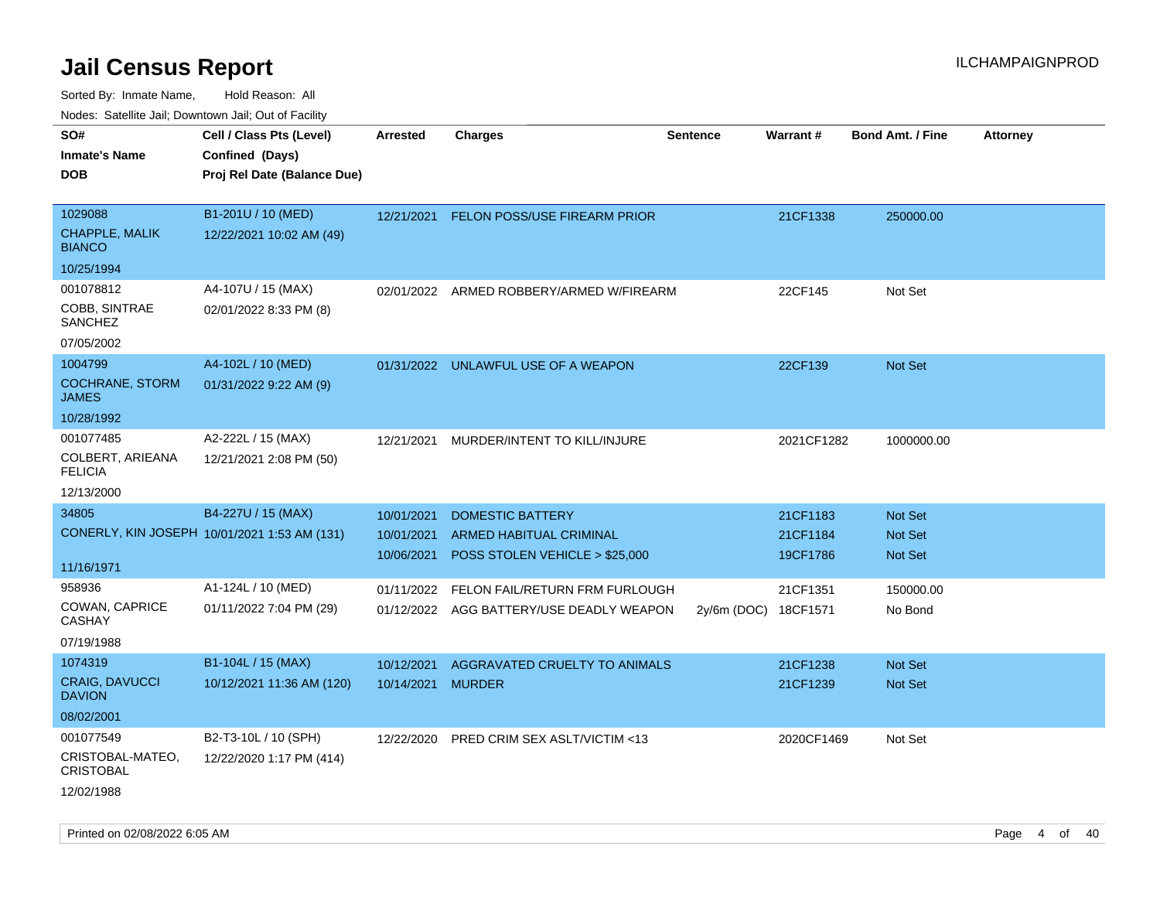| 10000. Catolino can, Domntonn can, Oat or I domt         |                                                                            |                                        |                                                                                             |                      |                                  |                                                    |                 |
|----------------------------------------------------------|----------------------------------------------------------------------------|----------------------------------------|---------------------------------------------------------------------------------------------|----------------------|----------------------------------|----------------------------------------------------|-----------------|
| SO#<br>Inmate's Name<br>DOB                              | Cell / Class Pts (Level)<br>Confined (Days)<br>Proj Rel Date (Balance Due) | <b>Arrested</b>                        | <b>Charges</b>                                                                              | <b>Sentence</b>      | Warrant#                         | <b>Bond Amt. / Fine</b>                            | <b>Attorney</b> |
| 1029088<br>CHAPPLE, MALIK<br><b>BIANCO</b>               | B1-201U / 10 (MED)<br>12/22/2021 10:02 AM (49)                             |                                        | 12/21/2021 FELON POSS/USE FIREARM PRIOR                                                     |                      | 21CF1338                         | 250000.00                                          |                 |
| 10/25/1994                                               |                                                                            |                                        |                                                                                             |                      |                                  |                                                    |                 |
| 001078812<br>COBB, SINTRAE<br>SANCHEZ<br>07/05/2002      | A4-107U / 15 (MAX)<br>02/01/2022 8:33 PM (8)                               | 02/01/2022                             | ARMED ROBBERY/ARMED W/FIREARM                                                               |                      | 22CF145                          | Not Set                                            |                 |
| 1004799                                                  | A4-102L / 10 (MED)                                                         |                                        |                                                                                             |                      | 22CF139                          | <b>Not Set</b>                                     |                 |
| <b>COCHRANE, STORM</b><br>JAMES                          | 01/31/2022 9:22 AM (9)                                                     |                                        | 01/31/2022 UNLAWFUL USE OF A WEAPON                                                         |                      |                                  |                                                    |                 |
| 10/28/1992                                               |                                                                            |                                        |                                                                                             |                      |                                  |                                                    |                 |
| 001077485<br>COLBERT, ARIEANA<br>FELICIA                 | A2-222L / 15 (MAX)<br>12/21/2021 2:08 PM (50)                              | 12/21/2021                             | MURDER/INTENT TO KILL/INJURE                                                                |                      | 2021CF1282                       | 1000000.00                                         |                 |
| 12/13/2000                                               |                                                                            |                                        |                                                                                             |                      |                                  |                                                    |                 |
| 34805<br>11/16/1971                                      | B4-227U / 15 (MAX)<br>CONERLY, KIN JOSEPH 10/01/2021 1:53 AM (131)         | 10/01/2021<br>10/01/2021<br>10/06/2021 | <b>DOMESTIC BATTERY</b><br><b>ARMED HABITUAL CRIMINAL</b><br>POSS STOLEN VEHICLE > \$25,000 |                      | 21CF1183<br>21CF1184<br>19CF1786 | <b>Not Set</b><br><b>Not Set</b><br><b>Not Set</b> |                 |
| 958936                                                   | A1-124L / 10 (MED)                                                         | 01/11/2022                             | FELON FAIL/RETURN FRM FURLOUGH                                                              |                      | 21CF1351                         | 150000.00                                          |                 |
| COWAN, CAPRICE<br>CASHAY                                 | 01/11/2022 7:04 PM (29)                                                    |                                        | 01/12/2022 AGG BATTERY/USE DEADLY WEAPON                                                    | 2y/6m (DOC) 18CF1571 |                                  | No Bond                                            |                 |
| 07/19/1988                                               |                                                                            |                                        |                                                                                             |                      |                                  |                                                    |                 |
| 1074319<br>CRAIG, DAVUCCI<br><b>DAVION</b><br>08/02/2001 | B1-104L / 15 (MAX)<br>10/12/2021 11:36 AM (120)                            | 10/12/2021<br>10/14/2021 MURDER        | AGGRAVATED CRUELTY TO ANIMALS                                                               |                      | 21CF1238<br>21CF1239             | <b>Not Set</b><br>Not Set                          |                 |
| 001077549                                                | B2-T3-10L / 10 (SPH)                                                       | 12/22/2020                             | <b>PRED CRIM SEX ASLT/VICTIM &lt;13</b>                                                     |                      | 2020CF1469                       | Not Set                                            |                 |
| CRISTOBAL-MATEO,<br>CRISTOBAL<br>12/02/1988              | 12/22/2020 1:17 PM (414)                                                   |                                        |                                                                                             |                      |                                  |                                                    |                 |
|                                                          |                                                                            |                                        |                                                                                             |                      |                                  |                                                    |                 |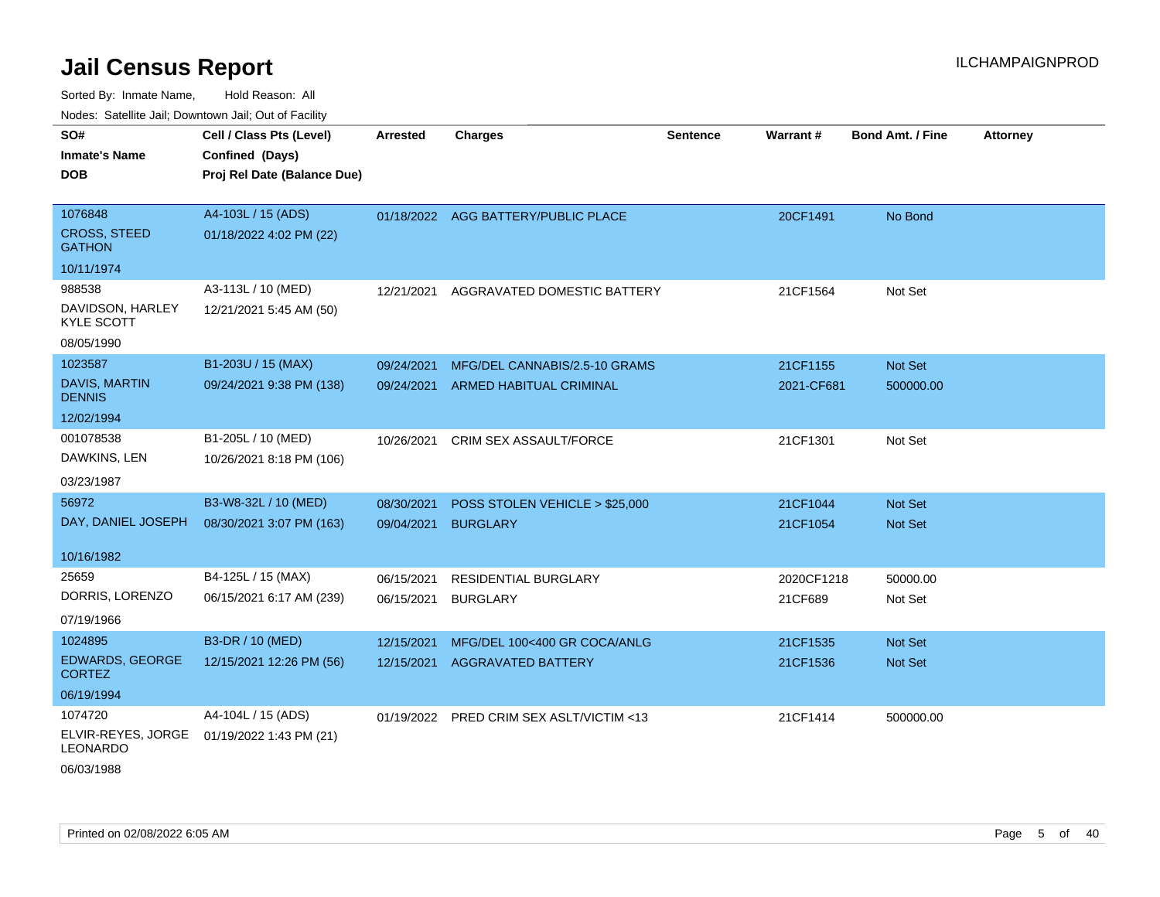Sorted By: Inmate Name, Hold Reason: All Nodes: Satellite Jail; Downtown Jail; Out of Facility

| SO#                                   | Cell / Class Pts (Level)    | <b>Arrested</b> | <b>Charges</b>                           | <b>Sentence</b> | Warrant#   | <b>Bond Amt. / Fine</b> | <b>Attorney</b> |
|---------------------------------------|-----------------------------|-----------------|------------------------------------------|-----------------|------------|-------------------------|-----------------|
| <b>Inmate's Name</b>                  | Confined (Days)             |                 |                                          |                 |            |                         |                 |
| DOB                                   | Proj Rel Date (Balance Due) |                 |                                          |                 |            |                         |                 |
|                                       |                             |                 |                                          |                 |            |                         |                 |
| 1076848                               | A4-103L / 15 (ADS)          |                 | 01/18/2022 AGG BATTERY/PUBLIC PLACE      |                 | 20CF1491   | No Bond                 |                 |
| <b>CROSS, STEED</b><br><b>GATHON</b>  | 01/18/2022 4:02 PM (22)     |                 |                                          |                 |            |                         |                 |
| 10/11/1974                            |                             |                 |                                          |                 |            |                         |                 |
| 988538                                | A3-113L / 10 (MED)          | 12/21/2021      | AGGRAVATED DOMESTIC BATTERY              |                 | 21CF1564   | Not Set                 |                 |
| DAVIDSON, HARLEY<br><b>KYLE SCOTT</b> | 12/21/2021 5:45 AM (50)     |                 |                                          |                 |            |                         |                 |
| 08/05/1990                            |                             |                 |                                          |                 |            |                         |                 |
| 1023587                               | B1-203U / 15 (MAX)          | 09/24/2021      | MFG/DEL CANNABIS/2.5-10 GRAMS            |                 | 21CF1155   | Not Set                 |                 |
| <b>DAVIS, MARTIN</b><br><b>DENNIS</b> | 09/24/2021 9:38 PM (138)    | 09/24/2021      | <b>ARMED HABITUAL CRIMINAL</b>           |                 | 2021-CF681 | 500000.00               |                 |
| 12/02/1994                            |                             |                 |                                          |                 |            |                         |                 |
| 001078538                             | B1-205L / 10 (MED)          | 10/26/2021      | CRIM SEX ASSAULT/FORCE                   |                 | 21CF1301   | Not Set                 |                 |
| DAWKINS, LEN                          | 10/26/2021 8:18 PM (106)    |                 |                                          |                 |            |                         |                 |
| 03/23/1987                            |                             |                 |                                          |                 |            |                         |                 |
| 56972                                 | B3-W8-32L / 10 (MED)        | 08/30/2021      | POSS STOLEN VEHICLE > \$25,000           |                 | 21CF1044   | Not Set                 |                 |
| DAY, DANIEL JOSEPH                    | 08/30/2021 3:07 PM (163)    | 09/04/2021      | <b>BURGLARY</b>                          |                 | 21CF1054   | <b>Not Set</b>          |                 |
|                                       |                             |                 |                                          |                 |            |                         |                 |
| 10/16/1982                            |                             |                 |                                          |                 |            |                         |                 |
| 25659                                 | B4-125L / 15 (MAX)          | 06/15/2021      | RESIDENTIAL BURGLARY                     |                 | 2020CF1218 | 50000.00                |                 |
| DORRIS, LORENZO                       | 06/15/2021 6:17 AM (239)    | 06/15/2021      | <b>BURGLARY</b>                          |                 | 21CF689    | Not Set                 |                 |
| 07/19/1966                            |                             |                 |                                          |                 |            |                         |                 |
| 1024895                               | B3-DR / 10 (MED)            | 12/15/2021      | MFG/DEL 100<400 GR COCA/ANLG             |                 | 21CF1535   | Not Set                 |                 |
| EDWARDS, GEORGE<br><b>CORTEZ</b>      | 12/15/2021 12:26 PM (56)    | 12/15/2021      | <b>AGGRAVATED BATTERY</b>                |                 | 21CF1536   | Not Set                 |                 |
| 06/19/1994                            |                             |                 |                                          |                 |            |                         |                 |
| 1074720                               | A4-104L / 15 (ADS)          |                 | 01/19/2022 PRED CRIM SEX ASLT/VICTIM <13 |                 | 21CF1414   | 500000.00               |                 |
| ELVIR-REYES, JORGE<br><b>LEONARDO</b> | 01/19/2022 1:43 PM (21)     |                 |                                          |                 |            |                         |                 |

06/03/1988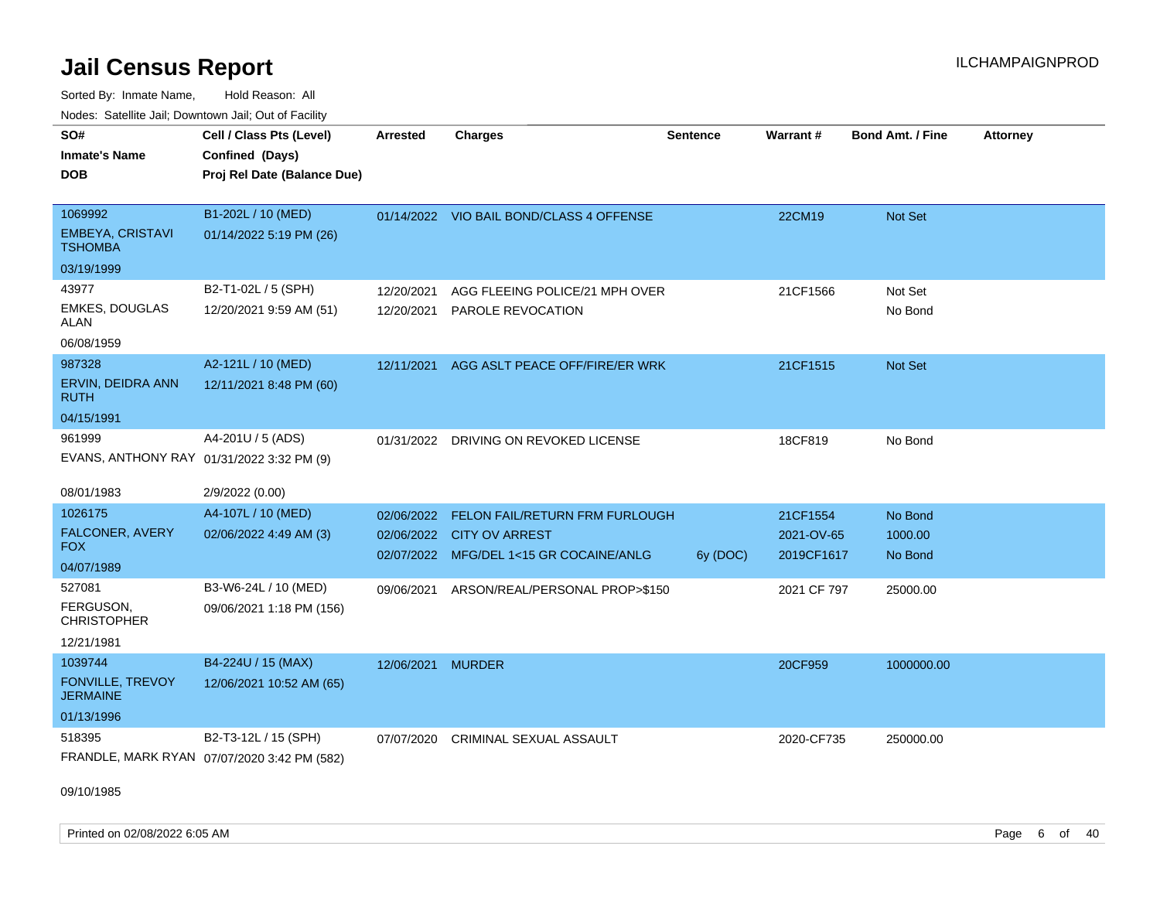Sorted By: Inmate Name, Hold Reason: All Nodes: Satellite Jail; Downtown Jail; Out of Facility

| Hougo. Catomic dan, Bowmonn dan, Cat of Fagme |                                                                            |            |                                           |                 |             |                         |                 |
|-----------------------------------------------|----------------------------------------------------------------------------|------------|-------------------------------------------|-----------------|-------------|-------------------------|-----------------|
| SO#<br><b>Inmate's Name</b><br><b>DOB</b>     | Cell / Class Pts (Level)<br>Confined (Days)<br>Proj Rel Date (Balance Due) | Arrested   | <b>Charges</b>                            | <b>Sentence</b> | Warrant#    | <b>Bond Amt. / Fine</b> | <b>Attorney</b> |
|                                               |                                                                            |            |                                           |                 |             |                         |                 |
| 1069992                                       | B1-202L / 10 (MED)                                                         |            | 01/14/2022 VIO BAIL BOND/CLASS 4 OFFENSE  |                 | 22CM19      | Not Set                 |                 |
| <b>EMBEYA, CRISTAVI</b><br>TSHOMBA            | 01/14/2022 5:19 PM (26)                                                    |            |                                           |                 |             |                         |                 |
| 03/19/1999                                    |                                                                            |            |                                           |                 |             |                         |                 |
| 43977                                         | B2-T1-02L / 5 (SPH)                                                        | 12/20/2021 | AGG FLEEING POLICE/21 MPH OVER            |                 | 21CF1566    | Not Set                 |                 |
| <b>EMKES, DOUGLAS</b><br>ALAN                 | 12/20/2021 9:59 AM (51)                                                    | 12/20/2021 | PAROLE REVOCATION                         |                 |             | No Bond                 |                 |
| 06/08/1959                                    |                                                                            |            |                                           |                 |             |                         |                 |
| 987328                                        | A2-121L / 10 (MED)                                                         | 12/11/2021 | AGG ASLT PEACE OFF/FIRE/ER WRK            |                 | 21CF1515    | Not Set                 |                 |
| ERVIN, DEIDRA ANN<br><b>RUTH</b>              | 12/11/2021 8:48 PM (60)                                                    |            |                                           |                 |             |                         |                 |
| 04/15/1991                                    |                                                                            |            |                                           |                 |             |                         |                 |
| 961999                                        | A4-201U / 5 (ADS)                                                          | 01/31/2022 | DRIVING ON REVOKED LICENSE                |                 | 18CF819     | No Bond                 |                 |
| EVANS, ANTHONY RAY 01/31/2022 3:32 PM (9)     |                                                                            |            |                                           |                 |             |                         |                 |
| 08/01/1983                                    | 2/9/2022 (0.00)                                                            |            |                                           |                 |             |                         |                 |
| 1026175                                       | A4-107L / 10 (MED)                                                         | 02/06/2022 | FELON FAIL/RETURN FRM FURLOUGH            |                 | 21CF1554    | No Bond                 |                 |
| FALCONER, AVERY                               | 02/06/2022 4:49 AM (3)                                                     |            | 02/06/2022 CITY OV ARREST                 |                 | 2021-OV-65  | 1000.00                 |                 |
| FOX.                                          |                                                                            |            | 02/07/2022 MFG/DEL 1<15 GR COCAINE/ANLG   | 6y (DOC)        | 2019CF1617  | No Bond                 |                 |
| 04/07/1989                                    |                                                                            |            |                                           |                 |             |                         |                 |
| 527081                                        | B3-W6-24L / 10 (MED)                                                       |            | 09/06/2021 ARSON/REAL/PERSONAL PROP>\$150 |                 | 2021 CF 797 | 25000.00                |                 |
| FERGUSON,<br><b>CHRISTOPHER</b>               | 09/06/2021 1:18 PM (156)                                                   |            |                                           |                 |             |                         |                 |
| 12/21/1981                                    |                                                                            |            |                                           |                 |             |                         |                 |
| 1039744                                       | B4-224U / 15 (MAX)                                                         | 12/06/2021 | MURDER                                    |                 | 20CF959     | 1000000.00              |                 |
| <b>FONVILLE, TREVOY</b><br>JERMAINE           | 12/06/2021 10:52 AM (65)                                                   |            |                                           |                 |             |                         |                 |
| 01/13/1996                                    |                                                                            |            |                                           |                 |             |                         |                 |
| 518395                                        | B2-T3-12L / 15 (SPH)                                                       | 07/07/2020 | <b>CRIMINAL SEXUAL ASSAULT</b>            |                 | 2020-CF735  | 250000.00               |                 |
|                                               | FRANDLE, MARK RYAN 07/07/2020 3:42 PM (582)                                |            |                                           |                 |             |                         |                 |

09/10/1985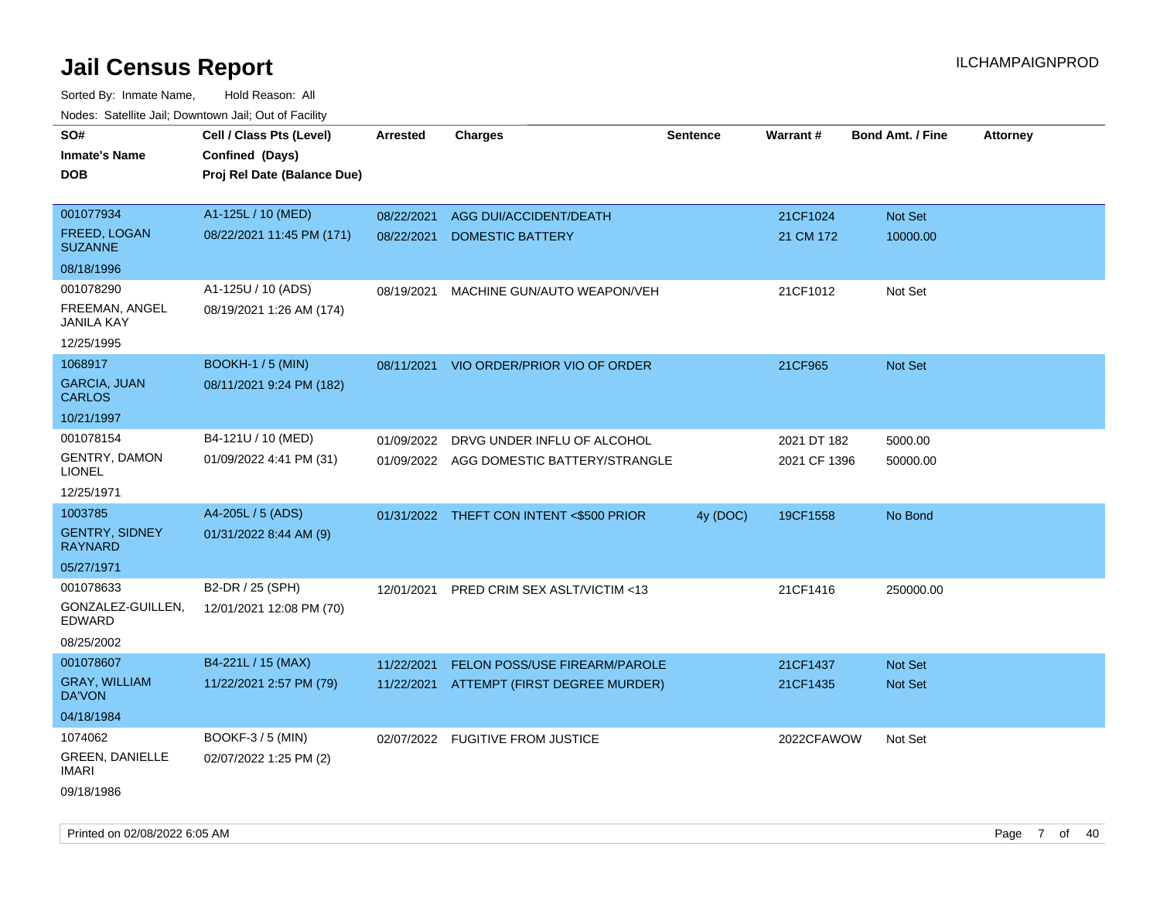| SO#                                     | Cell / Class Pts (Level)    | <b>Arrested</b> | <b>Charges</b>                           | <b>Sentence</b> | Warrant#     | <b>Bond Amt. / Fine</b> | Attorney |
|-----------------------------------------|-----------------------------|-----------------|------------------------------------------|-----------------|--------------|-------------------------|----------|
| Inmate's Name                           | Confined (Days)             |                 |                                          |                 |              |                         |          |
| DOB                                     | Proj Rel Date (Balance Due) |                 |                                          |                 |              |                         |          |
| 001077934                               | A1-125L / 10 (MED)          | 08/22/2021      | AGG DUI/ACCIDENT/DEATH                   |                 | 21CF1024     | Not Set                 |          |
| FREED, LOGAN<br><b>SUZANNE</b>          | 08/22/2021 11:45 PM (171)   | 08/22/2021      | <b>DOMESTIC BATTERY</b>                  |                 | 21 CM 172    | 10000.00                |          |
| 08/18/1996                              |                             |                 |                                          |                 |              |                         |          |
| 001078290                               | A1-125U / 10 (ADS)          | 08/19/2021      | MACHINE GUN/AUTO WEAPON/VEH              |                 | 21CF1012     | Not Set                 |          |
| FREEMAN, ANGEL<br><b>JANILA KAY</b>     | 08/19/2021 1:26 AM (174)    |                 |                                          |                 |              |                         |          |
| 12/25/1995                              |                             |                 |                                          |                 |              |                         |          |
| 1068917                                 | <b>BOOKH-1 / 5 (MIN)</b>    | 08/11/2021      | VIO ORDER/PRIOR VIO OF ORDER             |                 | 21CF965      | <b>Not Set</b>          |          |
| <b>GARCIA, JUAN</b><br><b>CARLOS</b>    | 08/11/2021 9:24 PM (182)    |                 |                                          |                 |              |                         |          |
| 10/21/1997                              |                             |                 |                                          |                 |              |                         |          |
| 001078154                               | B4-121U / 10 (MED)          | 01/09/2022      | DRVG UNDER INFLU OF ALCOHOL              |                 | 2021 DT 182  | 5000.00                 |          |
| <b>GENTRY, DAMON</b><br><b>LIONEL</b>   | 01/09/2022 4:41 PM (31)     |                 | 01/09/2022 AGG DOMESTIC BATTERY/STRANGLE |                 | 2021 CF 1396 | 50000.00                |          |
| 12/25/1971                              |                             |                 |                                          |                 |              |                         |          |
| 1003785                                 | A4-205L / 5 (ADS)           |                 | 01/31/2022 THEFT CON INTENT <\$500 PRIOR | 4y (DOC)        | 19CF1558     | No Bond                 |          |
| <b>GENTRY, SIDNEY</b><br><b>RAYNARD</b> | 01/31/2022 8:44 AM (9)      |                 |                                          |                 |              |                         |          |
| 05/27/1971                              |                             |                 |                                          |                 |              |                         |          |
| 001078633                               | B2-DR / 25 (SPH)            | 12/01/2021      | PRED CRIM SEX ASLT/VICTIM <13            |                 | 21CF1416     | 250000.00               |          |
| GONZALEZ-GUILLEN,<br>EDWARD             | 12/01/2021 12:08 PM (70)    |                 |                                          |                 |              |                         |          |
| 08/25/2002                              |                             |                 |                                          |                 |              |                         |          |
| 001078607                               | B4-221L / 15 (MAX)          | 11/22/2021      | FELON POSS/USE FIREARM/PAROLE            |                 | 21CF1437     | <b>Not Set</b>          |          |
| <b>GRAY, WILLIAM</b><br>DA'VON          | 11/22/2021 2:57 PM (79)     | 11/22/2021      | ATTEMPT (FIRST DEGREE MURDER)            |                 | 21CF1435     | Not Set                 |          |
| 04/18/1984                              |                             |                 |                                          |                 |              |                         |          |
| 1074062                                 | <b>BOOKF-3 / 5 (MIN)</b>    |                 | 02/07/2022 FUGITIVE FROM JUSTICE         |                 | 2022CFAWOW   | Not Set                 |          |
| <b>GREEN, DANIELLE</b><br>IMARI         | 02/07/2022 1:25 PM (2)      |                 |                                          |                 |              |                         |          |
| 09/18/1986                              |                             |                 |                                          |                 |              |                         |          |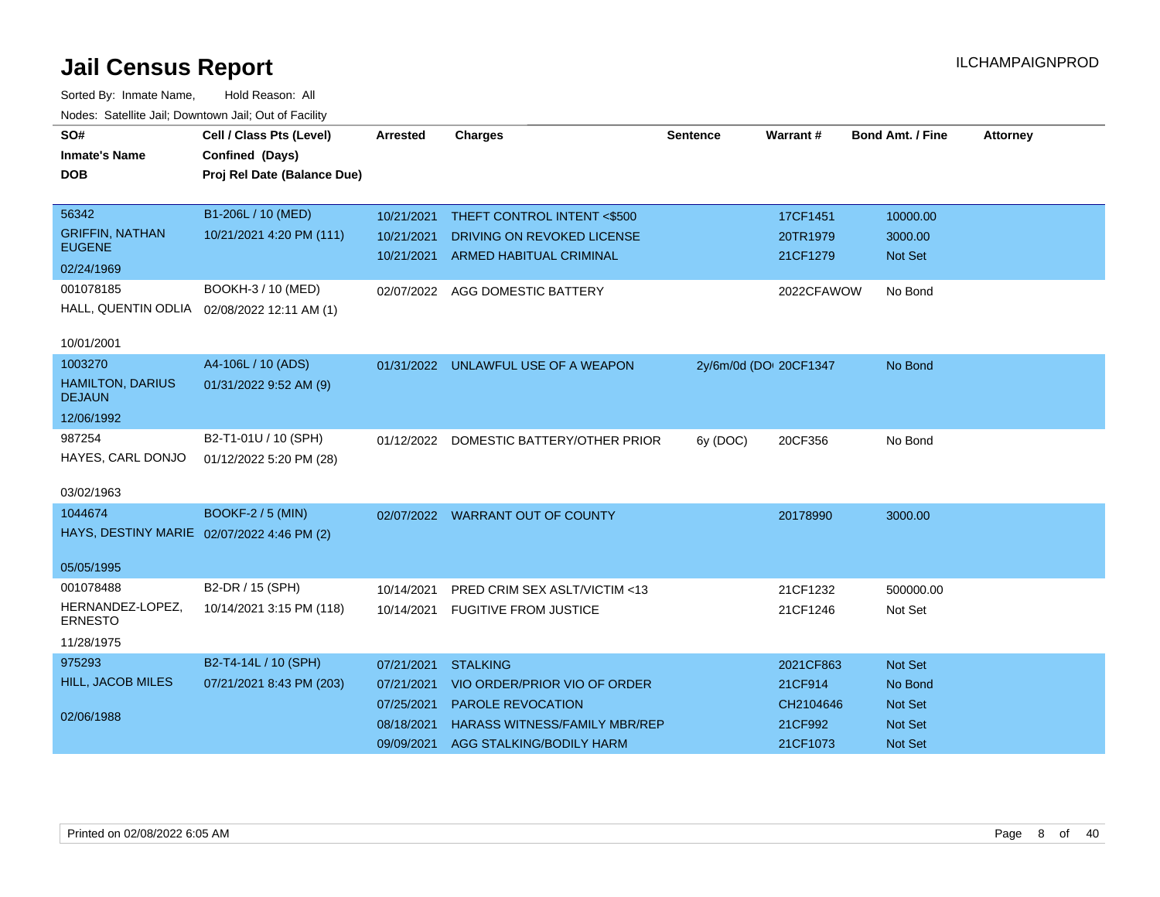| SO#                                        | Cell / Class Pts (Level)    | <b>Arrested</b> | <b>Charges</b>                          | <b>Sentence</b>        | <b>Warrant#</b> | <b>Bond Amt. / Fine</b> | <b>Attorney</b> |
|--------------------------------------------|-----------------------------|-----------------|-----------------------------------------|------------------------|-----------------|-------------------------|-----------------|
| <b>Inmate's Name</b>                       | Confined (Days)             |                 |                                         |                        |                 |                         |                 |
| <b>DOB</b>                                 | Proj Rel Date (Balance Due) |                 |                                         |                        |                 |                         |                 |
|                                            |                             |                 |                                         |                        |                 |                         |                 |
| 56342                                      | B1-206L / 10 (MED)          | 10/21/2021      | THEFT CONTROL INTENT <\$500             |                        | 17CF1451        | 10000.00                |                 |
| <b>GRIFFIN, NATHAN</b><br><b>EUGENE</b>    | 10/21/2021 4:20 PM (111)    | 10/21/2021      | DRIVING ON REVOKED LICENSE              |                        | 20TR1979        | 3000.00                 |                 |
| 02/24/1969                                 |                             |                 | 10/21/2021 ARMED HABITUAL CRIMINAL      |                        | 21CF1279        | <b>Not Set</b>          |                 |
| 001078185                                  | BOOKH-3 / 10 (MED)          |                 | 02/07/2022 AGG DOMESTIC BATTERY         |                        | 2022CFAWOW      | No Bond                 |                 |
| HALL, QUENTIN ODLIA                        | 02/08/2022 12:11 AM (1)     |                 |                                         |                        |                 |                         |                 |
|                                            |                             |                 |                                         |                        |                 |                         |                 |
| 10/01/2001                                 |                             |                 |                                         |                        |                 |                         |                 |
| 1003270                                    | A4-106L / 10 (ADS)          |                 | 01/31/2022 UNLAWFUL USE OF A WEAPON     | 2y/6m/0d (DOI 20CF1347 |                 | No Bond                 |                 |
| <b>HAMILTON, DARIUS</b><br><b>DEJAUN</b>   | 01/31/2022 9:52 AM (9)      |                 |                                         |                        |                 |                         |                 |
| 12/06/1992                                 |                             |                 |                                         |                        |                 |                         |                 |
| 987254                                     | B2-T1-01U / 10 (SPH)        |                 | 01/12/2022 DOMESTIC BATTERY/OTHER PRIOR | 6y (DOC)               | 20CF356         | No Bond                 |                 |
| HAYES, CARL DONJO                          | 01/12/2022 5:20 PM (28)     |                 |                                         |                        |                 |                         |                 |
|                                            |                             |                 |                                         |                        |                 |                         |                 |
| 03/02/1963                                 |                             |                 |                                         |                        |                 |                         |                 |
| 1044674                                    | <b>BOOKF-2 / 5 (MIN)</b>    |                 | 02/07/2022 WARRANT OUT OF COUNTY        |                        | 20178990        | 3000.00                 |                 |
| HAYS, DESTINY MARIE 02/07/2022 4:46 PM (2) |                             |                 |                                         |                        |                 |                         |                 |
| 05/05/1995                                 |                             |                 |                                         |                        |                 |                         |                 |
| 001078488                                  | B2-DR / 15 (SPH)            | 10/14/2021      | PRED CRIM SEX ASLT/VICTIM <13           |                        | 21CF1232        | 500000.00               |                 |
| HERNANDEZ-LOPEZ,<br><b>ERNESTO</b>         | 10/14/2021 3:15 PM (118)    |                 | 10/14/2021 FUGITIVE FROM JUSTICE        |                        | 21CF1246        | Not Set                 |                 |
| 11/28/1975                                 |                             |                 |                                         |                        |                 |                         |                 |
| 975293                                     | B2-T4-14L / 10 (SPH)        | 07/21/2021      | <b>STALKING</b>                         |                        | 2021CF863       | Not Set                 |                 |
| <b>HILL, JACOB MILES</b>                   | 07/21/2021 8:43 PM (203)    | 07/21/2021      | VIO ORDER/PRIOR VIO OF ORDER            |                        | 21CF914         | No Bond                 |                 |
|                                            |                             | 07/25/2021      | PAROLE REVOCATION                       |                        | CH2104646       | Not Set                 |                 |
| 02/06/1988                                 |                             | 08/18/2021      | <b>HARASS WITNESS/FAMILY MBR/REP</b>    |                        | 21CF992         | <b>Not Set</b>          |                 |
|                                            |                             | 09/09/2021      | AGG STALKING/BODILY HARM                |                        | 21CF1073        | Not Set                 |                 |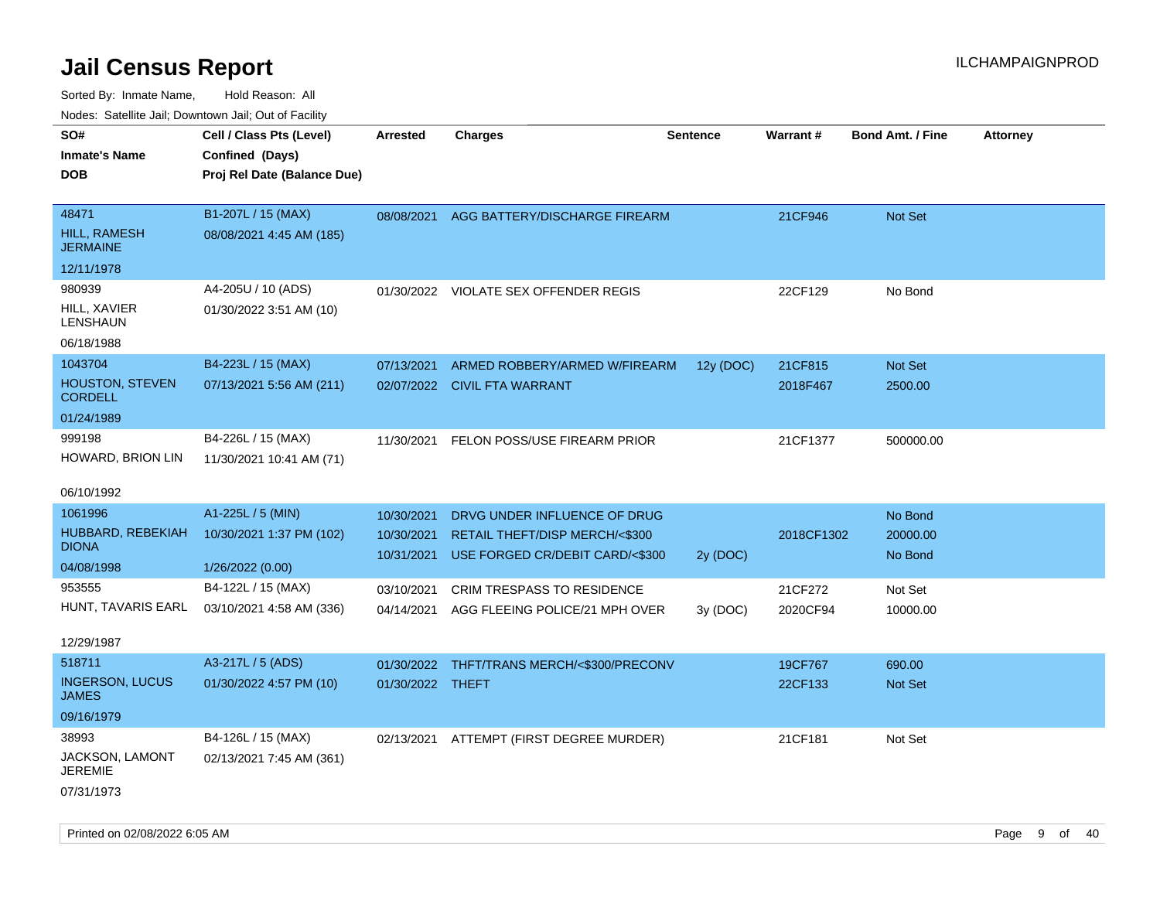| rouco. Calcinic Jan, Downtown Jan, Out of Facility |                             |                          |                                                                   |                 |                 |                         |                 |
|----------------------------------------------------|-----------------------------|--------------------------|-------------------------------------------------------------------|-----------------|-----------------|-------------------------|-----------------|
| SO#                                                | Cell / Class Pts (Level)    | <b>Arrested</b>          | <b>Charges</b>                                                    | <b>Sentence</b> | <b>Warrant#</b> | <b>Bond Amt. / Fine</b> | <b>Attorney</b> |
| Inmate's Name                                      | Confined (Days)             |                          |                                                                   |                 |                 |                         |                 |
| DOB                                                | Proj Rel Date (Balance Due) |                          |                                                                   |                 |                 |                         |                 |
|                                                    |                             |                          |                                                                   |                 |                 |                         |                 |
| 48471                                              | B1-207L / 15 (MAX)          |                          | 08/08/2021 AGG BATTERY/DISCHARGE FIREARM                          |                 | 21CF946         | Not Set                 |                 |
| HILL, RAMESH<br>JERMAINE                           | 08/08/2021 4:45 AM (185)    |                          |                                                                   |                 |                 |                         |                 |
| 12/11/1978                                         |                             |                          |                                                                   |                 |                 |                         |                 |
| 980939                                             | A4-205U / 10 (ADS)          |                          | 01/30/2022 VIOLATE SEX OFFENDER REGIS                             |                 | 22CF129         | No Bond                 |                 |
| HILL, XAVIER<br>LENSHAUN                           | 01/30/2022 3:51 AM (10)     |                          |                                                                   |                 |                 |                         |                 |
| 06/18/1988                                         |                             |                          |                                                                   |                 |                 |                         |                 |
| 1043704                                            | B4-223L / 15 (MAX)          | 07/13/2021               | ARMED ROBBERY/ARMED W/FIREARM                                     | 12y (DOC)       | 21CF815         | <b>Not Set</b>          |                 |
| <b>HOUSTON, STEVEN</b><br><b>CORDELL</b>           | 07/13/2021 5:56 AM (211)    |                          | 02/07/2022 CIVIL FTA WARRANT                                      |                 | 2018F467        | 2500.00                 |                 |
| 01/24/1989                                         |                             |                          |                                                                   |                 |                 |                         |                 |
| 999198                                             | B4-226L / 15 (MAX)          | 11/30/2021               | FELON POSS/USE FIREARM PRIOR                                      |                 | 21CF1377        | 500000.00               |                 |
| HOWARD, BRION LIN                                  | 11/30/2021 10:41 AM (71)    |                          |                                                                   |                 |                 |                         |                 |
|                                                    |                             |                          |                                                                   |                 |                 |                         |                 |
| 06/10/1992                                         |                             |                          |                                                                   |                 |                 |                         |                 |
| 1061996                                            | A1-225L / 5 (MIN)           | 10/30/2021               | DRVG UNDER INFLUENCE OF DRUG                                      |                 |                 | No Bond                 |                 |
| HUBBARD, REBEKIAH<br><b>DIONA</b>                  | 10/30/2021 1:37 PM (102)    | 10/30/2021<br>10/31/2021 | RETAIL THEFT/DISP MERCH/<\$300<br>USE FORGED CR/DEBIT CARD/<\$300 |                 | 2018CF1302      | 20000.00<br>No Bond     |                 |
| 04/08/1998                                         | 1/26/2022 (0.00)            |                          |                                                                   | 2y (DOC)        |                 |                         |                 |
| 953555                                             | B4-122L / 15 (MAX)          | 03/10/2021               | <b>CRIM TRESPASS TO RESIDENCE</b>                                 |                 | 21CF272         | Not Set                 |                 |
| HUNT, TAVARIS EARL                                 | 03/10/2021 4:58 AM (336)    | 04/14/2021               | AGG FLEEING POLICE/21 MPH OVER                                    | 3y (DOC)        | 2020CF94        | 10000.00                |                 |
|                                                    |                             |                          |                                                                   |                 |                 |                         |                 |
| 12/29/1987                                         |                             |                          |                                                                   |                 |                 |                         |                 |
| 518711                                             | A3-217L / 5 (ADS)           | 01/30/2022               | THFT/TRANS MERCH/<\$300/PRECONV                                   |                 | 19CF767         | 690.00                  |                 |
| <b>INGERSON, LUCUS</b><br>JAMES                    | 01/30/2022 4:57 PM (10)     | 01/30/2022 THEFT         |                                                                   |                 | 22CF133         | <b>Not Set</b>          |                 |
| 09/16/1979                                         |                             |                          |                                                                   |                 |                 |                         |                 |
| 38993                                              | B4-126L / 15 (MAX)          | 02/13/2021               | ATTEMPT (FIRST DEGREE MURDER)                                     |                 | 21CF181         | Not Set                 |                 |
| JACKSON, LAMONT<br>JEREMIE                         | 02/13/2021 7:45 AM (361)    |                          |                                                                   |                 |                 |                         |                 |
| 07/31/1973                                         |                             |                          |                                                                   |                 |                 |                         |                 |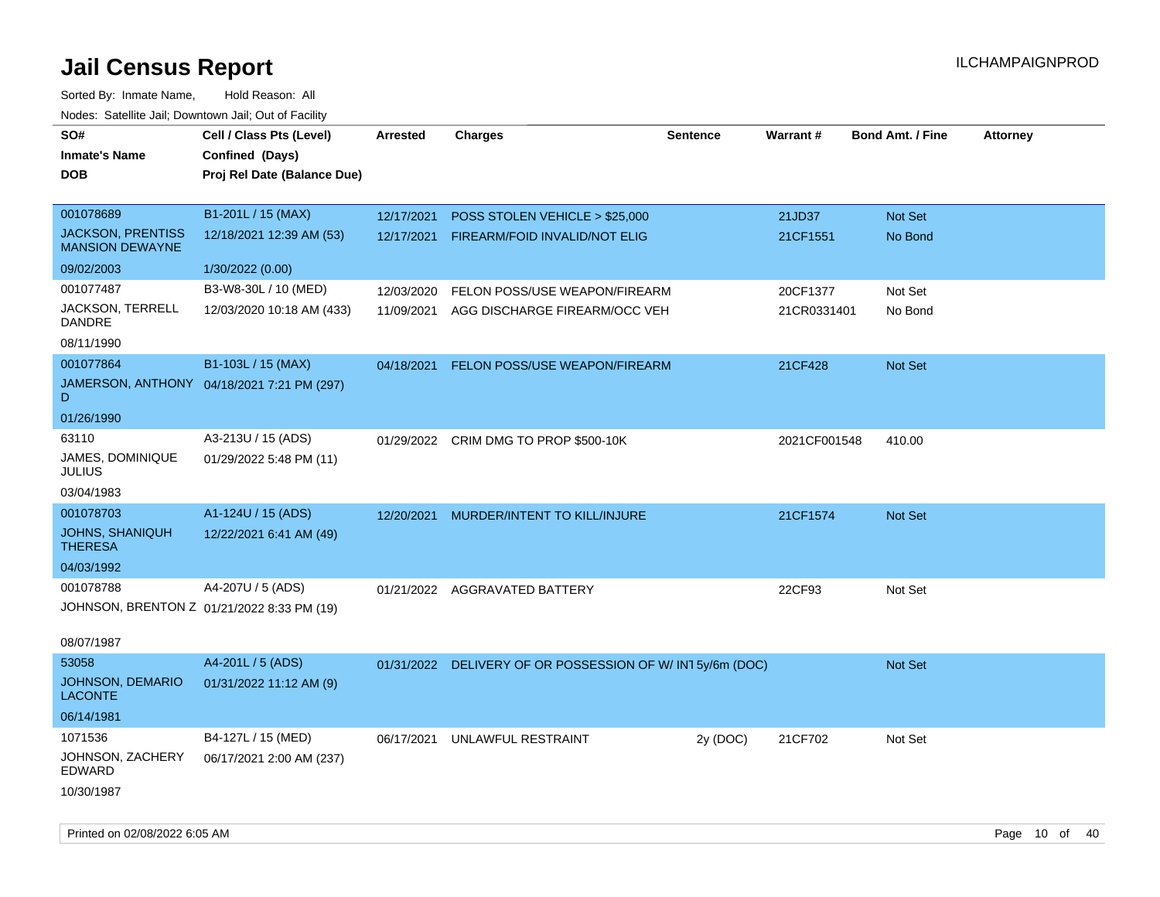| roaco. Calcillo dall, Downtown dall, Cal of Fability |                                             |                 |                                                          |                 |              |                         |                 |
|------------------------------------------------------|---------------------------------------------|-----------------|----------------------------------------------------------|-----------------|--------------|-------------------------|-----------------|
| SO#<br><b>Inmate's Name</b><br><b>DOB</b>            | Cell / Class Pts (Level)<br>Confined (Days) | <b>Arrested</b> | <b>Charges</b>                                           | <b>Sentence</b> | Warrant#     | <b>Bond Amt. / Fine</b> | <b>Attorney</b> |
|                                                      | Proj Rel Date (Balance Due)                 |                 |                                                          |                 |              |                         |                 |
| 001078689                                            | B1-201L / 15 (MAX)                          | 12/17/2021      | POSS STOLEN VEHICLE > \$25,000                           |                 | 21JD37       | <b>Not Set</b>          |                 |
| <b>JACKSON, PRENTISS</b><br><b>MANSION DEWAYNE</b>   | 12/18/2021 12:39 AM (53)                    | 12/17/2021      | FIREARM/FOID INVALID/NOT ELIG                            |                 | 21CF1551     | No Bond                 |                 |
| 09/02/2003                                           | 1/30/2022 (0.00)                            |                 |                                                          |                 |              |                         |                 |
| 001077487                                            | B3-W8-30L / 10 (MED)                        | 12/03/2020      | FELON POSS/USE WEAPON/FIREARM                            |                 | 20CF1377     | Not Set                 |                 |
| JACKSON, TERRELL<br>DANDRE                           | 12/03/2020 10:18 AM (433)                   | 11/09/2021      | AGG DISCHARGE FIREARM/OCC VEH                            |                 | 21CR0331401  | No Bond                 |                 |
| 08/11/1990                                           |                                             |                 |                                                          |                 |              |                         |                 |
| 001077864                                            | B1-103L / 15 (MAX)                          | 04/18/2021      | FELON POSS/USE WEAPON/FIREARM                            |                 | 21CF428      | Not Set                 |                 |
| D.                                                   | JAMERSON, ANTHONY 04/18/2021 7:21 PM (297)  |                 |                                                          |                 |              |                         |                 |
| 01/26/1990                                           |                                             |                 |                                                          |                 |              |                         |                 |
| 63110                                                | A3-213U / 15 (ADS)                          |                 | 01/29/2022 CRIM DMG TO PROP \$500-10K                    |                 | 2021CF001548 | 410.00                  |                 |
| JAMES, DOMINIQUE<br><b>JULIUS</b>                    | 01/29/2022 5:48 PM (11)                     |                 |                                                          |                 |              |                         |                 |
| 03/04/1983                                           |                                             |                 |                                                          |                 |              |                         |                 |
| 001078703                                            | A1-124U / 15 (ADS)                          | 12/20/2021      | MURDER/INTENT TO KILL/INJURE                             |                 | 21CF1574     | <b>Not Set</b>          |                 |
| JOHNS, SHANIQUH<br><b>THERESA</b>                    | 12/22/2021 6:41 AM (49)                     |                 |                                                          |                 |              |                         |                 |
| 04/03/1992                                           |                                             |                 |                                                          |                 |              |                         |                 |
| 001078788                                            | A4-207U / 5 (ADS)                           |                 | 01/21/2022 AGGRAVATED BATTERY                            |                 | 22CF93       | Not Set                 |                 |
| JOHNSON, BRENTON Z 01/21/2022 8:33 PM (19)           |                                             |                 |                                                          |                 |              |                         |                 |
| 08/07/1987                                           |                                             |                 |                                                          |                 |              |                         |                 |
| 53058                                                | A4-201L / 5 (ADS)                           |                 | 01/31/2022 DELIVERY OF OR POSSESSION OF W/IN15y/6m (DOC) |                 |              | <b>Not Set</b>          |                 |
| <b>JOHNSON, DEMARIO</b><br><b>LACONTE</b>            | 01/31/2022 11:12 AM (9)                     |                 |                                                          |                 |              |                         |                 |
| 06/14/1981                                           |                                             |                 |                                                          |                 |              |                         |                 |
| 1071536                                              | B4-127L / 15 (MED)                          | 06/17/2021      | UNLAWFUL RESTRAINT                                       | 2y (DOC)        | 21CF702      | Not Set                 |                 |
| JOHNSON, ZACHERY<br>EDWARD                           | 06/17/2021 2:00 AM (237)                    |                 |                                                          |                 |              |                         |                 |
| 10/30/1987                                           |                                             |                 |                                                          |                 |              |                         |                 |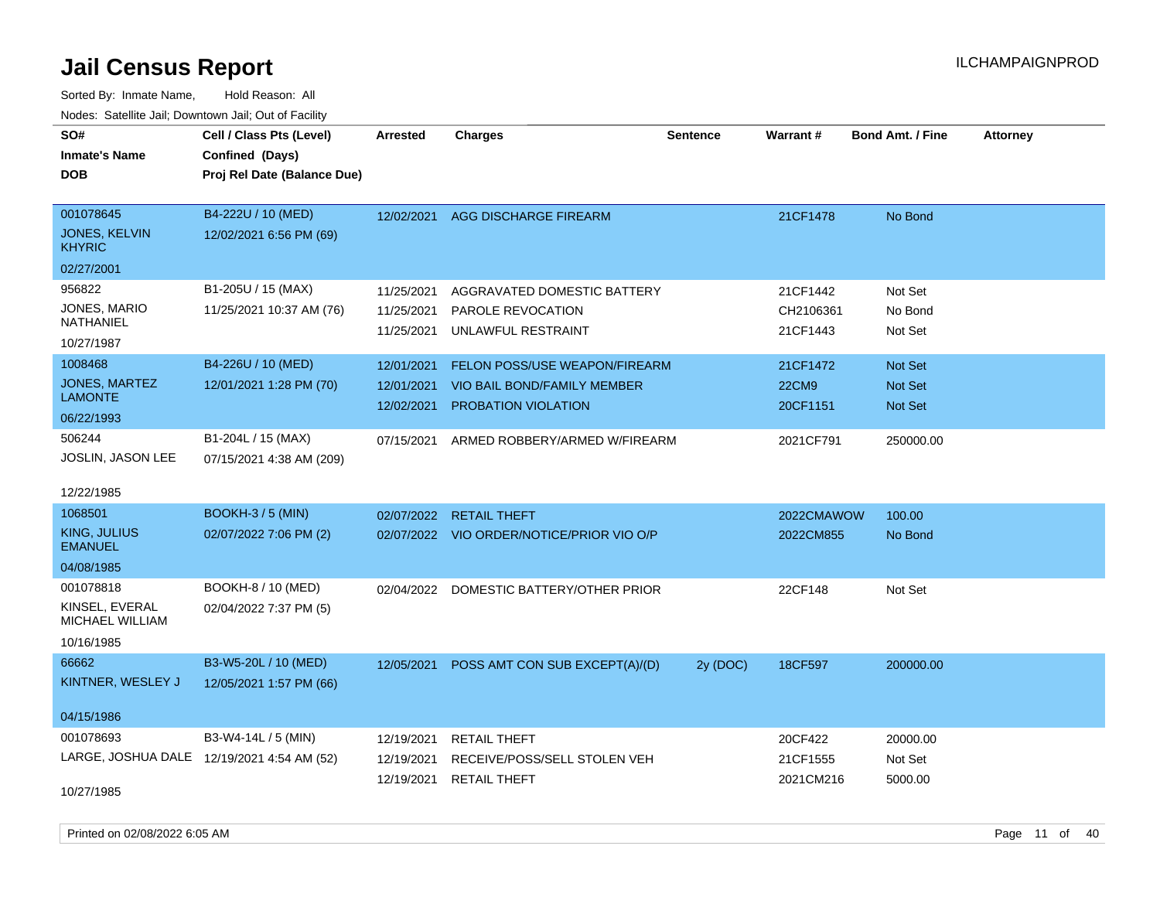Sorted By: Inmate Name, Hold Reason: All Nodes: Satellite Jail; Downtown Jail; Out of Facility

| SO#<br><b>Inmate's Name</b><br><b>DOB</b>                       | Cell / Class Pts (Level)<br>Confined (Days)<br>Proj Rel Date (Balance Due) | <b>Arrested</b>                        | <b>Charges</b>                                                                             | <b>Sentence</b> | <b>Warrant#</b>                      | <b>Bond Amt. / Fine</b>              | <b>Attorney</b> |
|-----------------------------------------------------------------|----------------------------------------------------------------------------|----------------------------------------|--------------------------------------------------------------------------------------------|-----------------|--------------------------------------|--------------------------------------|-----------------|
| 001078645<br>JONES, KELVIN<br><b>KHYRIC</b>                     | B4-222U / 10 (MED)<br>12/02/2021 6:56 PM (69)                              | 12/02/2021                             | AGG DISCHARGE FIREARM                                                                      |                 | 21CF1478                             | No Bond                              |                 |
| 02/27/2001<br>956822<br>JONES, MARIO<br>NATHANIEL<br>10/27/1987 | B1-205U / 15 (MAX)<br>11/25/2021 10:37 AM (76)                             | 11/25/2021<br>11/25/2021<br>11/25/2021 | AGGRAVATED DOMESTIC BATTERY<br>PAROLE REVOCATION<br>UNLAWFUL RESTRAINT                     |                 | 21CF1442<br>CH2106361<br>21CF1443    | Not Set<br>No Bond<br>Not Set        |                 |
| 1008468<br><b>JONES, MARTEZ</b><br><b>LAMONTE</b><br>06/22/1993 | B4-226U / 10 (MED)<br>12/01/2021 1:28 PM (70)                              | 12/01/2021<br>12/01/2021<br>12/02/2021 | FELON POSS/USE WEAPON/FIREARM<br><b>VIO BAIL BOND/FAMILY MEMBER</b><br>PROBATION VIOLATION |                 | 21CF1472<br><b>22CM9</b><br>20CF1151 | <b>Not Set</b><br>Not Set<br>Not Set |                 |
| 506244<br>JOSLIN, JASON LEE<br>12/22/1985                       | B1-204L / 15 (MAX)<br>07/15/2021 4:38 AM (209)                             | 07/15/2021                             | ARMED ROBBERY/ARMED W/FIREARM                                                              |                 | 2021CF791                            | 250000.00                            |                 |
| 1068501<br>KING, JULIUS<br><b>EMANUEL</b><br>04/08/1985         | <b>BOOKH-3 / 5 (MIN)</b><br>02/07/2022 7:06 PM (2)                         |                                        | 02/07/2022 RETAIL THEFT<br>02/07/2022 VIO ORDER/NOTICE/PRIOR VIO O/P                       |                 | 2022CMAWOW<br>2022CM855              | 100.00<br>No Bond                    |                 |
| 001078818<br>KINSEL, EVERAL<br>MICHAEL WILLIAM<br>10/16/1985    | BOOKH-8 / 10 (MED)<br>02/04/2022 7:37 PM (5)                               |                                        | 02/04/2022 DOMESTIC BATTERY/OTHER PRIOR                                                    |                 | 22CF148                              | Not Set                              |                 |
| 66662<br>KINTNER, WESLEY J                                      | B3-W5-20L / 10 (MED)<br>12/05/2021 1:57 PM (66)                            | 12/05/2021                             | POSS AMT CON SUB EXCEPT(A)/(D)                                                             | 2y (DOC)        | 18CF597                              | 200000.00                            |                 |
| 04/15/1986<br>001078693<br>10/27/1985                           | B3-W4-14L / 5 (MIN)<br>LARGE, JOSHUA DALE 12/19/2021 4:54 AM (52)          | 12/19/2021<br>12/19/2021<br>12/19/2021 | <b>RETAIL THEFT</b><br>RECEIVE/POSS/SELL STOLEN VEH<br><b>RETAIL THEFT</b>                 |                 | 20CF422<br>21CF1555<br>2021CM216     | 20000.00<br>Not Set<br>5000.00       |                 |

Printed on 02/08/2022 6:05 AM Page 11 of 40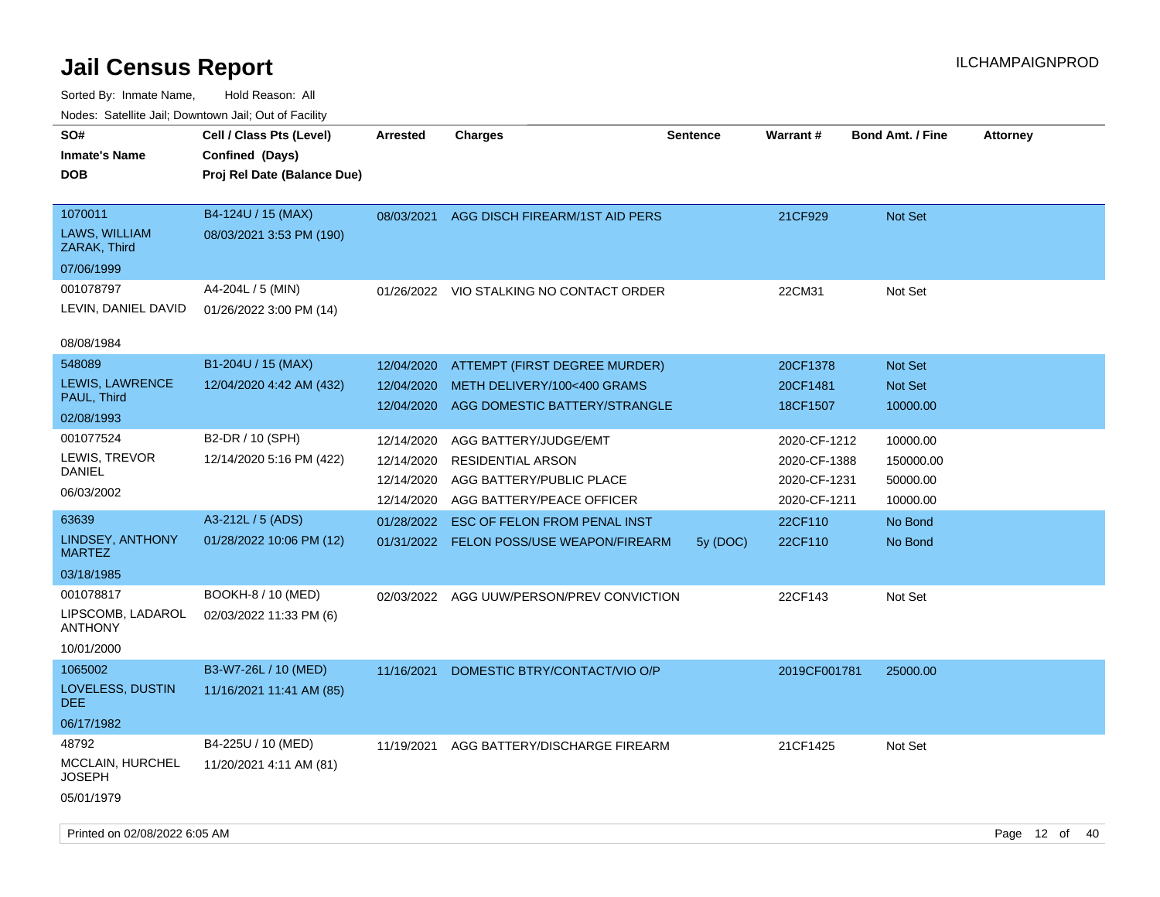| roaco. Catolino dall, Downtown dall, Out of Fability |                                                                            |            |                                          |                 |                 |                         |                 |
|------------------------------------------------------|----------------------------------------------------------------------------|------------|------------------------------------------|-----------------|-----------------|-------------------------|-----------------|
| SO#<br><b>Inmate's Name</b><br><b>DOB</b>            | Cell / Class Pts (Level)<br>Confined (Days)<br>Proj Rel Date (Balance Due) | Arrested   | <b>Charges</b>                           | <b>Sentence</b> | <b>Warrant#</b> | <b>Bond Amt. / Fine</b> | <b>Attorney</b> |
| 1070011<br>LAWS, WILLIAM<br>ZARAK, Third             | B4-124U / 15 (MAX)<br>08/03/2021 3:53 PM (190)                             | 08/03/2021 | AGG DISCH FIREARM/1ST AID PERS           |                 | 21CF929         | Not Set                 |                 |
| 07/06/1999                                           |                                                                            |            |                                          |                 |                 |                         |                 |
| 001078797                                            | A4-204L / 5 (MIN)                                                          |            | 01/26/2022 VIO STALKING NO CONTACT ORDER |                 | 22CM31          | Not Set                 |                 |
| LEVIN, DANIEL DAVID                                  | 01/26/2022 3:00 PM (14)                                                    |            |                                          |                 |                 |                         |                 |
| 08/08/1984                                           |                                                                            |            |                                          |                 |                 |                         |                 |
| 548089                                               | B1-204U / 15 (MAX)                                                         | 12/04/2020 | ATTEMPT (FIRST DEGREE MURDER)            |                 | 20CF1378        | <b>Not Set</b>          |                 |
| <b>LEWIS, LAWRENCE</b>                               | 12/04/2020 4:42 AM (432)                                                   | 12/04/2020 | METH DELIVERY/100<400 GRAMS              |                 | 20CF1481        | Not Set                 |                 |
| PAUL, Third                                          |                                                                            | 12/04/2020 | AGG DOMESTIC BATTERY/STRANGLE            |                 | 18CF1507        | 10000.00                |                 |
| 02/08/1993                                           |                                                                            |            |                                          |                 |                 |                         |                 |
| 001077524                                            | B2-DR / 10 (SPH)                                                           | 12/14/2020 | AGG BATTERY/JUDGE/EMT                    |                 | 2020-CF-1212    | 10000.00                |                 |
| LEWIS, TREVOR                                        | 12/14/2020 5:16 PM (422)                                                   | 12/14/2020 | <b>RESIDENTIAL ARSON</b>                 |                 | 2020-CF-1388    | 150000.00               |                 |
| DANIEL                                               |                                                                            | 12/14/2020 | AGG BATTERY/PUBLIC PLACE                 |                 | 2020-CF-1231    | 50000.00                |                 |
| 06/03/2002                                           |                                                                            | 12/14/2020 | AGG BATTERY/PEACE OFFICER                |                 | 2020-CF-1211    | 10000.00                |                 |
| 63639                                                | A3-212L / 5 (ADS)                                                          | 01/28/2022 | ESC OF FELON FROM PENAL INST             |                 | 22CF110         | No Bond                 |                 |
| <b>LINDSEY, ANTHONY</b><br><b>MARTEZ</b>             | 01/28/2022 10:06 PM (12)                                                   |            | 01/31/2022 FELON POSS/USE WEAPON/FIREARM | 5y(DOC)         | 22CF110         | No Bond                 |                 |
| 03/18/1985                                           |                                                                            |            |                                          |                 |                 |                         |                 |
| 001078817                                            | BOOKH-8 / 10 (MED)                                                         | 02/03/2022 | AGG UUW/PERSON/PREV CONVICTION           |                 | 22CF143         | Not Set                 |                 |
| LIPSCOMB, LADAROL<br><b>ANTHONY</b>                  | 02/03/2022 11:33 PM (6)                                                    |            |                                          |                 |                 |                         |                 |
| 10/01/2000                                           |                                                                            |            |                                          |                 |                 |                         |                 |
| 1065002                                              | B3-W7-26L / 10 (MED)                                                       | 11/16/2021 | DOMESTIC BTRY/CONTACT/VIO O/P            |                 | 2019CF001781    | 25000.00                |                 |
| LOVELESS, DUSTIN<br>DEE.                             | 11/16/2021 11:41 AM (85)                                                   |            |                                          |                 |                 |                         |                 |
| 06/17/1982                                           |                                                                            |            |                                          |                 |                 |                         |                 |
| 48792                                                | B4-225U / 10 (MED)                                                         | 11/19/2021 | AGG BATTERY/DISCHARGE FIREARM            |                 | 21CF1425        | Not Set                 |                 |
| MCCLAIN, HURCHEL<br>JOSEPH                           | 11/20/2021 4:11 AM (81)                                                    |            |                                          |                 |                 |                         |                 |
| 05/01/1979                                           |                                                                            |            |                                          |                 |                 |                         |                 |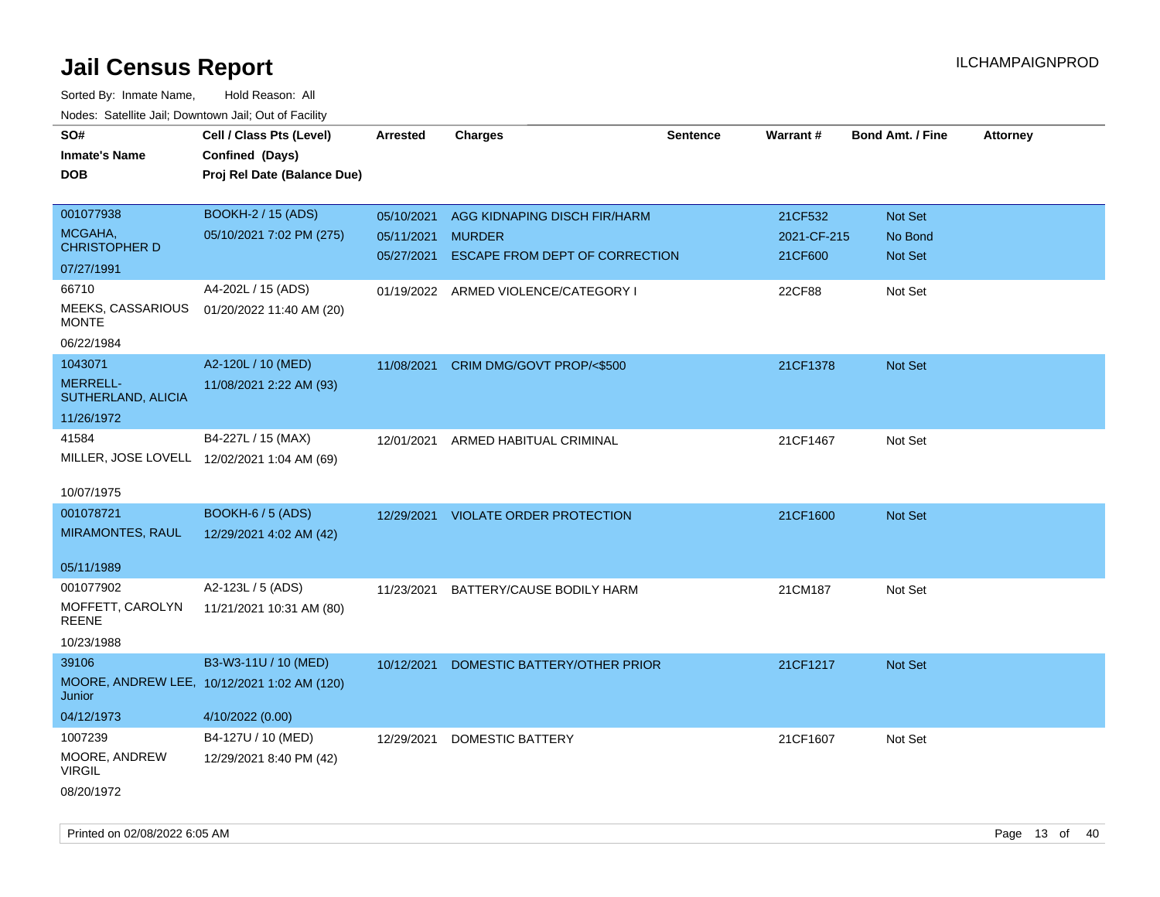| SO#                                         | Cell / Class Pts (Level)                    | <b>Arrested</b> | <b>Charges</b>                      | <b>Sentence</b> | Warrant#    | <b>Bond Amt. / Fine</b> | Attorney |
|---------------------------------------------|---------------------------------------------|-----------------|-------------------------------------|-----------------|-------------|-------------------------|----------|
| <b>Inmate's Name</b>                        | Confined (Days)                             |                 |                                     |                 |             |                         |          |
| <b>DOB</b>                                  | Proj Rel Date (Balance Due)                 |                 |                                     |                 |             |                         |          |
|                                             |                                             |                 |                                     |                 |             |                         |          |
| 001077938                                   | <b>BOOKH-2 / 15 (ADS)</b>                   | 05/10/2021      | AGG KIDNAPING DISCH FIR/HARM        |                 | 21CF532     | Not Set                 |          |
| MCGAHA,                                     | 05/10/2021 7:02 PM (275)                    | 05/11/2021      | <b>MURDER</b>                       |                 | 2021-CF-215 | No Bond                 |          |
| <b>CHRISTOPHER D</b>                        |                                             | 05/27/2021      | ESCAPE FROM DEPT OF CORRECTION      |                 | 21CF600     | Not Set                 |          |
| 07/27/1991                                  |                                             |                 |                                     |                 |             |                         |          |
| 66710                                       | A4-202L / 15 (ADS)                          | 01/19/2022      | ARMED VIOLENCE/CATEGORY I           |                 | 22CF88      | Not Set                 |          |
| MEEKS, CASSARIOUS<br><b>MONTE</b>           | 01/20/2022 11:40 AM (20)                    |                 |                                     |                 |             |                         |          |
| 06/22/1984                                  |                                             |                 |                                     |                 |             |                         |          |
| 1043071                                     | A2-120L / 10 (MED)                          | 11/08/2021      | CRIM DMG/GOVT PROP/<\$500           |                 | 21CF1378    | Not Set                 |          |
| MERRELL-                                    | 11/08/2021 2:22 AM (93)                     |                 |                                     |                 |             |                         |          |
| SUTHERLAND, ALICIA                          |                                             |                 |                                     |                 |             |                         |          |
| 11/26/1972                                  |                                             |                 |                                     |                 |             |                         |          |
| 41584                                       | B4-227L / 15 (MAX)                          | 12/01/2021      | ARMED HABITUAL CRIMINAL             |                 | 21CF1467    | Not Set                 |          |
| MILLER, JOSE LOVELL 12/02/2021 1:04 AM (69) |                                             |                 |                                     |                 |             |                         |          |
|                                             |                                             |                 |                                     |                 |             |                         |          |
| 10/07/1975                                  |                                             |                 |                                     |                 |             |                         |          |
| 001078721                                   | <b>BOOKH-6 / 5 (ADS)</b>                    |                 | 12/29/2021 VIOLATE ORDER PROTECTION |                 | 21CF1600    | Not Set                 |          |
| <b>MIRAMONTES, RAUL</b>                     | 12/29/2021 4:02 AM (42)                     |                 |                                     |                 |             |                         |          |
|                                             |                                             |                 |                                     |                 |             |                         |          |
| 05/11/1989                                  |                                             |                 |                                     |                 |             |                         |          |
| 001077902                                   | A2-123L / 5 (ADS)                           | 11/23/2021      | BATTERY/CAUSE BODILY HARM           |                 | 21CM187     | Not Set                 |          |
| MOFFETT, CAROLYN                            | 11/21/2021 10:31 AM (80)                    |                 |                                     |                 |             |                         |          |
| <b>REENE</b>                                |                                             |                 |                                     |                 |             |                         |          |
| 10/23/1988                                  |                                             |                 |                                     |                 |             |                         |          |
| 39106                                       | B3-W3-11U / 10 (MED)                        | 10/12/2021      | DOMESTIC BATTERY/OTHER PRIOR        |                 | 21CF1217    | Not Set                 |          |
|                                             | MOORE, ANDREW LEE, 10/12/2021 1:02 AM (120) |                 |                                     |                 |             |                         |          |
| Junior                                      |                                             |                 |                                     |                 |             |                         |          |
| 04/12/1973                                  | 4/10/2022 (0.00)                            |                 |                                     |                 |             |                         |          |
| 1007239                                     | B4-127U / 10 (MED)                          | 12/29/2021      | <b>DOMESTIC BATTERY</b>             |                 | 21CF1607    | Not Set                 |          |
| MOORE, ANDREW                               | 12/29/2021 8:40 PM (42)                     |                 |                                     |                 |             |                         |          |
| <b>VIRGIL</b>                               |                                             |                 |                                     |                 |             |                         |          |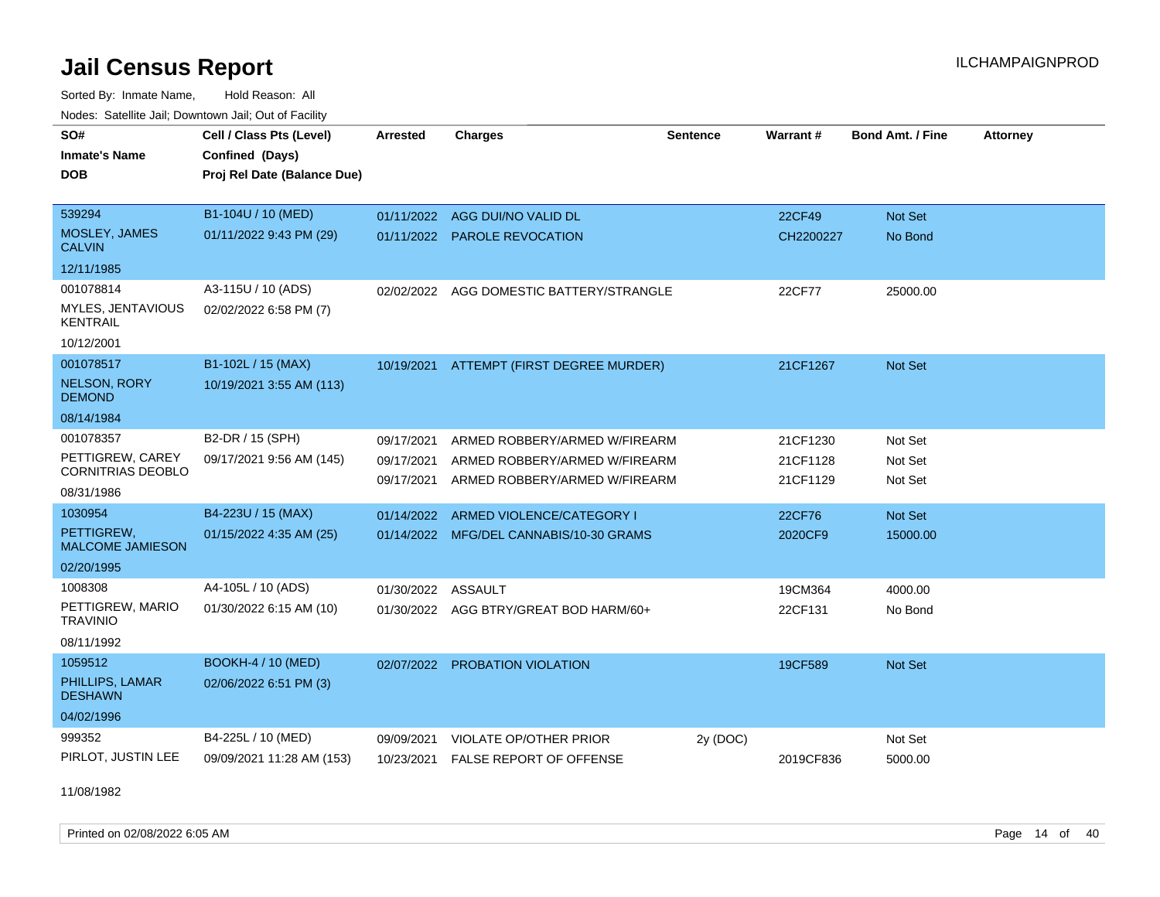Sorted By: Inmate Name, Hold Reason: All Nodes: Satellite Jail; Downtown Jail; Out of Facility

| SO#                                   |                             |                 |                                          |                 |                 |                         |                 |
|---------------------------------------|-----------------------------|-----------------|------------------------------------------|-----------------|-----------------|-------------------------|-----------------|
|                                       | Cell / Class Pts (Level)    | <b>Arrested</b> | <b>Charges</b>                           | <b>Sentence</b> | <b>Warrant#</b> | <b>Bond Amt. / Fine</b> | <b>Attorney</b> |
| <b>Inmate's Name</b>                  | Confined (Days)             |                 |                                          |                 |                 |                         |                 |
| <b>DOB</b>                            | Proj Rel Date (Balance Due) |                 |                                          |                 |                 |                         |                 |
|                                       |                             |                 |                                          |                 |                 |                         |                 |
| 539294                                | B1-104U / 10 (MED)          | 01/11/2022      | AGG DUI/NO VALID DL                      |                 | <b>22CF49</b>   | Not Set                 |                 |
| MOSLEY, JAMES<br><b>CALVIN</b>        | 01/11/2022 9:43 PM (29)     |                 | 01/11/2022 PAROLE REVOCATION             |                 | CH2200227       | No Bond                 |                 |
| 12/11/1985                            |                             |                 |                                          |                 |                 |                         |                 |
| 001078814                             | A3-115U / 10 (ADS)          |                 | 02/02/2022 AGG DOMESTIC BATTERY/STRANGLE |                 | 22CF77          | 25000.00                |                 |
| MYLES, JENTAVIOUS<br><b>KENTRAIL</b>  | 02/02/2022 6:58 PM (7)      |                 |                                          |                 |                 |                         |                 |
| 10/12/2001                            |                             |                 |                                          |                 |                 |                         |                 |
| 001078517                             | B1-102L / 15 (MAX)          |                 | 10/19/2021 ATTEMPT (FIRST DEGREE MURDER) |                 | 21CF1267        | Not Set                 |                 |
| <b>NELSON, RORY</b><br><b>DEMOND</b>  | 10/19/2021 3:55 AM (113)    |                 |                                          |                 |                 |                         |                 |
| 08/14/1984                            |                             |                 |                                          |                 |                 |                         |                 |
| 001078357                             | B2-DR / 15 (SPH)            | 09/17/2021      | ARMED ROBBERY/ARMED W/FIREARM            |                 | 21CF1230        | Not Set                 |                 |
| PETTIGREW, CAREY                      | 09/17/2021 9:56 AM (145)    | 09/17/2021      | ARMED ROBBERY/ARMED W/FIREARM            |                 | 21CF1128        | Not Set                 |                 |
| <b>CORNITRIAS DEOBLO</b>              |                             | 09/17/2021      | ARMED ROBBERY/ARMED W/FIREARM            |                 | 21CF1129        | Not Set                 |                 |
| 08/31/1986                            |                             |                 |                                          |                 |                 |                         |                 |
| 1030954                               | B4-223U / 15 (MAX)          | 01/14/2022      | ARMED VIOLENCE/CATEGORY I                |                 | 22CF76          | Not Set                 |                 |
| PETTIGREW.<br><b>MALCOME JAMIESON</b> | 01/15/2022 4:35 AM (25)     |                 | 01/14/2022 MFG/DEL CANNABIS/10-30 GRAMS  |                 | 2020CF9         | 15000.00                |                 |
| 02/20/1995                            |                             |                 |                                          |                 |                 |                         |                 |
| 1008308                               | A4-105L / 10 (ADS)          | 01/30/2022      | ASSAULT                                  |                 | 19CM364         | 4000.00                 |                 |
| PETTIGREW, MARIO<br><b>TRAVINIO</b>   | 01/30/2022 6:15 AM (10)     |                 | 01/30/2022 AGG BTRY/GREAT BOD HARM/60+   |                 | 22CF131         | No Bond                 |                 |
| 08/11/1992                            |                             |                 |                                          |                 |                 |                         |                 |
| 1059512                               | <b>BOOKH-4 / 10 (MED)</b>   | 02/07/2022      | PROBATION VIOLATION                      |                 | 19CF589         | Not Set                 |                 |
| PHILLIPS, LAMAR<br><b>DESHAWN</b>     | 02/06/2022 6:51 PM (3)      |                 |                                          |                 |                 |                         |                 |
| 04/02/1996                            |                             |                 |                                          |                 |                 |                         |                 |
| 999352                                | B4-225L / 10 (MED)          | 09/09/2021      | <b>VIOLATE OP/OTHER PRIOR</b>            | 2y (DOC)        |                 | Not Set                 |                 |
| PIRLOT, JUSTIN LEE                    | 09/09/2021 11:28 AM (153)   | 10/23/2021      | FALSE REPORT OF OFFENSE                  |                 | 2019CF836       | 5000.00                 |                 |

11/08/1982

Printed on 02/08/2022 6:05 AM Page 14 of 40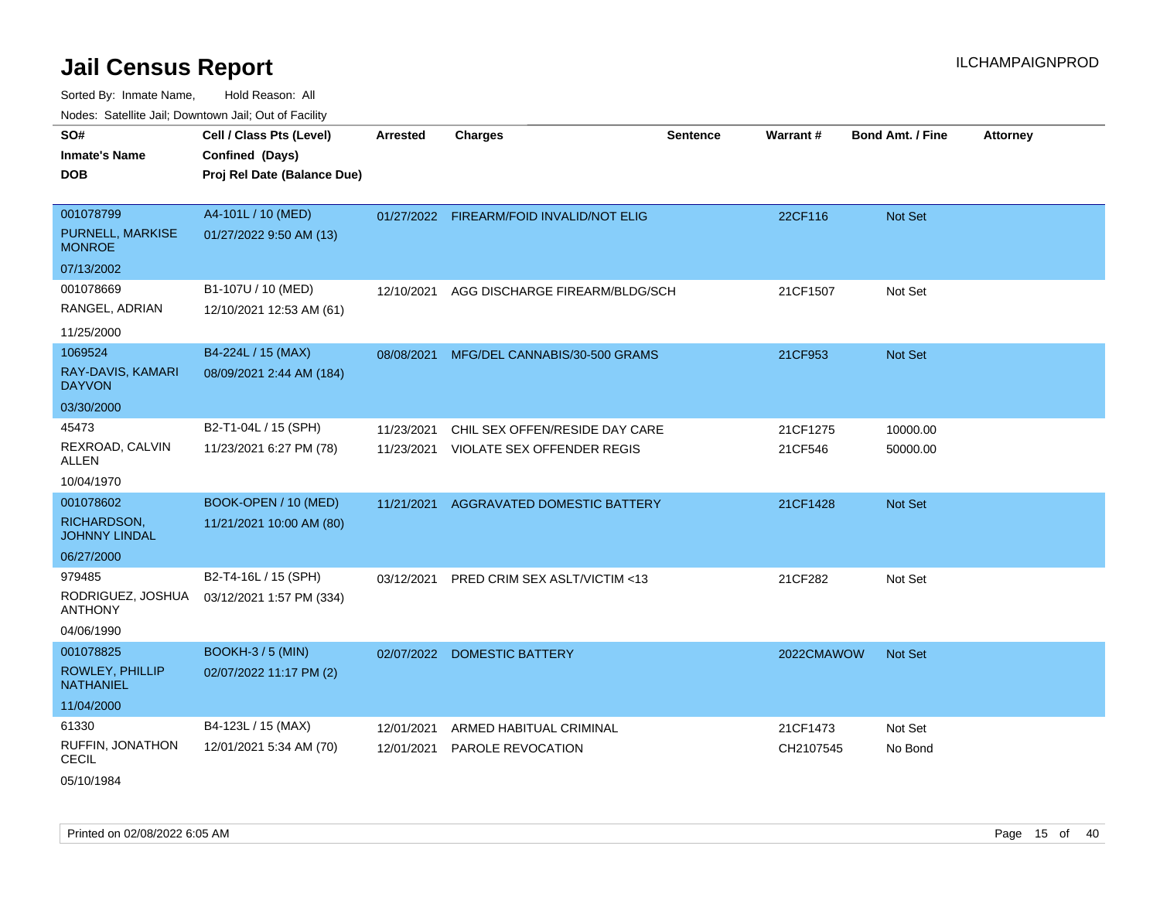| rouco. Calcillo Jali, Downtown Jali, Out of Facility |                             |            |                                          |                 |            |                         |                 |
|------------------------------------------------------|-----------------------------|------------|------------------------------------------|-----------------|------------|-------------------------|-----------------|
| SO#                                                  | Cell / Class Pts (Level)    | Arrested   | <b>Charges</b>                           | <b>Sentence</b> | Warrant#   | <b>Bond Amt. / Fine</b> | <b>Attorney</b> |
| <b>Inmate's Name</b>                                 | Confined (Days)             |            |                                          |                 |            |                         |                 |
| <b>DOB</b>                                           | Proj Rel Date (Balance Due) |            |                                          |                 |            |                         |                 |
|                                                      |                             |            |                                          |                 |            |                         |                 |
| 001078799                                            | A4-101L / 10 (MED)          |            | 01/27/2022 FIREARM/FOID INVALID/NOT ELIG |                 | 22CF116    | Not Set                 |                 |
| <b>PURNELL, MARKISE</b><br><b>MONROE</b>             | 01/27/2022 9:50 AM (13)     |            |                                          |                 |            |                         |                 |
| 07/13/2002                                           |                             |            |                                          |                 |            |                         |                 |
| 001078669                                            | B1-107U / 10 (MED)          | 12/10/2021 | AGG DISCHARGE FIREARM/BLDG/SCH           |                 | 21CF1507   | Not Set                 |                 |
| RANGEL, ADRIAN                                       | 12/10/2021 12:53 AM (61)    |            |                                          |                 |            |                         |                 |
| 11/25/2000                                           |                             |            |                                          |                 |            |                         |                 |
| 1069524                                              | B4-224L / 15 (MAX)          | 08/08/2021 | MFG/DEL CANNABIS/30-500 GRAMS            |                 | 21CF953    | <b>Not Set</b>          |                 |
| RAY-DAVIS, KAMARI<br><b>DAYVON</b>                   | 08/09/2021 2:44 AM (184)    |            |                                          |                 |            |                         |                 |
| 03/30/2000                                           |                             |            |                                          |                 |            |                         |                 |
| 45473                                                | B2-T1-04L / 15 (SPH)        | 11/23/2021 | CHIL SEX OFFEN/RESIDE DAY CARE           |                 | 21CF1275   | 10000.00                |                 |
| REXROAD, CALVIN<br><b>ALLEN</b>                      | 11/23/2021 6:27 PM (78)     | 11/23/2021 | <b>VIOLATE SEX OFFENDER REGIS</b>        |                 | 21CF546    | 50000.00                |                 |
| 10/04/1970                                           |                             |            |                                          |                 |            |                         |                 |
| 001078602                                            | BOOK-OPEN / 10 (MED)        | 11/21/2021 | AGGRAVATED DOMESTIC BATTERY              |                 | 21CF1428   | Not Set                 |                 |
| RICHARDSON,<br><b>JOHNNY LINDAL</b>                  | 11/21/2021 10:00 AM (80)    |            |                                          |                 |            |                         |                 |
| 06/27/2000                                           |                             |            |                                          |                 |            |                         |                 |
| 979485                                               | B2-T4-16L / 15 (SPH)        | 03/12/2021 | PRED CRIM SEX ASLT/VICTIM <13            |                 | 21CF282    | Not Set                 |                 |
| RODRIGUEZ, JOSHUA<br><b>ANTHONY</b>                  | 03/12/2021 1:57 PM (334)    |            |                                          |                 |            |                         |                 |
| 04/06/1990                                           |                             |            |                                          |                 |            |                         |                 |
| 001078825                                            | <b>BOOKH-3/5 (MIN)</b>      |            | 02/07/2022 DOMESTIC BATTERY              |                 | 2022CMAWOW | Not Set                 |                 |
| <b>ROWLEY, PHILLIP</b><br><b>NATHANIEL</b>           | 02/07/2022 11:17 PM (2)     |            |                                          |                 |            |                         |                 |
| 11/04/2000                                           |                             |            |                                          |                 |            |                         |                 |
| 61330                                                | B4-123L / 15 (MAX)          | 12/01/2021 | ARMED HABITUAL CRIMINAL                  |                 | 21CF1473   | Not Set                 |                 |
| RUFFIN, JONATHON<br><b>CECIL</b>                     | 12/01/2021 5:34 AM (70)     | 12/01/2021 | <b>PAROLE REVOCATION</b>                 |                 | CH2107545  | No Bond                 |                 |
| 05/10/1984                                           |                             |            |                                          |                 |            |                         |                 |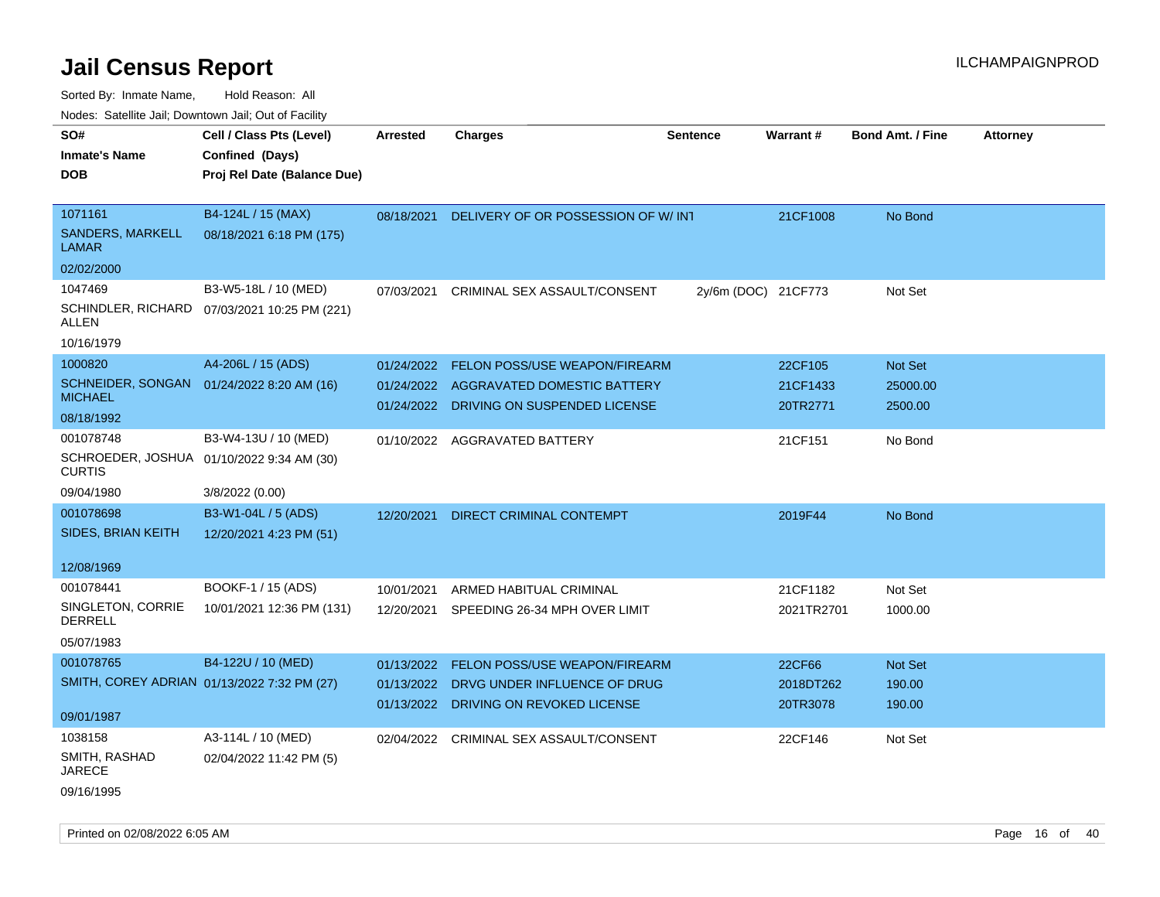| Nodes: Satellite Jail; Downtown Jail; Out of Facility |                                             |            |                                          |                     |                 |                         |                 |
|-------------------------------------------------------|---------------------------------------------|------------|------------------------------------------|---------------------|-----------------|-------------------------|-----------------|
| SO#                                                   | Cell / Class Pts (Level)                    | Arrested   | <b>Charges</b>                           | <b>Sentence</b>     | <b>Warrant#</b> | <b>Bond Amt. / Fine</b> | <b>Attorney</b> |
| <b>Inmate's Name</b>                                  | Confined (Days)                             |            |                                          |                     |                 |                         |                 |
| <b>DOB</b>                                            | Proj Rel Date (Balance Due)                 |            |                                          |                     |                 |                         |                 |
|                                                       |                                             |            |                                          |                     |                 |                         |                 |
| 1071161                                               | B4-124L / 15 (MAX)                          | 08/18/2021 | DELIVERY OF OR POSSESSION OF W/ INT      |                     | 21CF1008        | No Bond                 |                 |
| SANDERS, MARKELL<br><b>LAMAR</b>                      | 08/18/2021 6:18 PM (175)                    |            |                                          |                     |                 |                         |                 |
| 02/02/2000                                            |                                             |            |                                          |                     |                 |                         |                 |
| 1047469                                               | B3-W5-18L / 10 (MED)                        | 07/03/2021 | CRIMINAL SEX ASSAULT/CONSENT             | 2y/6m (DOC) 21CF773 |                 | Not Set                 |                 |
| SCHINDLER, RICHARD<br>ALLEN                           | 07/03/2021 10:25 PM (221)                   |            |                                          |                     |                 |                         |                 |
| 10/16/1979                                            |                                             |            |                                          |                     |                 |                         |                 |
| 1000820                                               | A4-206L / 15 (ADS)                          | 01/24/2022 | <b>FELON POSS/USE WEAPON/FIREARM</b>     |                     | 22CF105         | Not Set                 |                 |
| SCHNEIDER, SONGAN                                     | 01/24/2022 8:20 AM (16)                     | 01/24/2022 | AGGRAVATED DOMESTIC BATTERY              |                     | 21CF1433        | 25000.00                |                 |
| <b>MICHAEL</b>                                        |                                             |            | 01/24/2022 DRIVING ON SUSPENDED LICENSE  |                     | 20TR2771        | 2500.00                 |                 |
| 08/18/1992                                            |                                             |            |                                          |                     |                 |                         |                 |
| 001078748                                             | B3-W4-13U / 10 (MED)                        | 01/10/2022 | AGGRAVATED BATTERY                       |                     | 21CF151         | No Bond                 |                 |
| <b>CURTIS</b>                                         | SCHROEDER, JOSHUA 01/10/2022 9:34 AM (30)   |            |                                          |                     |                 |                         |                 |
| 09/04/1980                                            | 3/8/2022 (0.00)                             |            |                                          |                     |                 |                         |                 |
| 001078698                                             | B3-W1-04L / 5 (ADS)                         | 12/20/2021 | DIRECT CRIMINAL CONTEMPT                 |                     | 2019F44         | No Bond                 |                 |
| SIDES, BRIAN KEITH                                    | 12/20/2021 4:23 PM (51)                     |            |                                          |                     |                 |                         |                 |
|                                                       |                                             |            |                                          |                     |                 |                         |                 |
| 12/08/1969                                            |                                             |            |                                          |                     |                 |                         |                 |
| 001078441                                             | BOOKF-1 / 15 (ADS)                          | 10/01/2021 | ARMED HABITUAL CRIMINAL                  |                     | 21CF1182        | Not Set                 |                 |
| SINGLETON, CORRIE<br><b>DERRELL</b>                   | 10/01/2021 12:36 PM (131)                   |            | 12/20/2021 SPEEDING 26-34 MPH OVER LIMIT |                     | 2021TR2701      | 1000.00                 |                 |
| 05/07/1983                                            |                                             |            |                                          |                     |                 |                         |                 |
|                                                       |                                             |            |                                          |                     |                 |                         |                 |
| 001078765                                             | B4-122U / 10 (MED)                          | 01/13/2022 | FELON POSS/USE WEAPON/FIREARM            |                     | 22CF66          | Not Set                 |                 |
|                                                       | SMITH, COREY ADRIAN 01/13/2022 7:32 PM (27) | 01/13/2022 | DRVG UNDER INFLUENCE OF DRUG             |                     | 2018DT262       | 190.00                  |                 |
| 09/01/1987                                            |                                             |            | 01/13/2022 DRIVING ON REVOKED LICENSE    |                     | 20TR3078        | 190.00                  |                 |
| 1038158                                               | A3-114L / 10 (MED)                          |            | 02/04/2022 CRIMINAL SEX ASSAULT/CONSENT  |                     | 22CF146         | Not Set                 |                 |
| SMITH, RASHAD                                         | 02/04/2022 11:42 PM (5)                     |            |                                          |                     |                 |                         |                 |
| <b>JARECE</b>                                         |                                             |            |                                          |                     |                 |                         |                 |
| 09/16/1995                                            |                                             |            |                                          |                     |                 |                         |                 |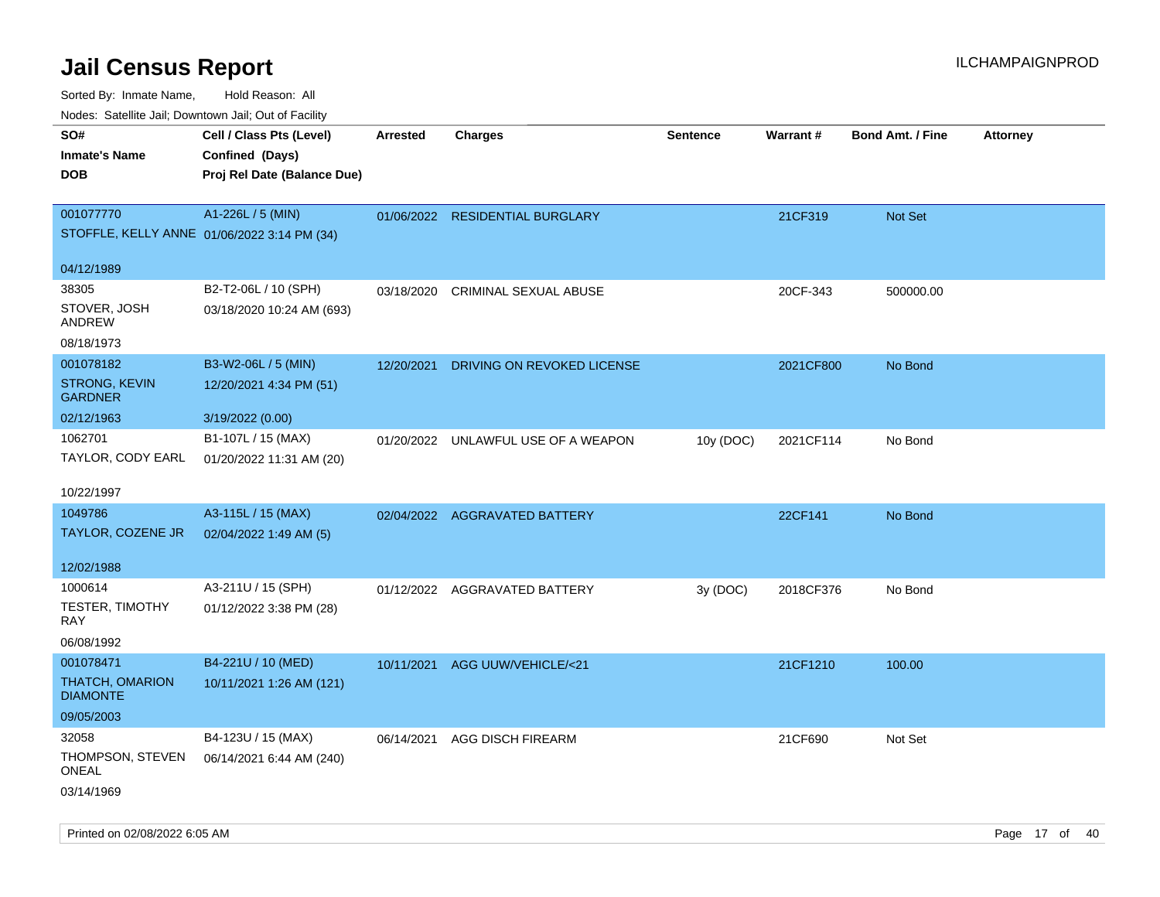| Nodes. Satellite Jali, Downtown Jali, Out of Facility |                             |                 |                                 |                 |           |                         |                 |
|-------------------------------------------------------|-----------------------------|-----------------|---------------------------------|-----------------|-----------|-------------------------|-----------------|
| SO#                                                   | Cell / Class Pts (Level)    | <b>Arrested</b> | <b>Charges</b>                  | <b>Sentence</b> | Warrant#  | <b>Bond Amt. / Fine</b> | <b>Attorney</b> |
| <b>Inmate's Name</b>                                  | Confined (Days)             |                 |                                 |                 |           |                         |                 |
| <b>DOB</b>                                            | Proj Rel Date (Balance Due) |                 |                                 |                 |           |                         |                 |
|                                                       |                             |                 |                                 |                 |           |                         |                 |
| 001077770                                             | A1-226L / 5 (MIN)           |                 | 01/06/2022 RESIDENTIAL BURGLARY |                 | 21CF319   | Not Set                 |                 |
| STOFFLE, KELLY ANNE 01/06/2022 3:14 PM (34)           |                             |                 |                                 |                 |           |                         |                 |
|                                                       |                             |                 |                                 |                 |           |                         |                 |
| 04/12/1989                                            |                             |                 |                                 |                 |           |                         |                 |
| 38305                                                 | B2-T2-06L / 10 (SPH)        | 03/18/2020      | <b>CRIMINAL SEXUAL ABUSE</b>    |                 | 20CF-343  | 500000.00               |                 |
| STOVER, JOSH                                          | 03/18/2020 10:24 AM (693)   |                 |                                 |                 |           |                         |                 |
| ANDREW                                                |                             |                 |                                 |                 |           |                         |                 |
| 08/18/1973                                            |                             |                 |                                 |                 |           |                         |                 |
| 001078182                                             | B3-W2-06L / 5 (MIN)         | 12/20/2021      | DRIVING ON REVOKED LICENSE      |                 | 2021CF800 | No Bond                 |                 |
| <b>STRONG, KEVIN</b><br><b>GARDNER</b>                | 12/20/2021 4:34 PM (51)     |                 |                                 |                 |           |                         |                 |
| 02/12/1963                                            | 3/19/2022 (0.00)            |                 |                                 |                 |           |                         |                 |
| 1062701                                               | B1-107L / 15 (MAX)          |                 |                                 |                 |           |                         |                 |
|                                                       |                             | 01/20/2022      | UNLAWFUL USE OF A WEAPON        | 10y (DOC)       | 2021CF114 | No Bond                 |                 |
| TAYLOR, CODY EARL                                     | 01/20/2022 11:31 AM (20)    |                 |                                 |                 |           |                         |                 |
| 10/22/1997                                            |                             |                 |                                 |                 |           |                         |                 |
| 1049786                                               | A3-115L / 15 (MAX)          |                 | 02/04/2022 AGGRAVATED BATTERY   |                 | 22CF141   | No Bond                 |                 |
| TAYLOR, COZENE JR                                     | 02/04/2022 1:49 AM (5)      |                 |                                 |                 |           |                         |                 |
|                                                       |                             |                 |                                 |                 |           |                         |                 |
| 12/02/1988                                            |                             |                 |                                 |                 |           |                         |                 |
| 1000614                                               | A3-211U / 15 (SPH)          | 01/12/2022      | AGGRAVATED BATTERY              | 3y (DOC)        | 2018CF376 | No Bond                 |                 |
| <b>TESTER, TIMOTHY</b>                                | 01/12/2022 3:38 PM (28)     |                 |                                 |                 |           |                         |                 |
| RAY                                                   |                             |                 |                                 |                 |           |                         |                 |
| 06/08/1992                                            |                             |                 |                                 |                 |           |                         |                 |
| 001078471                                             | B4-221U / 10 (MED)          | 10/11/2021      | AGG UUW/VEHICLE/<21             |                 | 21CF1210  | 100.00                  |                 |
| THATCH, OMARION<br><b>DIAMONTE</b>                    | 10/11/2021 1:26 AM (121)    |                 |                                 |                 |           |                         |                 |
| 09/05/2003                                            |                             |                 |                                 |                 |           |                         |                 |
|                                                       |                             |                 |                                 |                 |           |                         |                 |
| 32058                                                 | B4-123U / 15 (MAX)          | 06/14/2021      | <b>AGG DISCH FIREARM</b>        |                 | 21CF690   | Not Set                 |                 |
| THOMPSON, STEVEN<br>ONEAL                             | 06/14/2021 6:44 AM (240)    |                 |                                 |                 |           |                         |                 |
| 03/14/1969                                            |                             |                 |                                 |                 |           |                         |                 |
|                                                       |                             |                 |                                 |                 |           |                         |                 |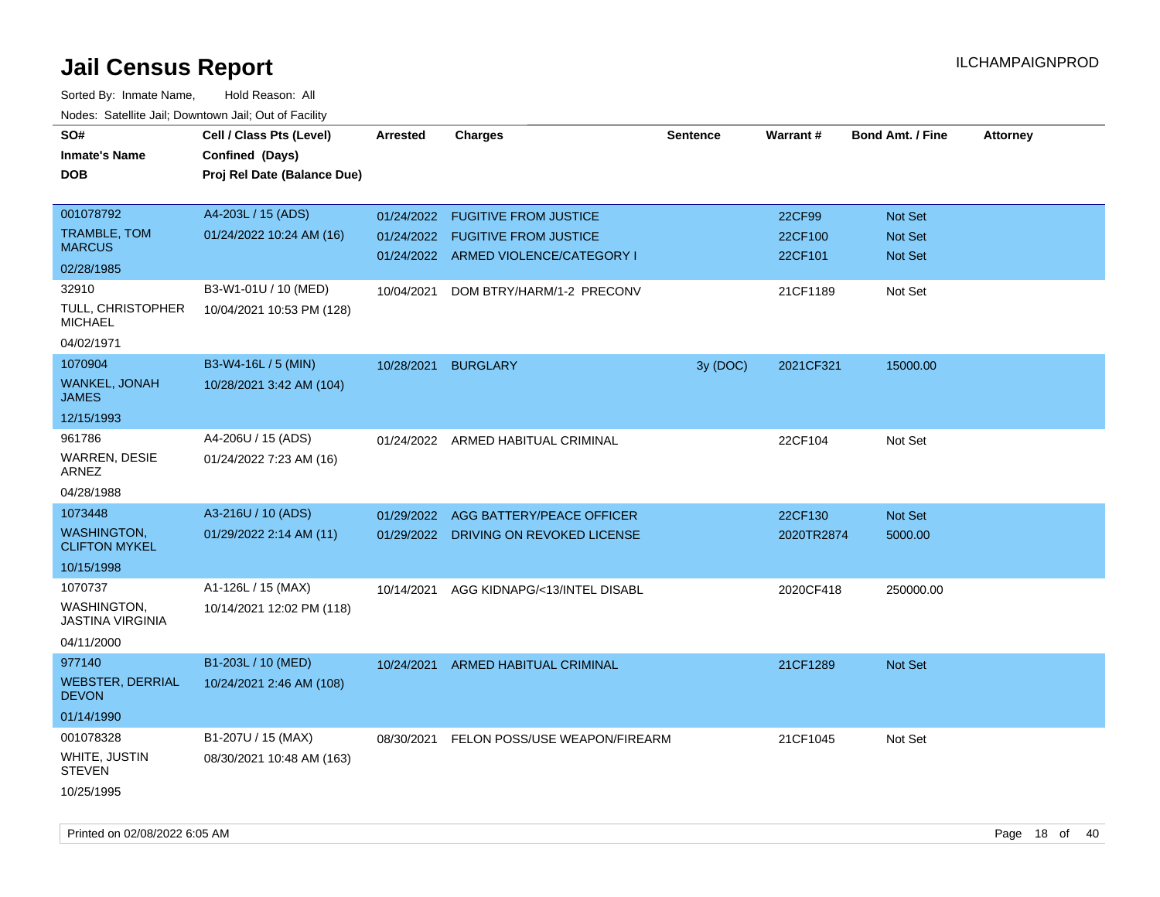| SO#<br><b>Inmate's Name</b><br>DOB         | Cell / Class Pts (Level)<br>Confined (Days)<br>Proj Rel Date (Balance Due) | Arrested   | <b>Charges</b>                           | <b>Sentence</b> | Warrant#   | <b>Bond Amt. / Fine</b> | <b>Attorney</b> |
|--------------------------------------------|----------------------------------------------------------------------------|------------|------------------------------------------|-----------------|------------|-------------------------|-----------------|
| 001078792                                  | A4-203L / 15 (ADS)                                                         | 01/24/2022 | <b>FUGITIVE FROM JUSTICE</b>             |                 | 22CF99     | Not Set                 |                 |
| TRAMBLE, TOM<br><b>MARCUS</b>              | 01/24/2022 10:24 AM (16)                                                   | 01/24/2022 | <b>FUGITIVE FROM JUSTICE</b>             |                 | 22CF100    | <b>Not Set</b>          |                 |
| 02/28/1985                                 |                                                                            |            | 01/24/2022 ARMED VIOLENCE/CATEGORY I     |                 | 22CF101    | Not Set                 |                 |
| 32910                                      | B3-W1-01U / 10 (MED)                                                       | 10/04/2021 | DOM BTRY/HARM/1-2 PRECONV                |                 | 21CF1189   | Not Set                 |                 |
| TULL, CHRISTOPHER<br><b>MICHAEL</b>        | 10/04/2021 10:53 PM (128)                                                  |            |                                          |                 |            |                         |                 |
| 04/02/1971                                 |                                                                            |            |                                          |                 |            |                         |                 |
| 1070904                                    | B3-W4-16L / 5 (MIN)                                                        | 10/28/2021 | <b>BURGLARY</b>                          | 3y (DOC)        | 2021CF321  | 15000.00                |                 |
| WANKEL, JONAH<br><b>JAMES</b>              | 10/28/2021 3:42 AM (104)                                                   |            |                                          |                 |            |                         |                 |
| 12/15/1993                                 |                                                                            |            |                                          |                 |            |                         |                 |
| 961786                                     | A4-206U / 15 (ADS)                                                         |            | 01/24/2022 ARMED HABITUAL CRIMINAL       |                 | 22CF104    | Not Set                 |                 |
| WARREN, DESIE<br>ARNEZ                     | 01/24/2022 7:23 AM (16)                                                    |            |                                          |                 |            |                         |                 |
| 04/28/1988                                 |                                                                            |            |                                          |                 |            |                         |                 |
| 1073448                                    | A3-216U / 10 (ADS)                                                         | 01/29/2022 | AGG BATTERY/PEACE OFFICER                |                 | 22CF130    | Not Set                 |                 |
| <b>WASHINGTON.</b><br><b>CLIFTON MYKEL</b> | 01/29/2022 2:14 AM (11)                                                    |            | 01/29/2022 DRIVING ON REVOKED LICENSE    |                 | 2020TR2874 | 5000.00                 |                 |
| 10/15/1998                                 |                                                                            |            |                                          |                 |            |                         |                 |
| 1070737                                    | A1-126L / 15 (MAX)                                                         | 10/14/2021 | AGG KIDNAPG/<13/INTEL DISABL             |                 | 2020CF418  | 250000.00               |                 |
| WASHINGTON.<br>JASTINA VIRGINIA            | 10/14/2021 12:02 PM (118)                                                  |            |                                          |                 |            |                         |                 |
| 04/11/2000                                 |                                                                            |            |                                          |                 |            |                         |                 |
| 977140                                     | B1-203L / 10 (MED)                                                         | 10/24/2021 | ARMED HABITUAL CRIMINAL                  |                 | 21CF1289   | <b>Not Set</b>          |                 |
| <b>WEBSTER, DERRIAL</b><br><b>DEVON</b>    | 10/24/2021 2:46 AM (108)                                                   |            |                                          |                 |            |                         |                 |
| 01/14/1990                                 |                                                                            |            |                                          |                 |            |                         |                 |
| 001078328                                  | B1-207U / 15 (MAX)                                                         |            | 08/30/2021 FELON POSS/USE WEAPON/FIREARM |                 | 21CF1045   | Not Set                 |                 |
| WHITE, JUSTIN<br><b>STEVEN</b>             | 08/30/2021 10:48 AM (163)                                                  |            |                                          |                 |            |                         |                 |
| 10/25/1995                                 |                                                                            |            |                                          |                 |            |                         |                 |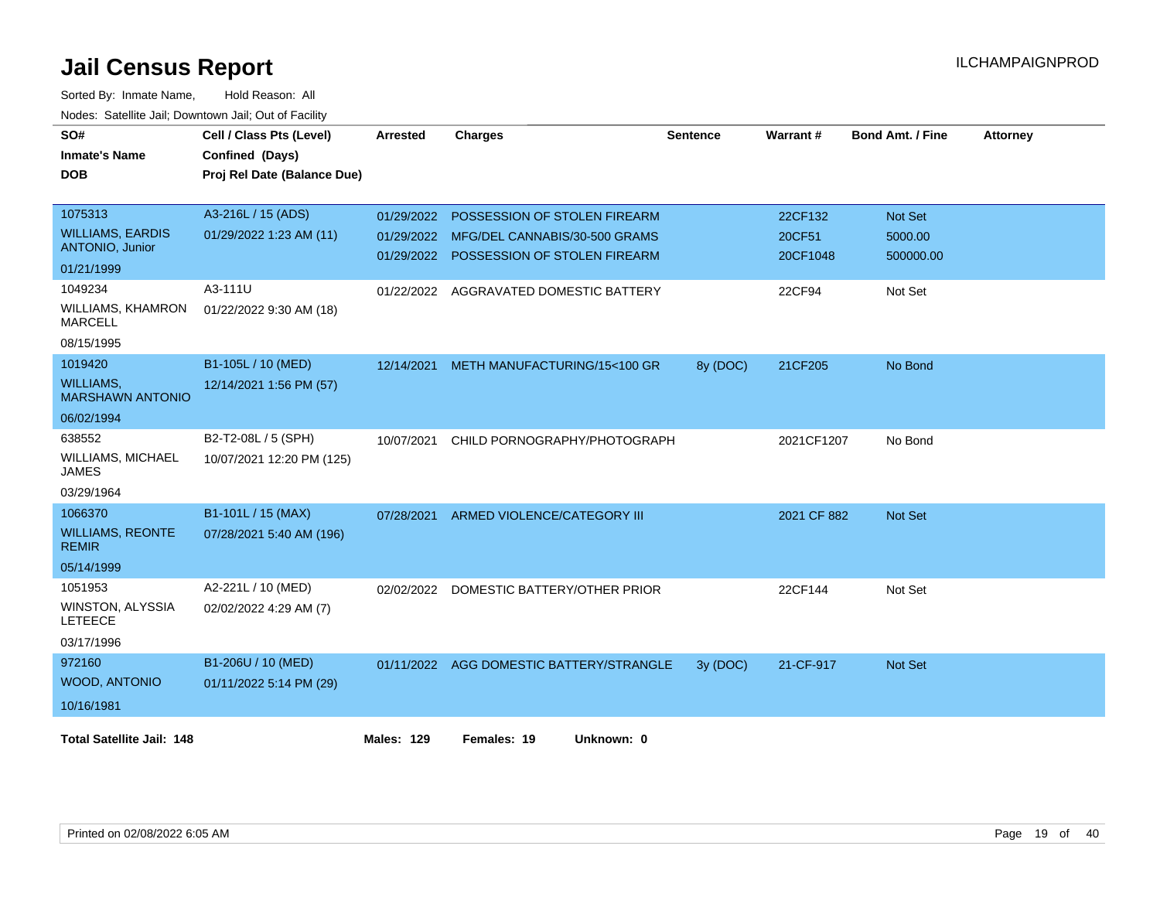| SO#                                         | Cell / Class Pts (Level)    | <b>Arrested</b>   | <b>Charges</b>                           | <b>Sentence</b> | Warrant#    | <b>Bond Amt. / Fine</b> | <b>Attorney</b> |
|---------------------------------------------|-----------------------------|-------------------|------------------------------------------|-----------------|-------------|-------------------------|-----------------|
| <b>Inmate's Name</b>                        | Confined (Days)             |                   |                                          |                 |             |                         |                 |
| <b>DOB</b>                                  | Proj Rel Date (Balance Due) |                   |                                          |                 |             |                         |                 |
| 1075313                                     | A3-216L / 15 (ADS)          | 01/29/2022        | POSSESSION OF STOLEN FIREARM             |                 | 22CF132     | <b>Not Set</b>          |                 |
| <b>WILLIAMS, EARDIS</b>                     | 01/29/2022 1:23 AM (11)     |                   | 01/29/2022 MFG/DEL CANNABIS/30-500 GRAMS |                 | 20CF51      | 5000.00                 |                 |
| ANTONIO, Junior                             |                             | 01/29/2022        | POSSESSION OF STOLEN FIREARM             |                 | 20CF1048    | 500000.00               |                 |
| 01/21/1999                                  |                             |                   |                                          |                 |             |                         |                 |
| 1049234                                     | A3-111U                     | 01/22/2022        | AGGRAVATED DOMESTIC BATTERY              |                 | 22CF94      | Not Set                 |                 |
| <b>WILLIAMS, KHAMRON</b><br><b>MARCELL</b>  | 01/22/2022 9:30 AM (18)     |                   |                                          |                 |             |                         |                 |
| 08/15/1995                                  |                             |                   |                                          |                 |             |                         |                 |
| 1019420                                     | B1-105L / 10 (MED)          | 12/14/2021        | METH MANUFACTURING/15<100 GR             | 8y (DOC)        | 21CF205     | No Bond                 |                 |
| <b>WILLIAMS.</b><br><b>MARSHAWN ANTONIO</b> | 12/14/2021 1:56 PM (57)     |                   |                                          |                 |             |                         |                 |
| 06/02/1994                                  |                             |                   |                                          |                 |             |                         |                 |
| 638552                                      | B2-T2-08L / 5 (SPH)         | 10/07/2021        | CHILD PORNOGRAPHY/PHOTOGRAPH             |                 | 2021CF1207  | No Bond                 |                 |
| <b>WILLIAMS, MICHAEL</b><br><b>JAMES</b>    | 10/07/2021 12:20 PM (125)   |                   |                                          |                 |             |                         |                 |
| 03/29/1964                                  |                             |                   |                                          |                 |             |                         |                 |
| 1066370                                     | B1-101L / 15 (MAX)          | 07/28/2021        | ARMED VIOLENCE/CATEGORY III              |                 | 2021 CF 882 | <b>Not Set</b>          |                 |
| <b>WILLIAMS, REONTE</b><br><b>REMIR</b>     | 07/28/2021 5:40 AM (196)    |                   |                                          |                 |             |                         |                 |
| 05/14/1999                                  |                             |                   |                                          |                 |             |                         |                 |
| 1051953                                     | A2-221L / 10 (MED)          | 02/02/2022        | DOMESTIC BATTERY/OTHER PRIOR             |                 | 22CF144     | Not Set                 |                 |
| WINSTON, ALYSSIA<br><b>LETEECE</b>          | 02/02/2022 4:29 AM (7)      |                   |                                          |                 |             |                         |                 |
| 03/17/1996                                  |                             |                   |                                          |                 |             |                         |                 |
| 972160                                      | B1-206U / 10 (MED)          |                   | 01/11/2022 AGG DOMESTIC BATTERY/STRANGLE | 3y (DOC)        | 21-CF-917   | Not Set                 |                 |
| <b>WOOD, ANTONIO</b>                        | 01/11/2022 5:14 PM (29)     |                   |                                          |                 |             |                         |                 |
| 10/16/1981                                  |                             |                   |                                          |                 |             |                         |                 |
| <b>Total Satellite Jail: 148</b>            |                             | <b>Males: 129</b> | Females: 19<br>Unknown: 0                |                 |             |                         |                 |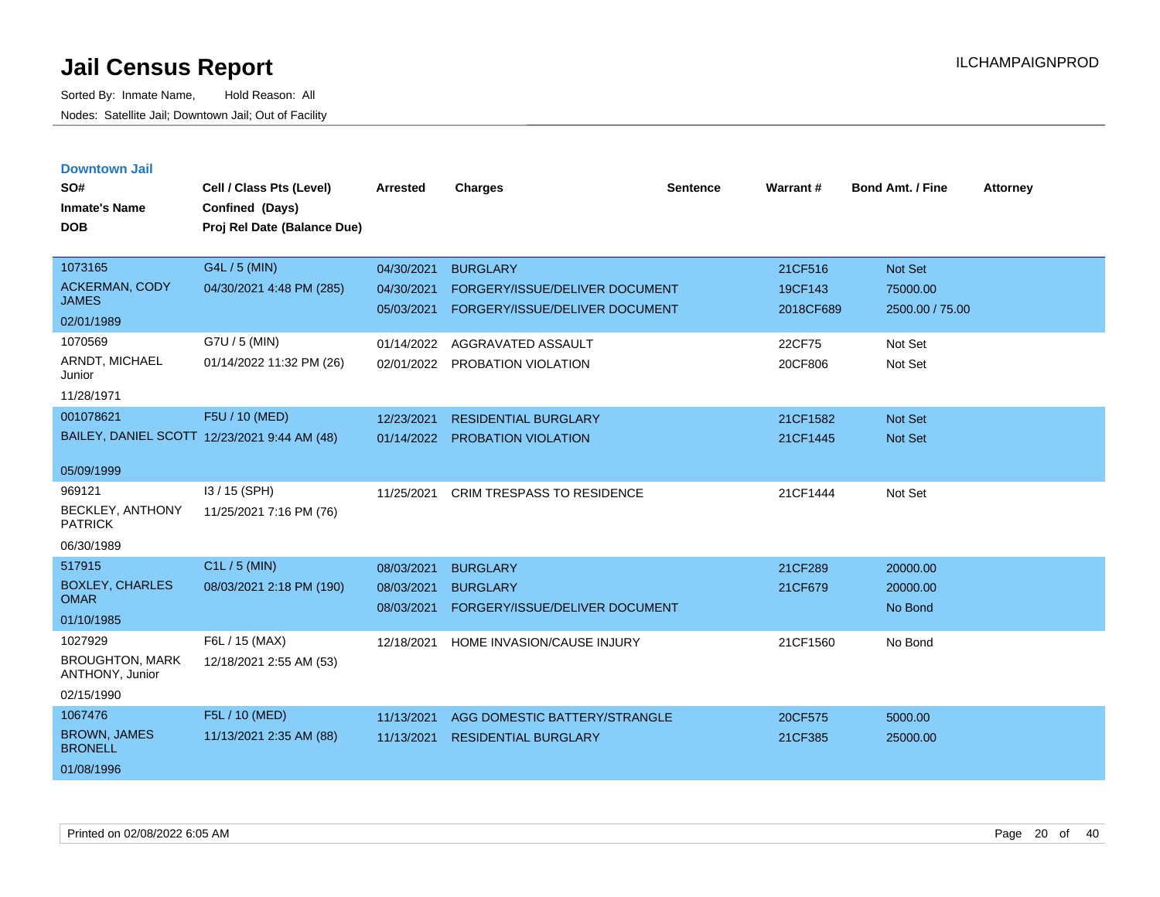| <b>Downtown Jail</b><br>SO#<br><b>Inmate's Name</b><br><b>DOB</b>  | Cell / Class Pts (Level)<br>Confined (Days)<br>Proj Rel Date (Balance Due) | Arrested                               | <b>Charges</b>                                                                      | Sentence | Warrant#                        | <b>Bond Amt. / Fine</b>                       | <b>Attorney</b> |
|--------------------------------------------------------------------|----------------------------------------------------------------------------|----------------------------------------|-------------------------------------------------------------------------------------|----------|---------------------------------|-----------------------------------------------|-----------------|
| 1073165<br><b>ACKERMAN, CODY</b><br><b>JAMES</b><br>02/01/1989     | G4L / 5 (MIN)<br>04/30/2021 4:48 PM (285)                                  | 04/30/2021<br>04/30/2021<br>05/03/2021 | <b>BURGLARY</b><br>FORGERY/ISSUE/DELIVER DOCUMENT<br>FORGERY/ISSUE/DELIVER DOCUMENT |          | 21CF516<br>19CF143<br>2018CF689 | <b>Not Set</b><br>75000.00<br>2500.00 / 75.00 |                 |
| 1070569<br>ARNDT, MICHAEL<br>Junior<br>11/28/1971                  | G7U / 5 (MIN)<br>01/14/2022 11:32 PM (26)                                  | 01/14/2022<br>02/01/2022               | AGGRAVATED ASSAULT<br>PROBATION VIOLATION                                           |          | 22CF75<br>20CF806               | Not Set<br>Not Set                            |                 |
| 001078621<br>05/09/1999                                            | F5U / 10 (MED)<br>BAILEY, DANIEL SCOTT 12/23/2021 9:44 AM (48)             | 12/23/2021<br>01/14/2022               | <b>RESIDENTIAL BURGLARY</b><br>PROBATION VIOLATION                                  |          | 21CF1582<br>21CF1445            | Not Set<br><b>Not Set</b>                     |                 |
| 969121<br><b>BECKLEY, ANTHONY</b><br><b>PATRICK</b><br>06/30/1989  | I3 / 15 (SPH)<br>11/25/2021 7:16 PM (76)                                   | 11/25/2021                             | <b>CRIM TRESPASS TO RESIDENCE</b>                                                   |          | 21CF1444                        | Not Set                                       |                 |
| 517915<br><b>BOXLEY, CHARLES</b><br><b>OMAR</b><br>01/10/1985      | C1L / 5 (MIN)<br>08/03/2021 2:18 PM (190)                                  | 08/03/2021<br>08/03/2021<br>08/03/2021 | <b>BURGLARY</b><br><b>BURGLARY</b><br>FORGERY/ISSUE/DELIVER DOCUMENT                |          | 21CF289<br>21CF679              | 20000.00<br>20000.00<br>No Bond               |                 |
| 1027929<br><b>BROUGHTON, MARK</b><br>ANTHONY, Junior<br>02/15/1990 | F6L / 15 (MAX)<br>12/18/2021 2:55 AM (53)                                  | 12/18/2021                             | HOME INVASION/CAUSE INJURY                                                          |          | 21CF1560                        | No Bond                                       |                 |
| 1067476<br><b>BROWN, JAMES</b><br><b>BRONELL</b><br>01/08/1996     | F5L / 10 (MED)<br>11/13/2021 2:35 AM (88)                                  | 11/13/2021<br>11/13/2021               | AGG DOMESTIC BATTERY/STRANGLE<br><b>RESIDENTIAL BURGLARY</b>                        |          | 20CF575<br>21CF385              | 5000.00<br>25000.00                           |                 |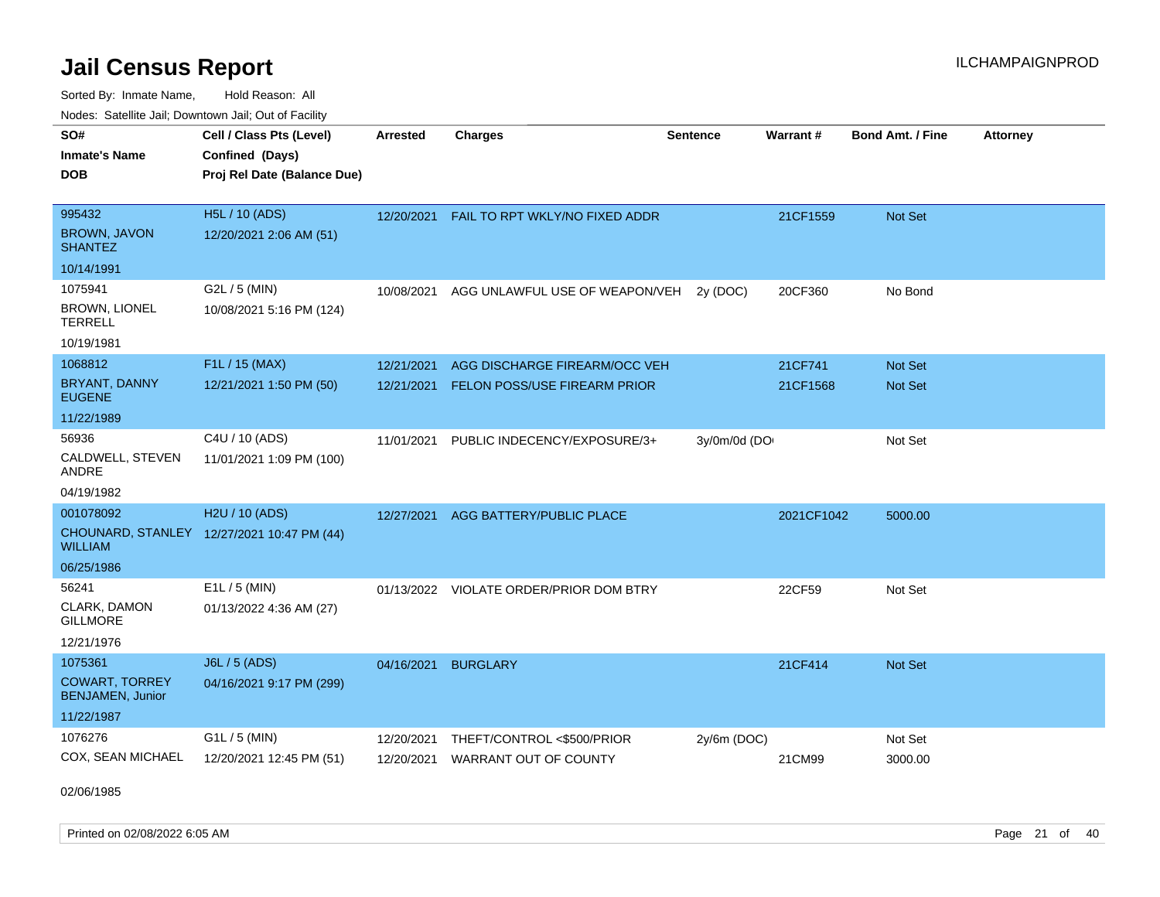Sorted By: Inmate Name, Hold Reason: All Nodes: Satellite Jail; Downtown Jail; Out of Facility

| SO#<br><b>Inmate's Name</b><br><b>DOB</b>                       | Cell / Class Pts (Level)<br>Confined (Days)<br>Proj Rel Date (Balance Due) | <b>Arrested</b> | <b>Charges</b>                 | <b>Sentence</b> | <b>Warrant#</b> | <b>Bond Amt. / Fine</b> | <b>Attorney</b> |
|-----------------------------------------------------------------|----------------------------------------------------------------------------|-----------------|--------------------------------|-----------------|-----------------|-------------------------|-----------------|
| 995432<br><b>BROWN, JAVON</b><br><b>SHANTEZ</b>                 | <b>H5L / 10 (ADS)</b><br>12/20/2021 2:06 AM (51)                           | 12/20/2021      | FAIL TO RPT WKLY/NO FIXED ADDR |                 | 21CF1559        | Not Set                 |                 |
| 10/14/1991                                                      |                                                                            |                 |                                |                 |                 |                         |                 |
| 1075941<br><b>BROWN, LIONEL</b><br><b>TERRELL</b><br>10/19/1981 | G2L / 5 (MIN)<br>10/08/2021 5:16 PM (124)                                  | 10/08/2021      | AGG UNLAWFUL USE OF WEAPON/VEH | 2y (DOC)        | 20CF360         | No Bond                 |                 |
| 1068812                                                         | F1L / 15 (MAX)                                                             | 12/21/2021      | AGG DISCHARGE FIREARM/OCC VEH  |                 | 21CF741         | <b>Not Set</b>          |                 |
| <b>BRYANT, DANNY</b><br><b>EUGENE</b>                           | 12/21/2021 1:50 PM (50)                                                    | 12/21/2021      | FELON POSS/USE FIREARM PRIOR   |                 | 21CF1568        | Not Set                 |                 |
| 11/22/1989                                                      |                                                                            |                 |                                |                 |                 |                         |                 |
| 56936<br>CALDWELL, STEVEN<br>ANDRE<br>04/19/1982                | C4U / 10 (ADS)<br>11/01/2021 1:09 PM (100)                                 | 11/01/2021      | PUBLIC INDECENCY/EXPOSURE/3+   | 3y/0m/0d (DO    |                 | Not Set                 |                 |
| 001078092                                                       | H2U / 10 (ADS)                                                             | 12/27/2021      | AGG BATTERY/PUBLIC PLACE       |                 | 2021CF1042      | 5000.00                 |                 |
| <b>WILLIAM</b>                                                  | CHOUNARD, STANLEY 12/27/2021 10:47 PM (44)                                 |                 |                                |                 |                 |                         |                 |
| 06/25/1986                                                      |                                                                            |                 |                                |                 |                 |                         |                 |
| 56241<br>CLARK, DAMON<br><b>GILLMORE</b><br>12/21/1976          | $E1L / 5$ (MIN)<br>01/13/2022 4:36 AM (27)                                 | 01/13/2022      | VIOLATE ORDER/PRIOR DOM BTRY   |                 | 22CF59          | Not Set                 |                 |
| 1075361                                                         | J6L / 5 (ADS)                                                              | 04/16/2021      | <b>BURGLARY</b>                |                 | 21CF414         | Not Set                 |                 |
| <b>COWART, TORREY</b><br><b>BENJAMEN, Junior</b>                | 04/16/2021 9:17 PM (299)                                                   |                 |                                |                 |                 |                         |                 |
| 11/22/1987                                                      |                                                                            |                 |                                |                 |                 |                         |                 |
| 1076276                                                         | G1L / 5 (MIN)                                                              | 12/20/2021      | THEFT/CONTROL <\$500/PRIOR     | $2y/6m$ (DOC)   |                 | Not Set                 |                 |
| COX, SEAN MICHAEL                                               | 12/20/2021 12:45 PM (51)                                                   | 12/20/2021      | <b>WARRANT OUT OF COUNTY</b>   |                 | 21CM99          | 3000.00                 |                 |

02/06/1985

Printed on 02/08/2022 6:05 AM Page 21 of 40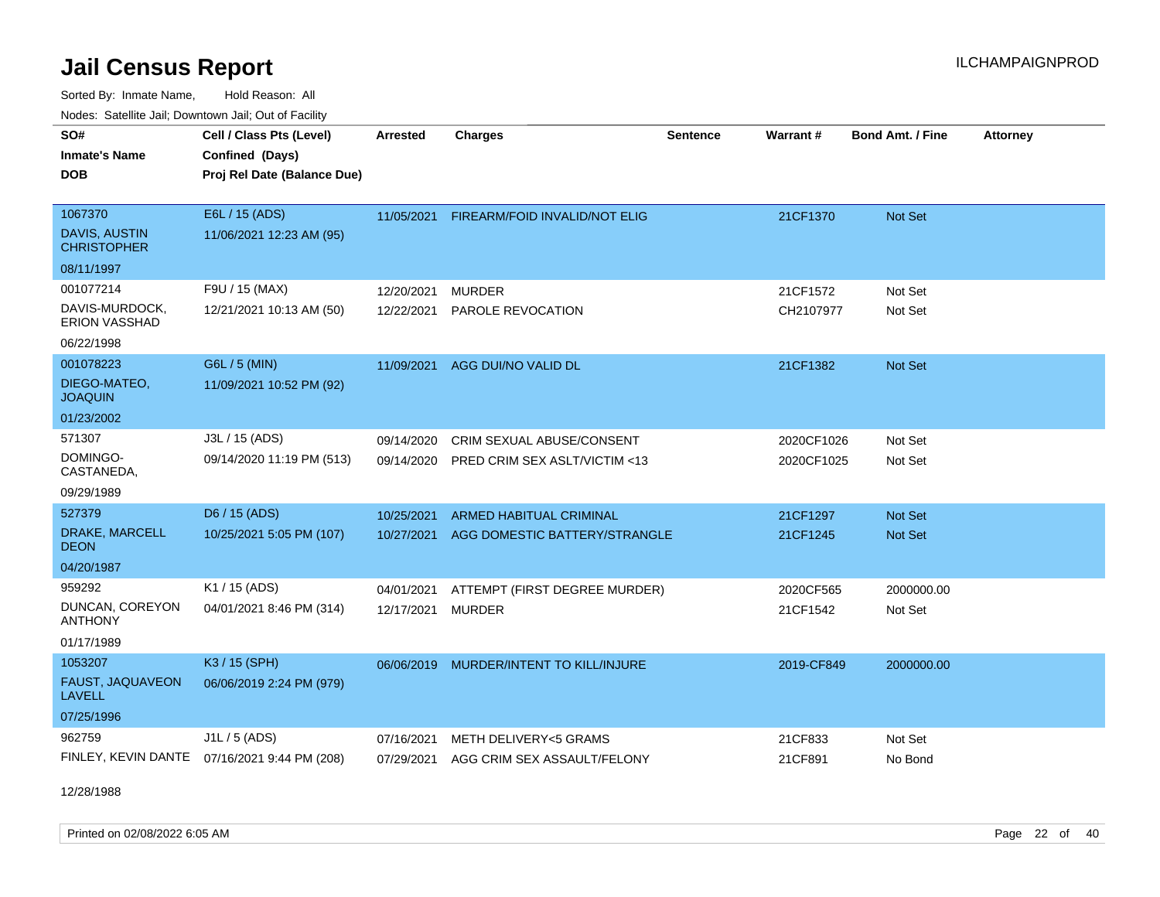Sorted By: Inmate Name, Hold Reason: All Nodes: Satellite Jail; Downtown Jail; Out of Facility

| <u>Houcs.</u> Outchne Juli, Downtown Juli, Out of Facility |                                              |                 |                                |                 |            |                         |                 |
|------------------------------------------------------------|----------------------------------------------|-----------------|--------------------------------|-----------------|------------|-------------------------|-----------------|
| SO#                                                        | Cell / Class Pts (Level)                     | <b>Arrested</b> | <b>Charges</b>                 | <b>Sentence</b> | Warrant#   | <b>Bond Amt. / Fine</b> | <b>Attorney</b> |
| <b>Inmate's Name</b>                                       | Confined (Days)                              |                 |                                |                 |            |                         |                 |
| <b>DOB</b>                                                 | Proj Rel Date (Balance Due)                  |                 |                                |                 |            |                         |                 |
|                                                            |                                              |                 |                                |                 |            |                         |                 |
| 1067370                                                    | E6L / 15 (ADS)                               | 11/05/2021      | FIREARM/FOID INVALID/NOT ELIG  |                 | 21CF1370   | Not Set                 |                 |
| DAVIS, AUSTIN<br><b>CHRISTOPHER</b>                        | 11/06/2021 12:23 AM (95)                     |                 |                                |                 |            |                         |                 |
| 08/11/1997                                                 |                                              |                 |                                |                 |            |                         |                 |
| 001077214                                                  | F9U / 15 (MAX)                               | 12/20/2021      | <b>MURDER</b>                  |                 | 21CF1572   | Not Set                 |                 |
| DAVIS-MURDOCK,<br>ERION VASSHAD                            | 12/21/2021 10:13 AM (50)                     | 12/22/2021      | PAROLE REVOCATION              |                 | CH2107977  | Not Set                 |                 |
| 06/22/1998                                                 |                                              |                 |                                |                 |            |                         |                 |
| 001078223                                                  | G6L / 5 (MIN)                                | 11/09/2021      | AGG DUI/NO VALID DL            |                 | 21CF1382   | Not Set                 |                 |
| DIEGO-MATEO,<br><b>JOAQUIN</b>                             | 11/09/2021 10:52 PM (92)                     |                 |                                |                 |            |                         |                 |
| 01/23/2002                                                 |                                              |                 |                                |                 |            |                         |                 |
| 571307                                                     | J3L / 15 (ADS)                               | 09/14/2020      | CRIM SEXUAL ABUSE/CONSENT      |                 | 2020CF1026 | Not Set                 |                 |
| DOMINGO-<br>CASTANEDA,                                     | 09/14/2020 11:19 PM (513)                    | 09/14/2020      | PRED CRIM SEX ASLT/VICTIM <13  |                 | 2020CF1025 | Not Set                 |                 |
| 09/29/1989                                                 |                                              |                 |                                |                 |            |                         |                 |
| 527379                                                     | D6 / 15 (ADS)                                | 10/25/2021      | <b>ARMED HABITUAL CRIMINAL</b> |                 | 21CF1297   | <b>Not Set</b>          |                 |
| DRAKE, MARCELL<br><b>DEON</b>                              | 10/25/2021 5:05 PM (107)                     | 10/27/2021      | AGG DOMESTIC BATTERY/STRANGLE  |                 | 21CF1245   | <b>Not Set</b>          |                 |
| 04/20/1987                                                 |                                              |                 |                                |                 |            |                         |                 |
| 959292                                                     | K1 / 15 (ADS)                                | 04/01/2021      | ATTEMPT (FIRST DEGREE MURDER)  |                 | 2020CF565  | 2000000.00              |                 |
| DUNCAN, COREYON<br><b>ANTHONY</b>                          | 04/01/2021 8:46 PM (314)                     | 12/17/2021      | <b>MURDER</b>                  |                 | 21CF1542   | Not Set                 |                 |
| 01/17/1989                                                 |                                              |                 |                                |                 |            |                         |                 |
| 1053207                                                    | K3 / 15 (SPH)                                | 06/06/2019      | MURDER/INTENT TO KILL/INJURE   |                 | 2019-CF849 | 2000000.00              |                 |
| FAUST, JAQUAVEON<br><b>LAVELL</b>                          | 06/06/2019 2:24 PM (979)                     |                 |                                |                 |            |                         |                 |
| 07/25/1996                                                 |                                              |                 |                                |                 |            |                         |                 |
| 962759                                                     | J1L / 5 (ADS)                                | 07/16/2021      | METH DELIVERY<5 GRAMS          |                 | 21CF833    | Not Set                 |                 |
|                                                            | FINLEY, KEVIN DANTE 07/16/2021 9:44 PM (208) | 07/29/2021      | AGG CRIM SEX ASSAULT/FELONY    |                 | 21CF891    | No Bond                 |                 |

12/28/1988

Printed on 02/08/2022 6:05 AM Page 22 of 40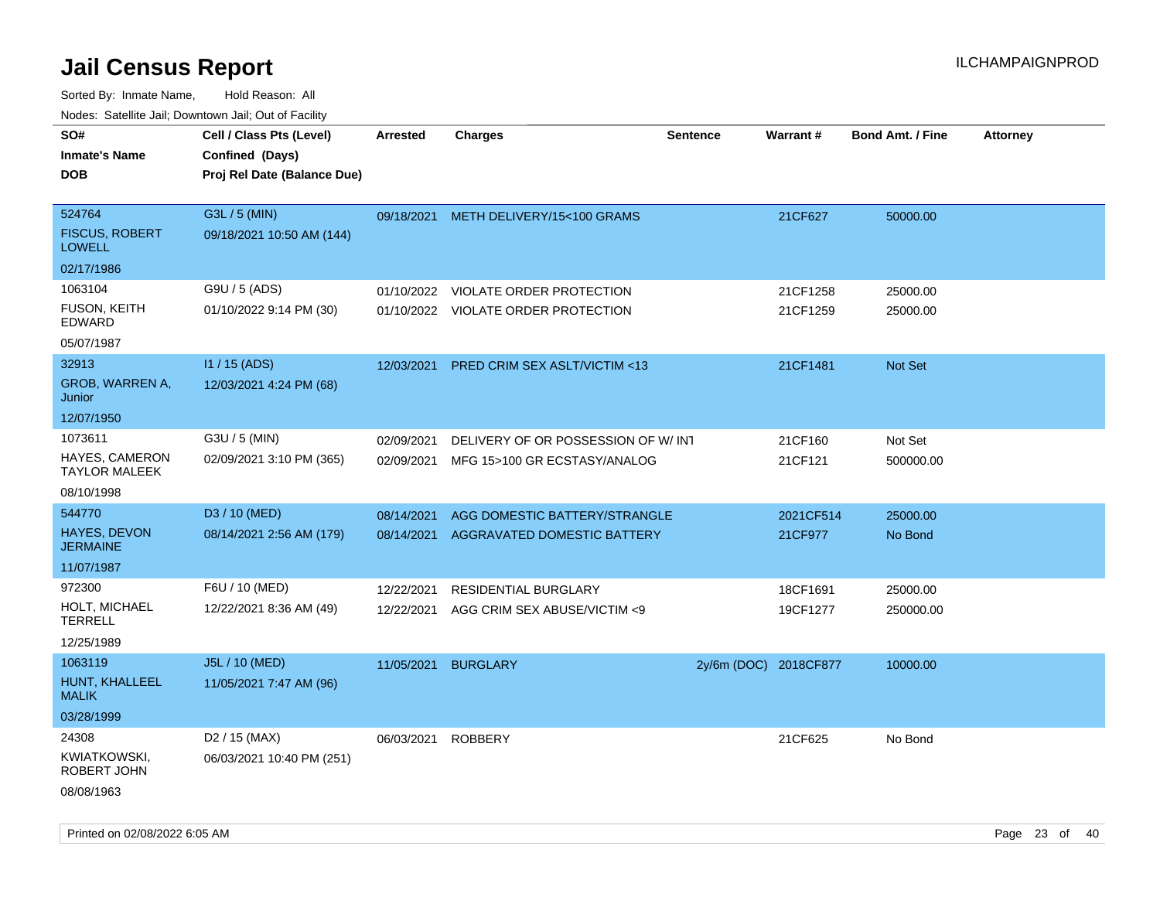| rouco. Calcinic Jan, Downtown Jan, Out of Facility |                                                                            |                 |                                         |                       |           |                         |                 |
|----------------------------------------------------|----------------------------------------------------------------------------|-----------------|-----------------------------------------|-----------------------|-----------|-------------------------|-----------------|
| SO#<br>Inmate's Name<br><b>DOB</b>                 | Cell / Class Pts (Level)<br>Confined (Days)<br>Proj Rel Date (Balance Due) | <b>Arrested</b> | <b>Charges</b>                          | <b>Sentence</b>       | Warrant#  | <b>Bond Amt. / Fine</b> | <b>Attorney</b> |
| 524764<br><b>FISCUS, ROBERT</b><br><b>LOWELL</b>   | G3L / 5 (MIN)<br>09/18/2021 10:50 AM (144)                                 |                 | 09/18/2021 METH DELIVERY/15<100 GRAMS   |                       | 21CF627   | 50000.00                |                 |
| 02/17/1986                                         |                                                                            |                 |                                         |                       |           |                         |                 |
| 1063104                                            | G9U / 5 (ADS)                                                              | 01/10/2022      | <b>VIOLATE ORDER PROTECTION</b>         |                       | 21CF1258  | 25000.00                |                 |
| FUSON, KEITH<br>EDWARD                             | 01/10/2022 9:14 PM (30)                                                    |                 | 01/10/2022 VIOLATE ORDER PROTECTION     |                       | 21CF1259  | 25000.00                |                 |
| 05/07/1987                                         |                                                                            |                 |                                         |                       |           |                         |                 |
| 32913                                              | I1 / 15 (ADS)                                                              | 12/03/2021      | <b>PRED CRIM SEX ASLT/VICTIM &lt;13</b> |                       | 21CF1481  | Not Set                 |                 |
| GROB, WARREN A,<br>Junior                          | 12/03/2021 4:24 PM (68)                                                    |                 |                                         |                       |           |                         |                 |
| 12/07/1950                                         |                                                                            |                 |                                         |                       |           |                         |                 |
| 1073611                                            | G3U / 5 (MIN)                                                              | 02/09/2021      | DELIVERY OF OR POSSESSION OF W/INT      |                       | 21CF160   | Not Set                 |                 |
| HAYES, CAMERON<br>TAYLOR MALEEK                    | 02/09/2021 3:10 PM (365)                                                   | 02/09/2021      | MFG 15>100 GR ECSTASY/ANALOG            |                       | 21CF121   | 500000.00               |                 |
| 08/10/1998                                         |                                                                            |                 |                                         |                       |           |                         |                 |
| 544770                                             | D3 / 10 (MED)                                                              | 08/14/2021      | AGG DOMESTIC BATTERY/STRANGLE           |                       | 2021CF514 | 25000.00                |                 |
| <b>HAYES, DEVON</b><br>JERMAINE                    | 08/14/2021 2:56 AM (179)                                                   | 08/14/2021      | AGGRAVATED DOMESTIC BATTERY             |                       | 21CF977   | No Bond                 |                 |
| 11/07/1987                                         |                                                                            |                 |                                         |                       |           |                         |                 |
| 972300                                             | F6U / 10 (MED)                                                             | 12/22/2021      | RESIDENTIAL BURGLARY                    |                       | 18CF1691  | 25000.00                |                 |
| HOLT, MICHAEL<br>TERRELL                           | 12/22/2021 8:36 AM (49)                                                    | 12/22/2021      | AGG CRIM SEX ABUSE/VICTIM <9            |                       | 19CF1277  | 250000.00               |                 |
| 12/25/1989                                         |                                                                            |                 |                                         |                       |           |                         |                 |
| 1063119                                            | J5L / 10 (MED)                                                             | 11/05/2021      | <b>BURGLARY</b>                         | 2y/6m (DOC) 2018CF877 |           | 10000.00                |                 |
| HUNT, KHALLEEL<br>MALIK                            | 11/05/2021 7:47 AM (96)                                                    |                 |                                         |                       |           |                         |                 |
| 03/28/1999                                         |                                                                            |                 |                                         |                       |           |                         |                 |
| 24308                                              | D <sub>2</sub> / 15 (MAX)                                                  | 06/03/2021      | <b>ROBBERY</b>                          |                       | 21CF625   | No Bond                 |                 |
| KWIATKOWSKI,<br>ROBERT JOHN                        | 06/03/2021 10:40 PM (251)                                                  |                 |                                         |                       |           |                         |                 |
| 08/08/1963                                         |                                                                            |                 |                                         |                       |           |                         |                 |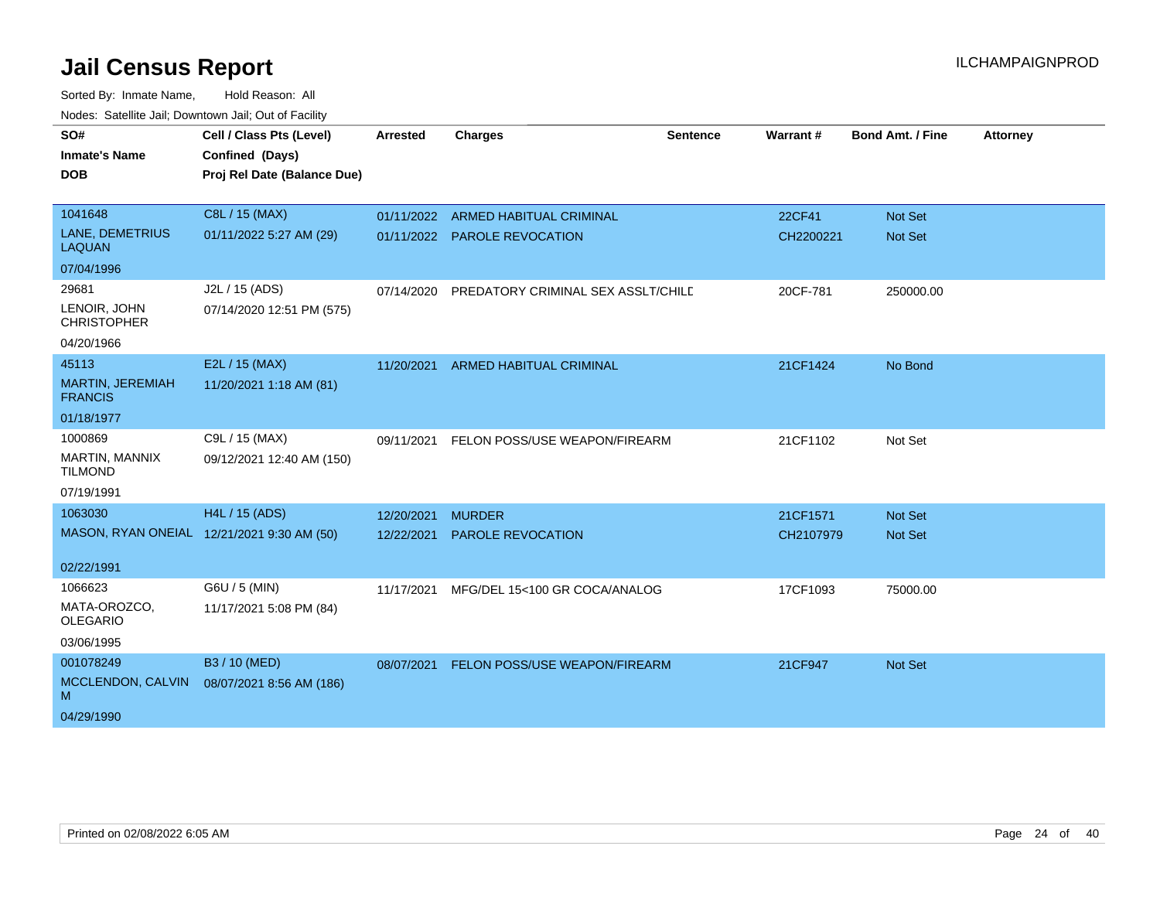| SO#                                       | Cell / Class Pts (Level)                   | <b>Arrested</b> | <b>Charges</b>                     | <b>Sentence</b> | Warrant#  | <b>Bond Amt. / Fine</b> | <b>Attorney</b> |
|-------------------------------------------|--------------------------------------------|-----------------|------------------------------------|-----------------|-----------|-------------------------|-----------------|
| <b>Inmate's Name</b>                      | Confined (Days)                            |                 |                                    |                 |           |                         |                 |
|                                           |                                            |                 |                                    |                 |           |                         |                 |
| <b>DOB</b>                                | Proj Rel Date (Balance Due)                |                 |                                    |                 |           |                         |                 |
|                                           |                                            |                 |                                    |                 |           |                         |                 |
| 1041648                                   | C8L / 15 (MAX)                             |                 | 01/11/2022 ARMED HABITUAL CRIMINAL |                 | 22CF41    | Not Set                 |                 |
| LANE, DEMETRIUS<br><b>LAQUAN</b>          | 01/11/2022 5:27 AM (29)                    |                 | 01/11/2022 PAROLE REVOCATION       |                 | CH2200221 | <b>Not Set</b>          |                 |
| 07/04/1996                                |                                            |                 |                                    |                 |           |                         |                 |
| 29681                                     | J2L / 15 (ADS)                             | 07/14/2020      | PREDATORY CRIMINAL SEX ASSLT/CHILD |                 | 20CF-781  | 250000.00               |                 |
| LENOIR, JOHN<br><b>CHRISTOPHER</b>        | 07/14/2020 12:51 PM (575)                  |                 |                                    |                 |           |                         |                 |
| 04/20/1966                                |                                            |                 |                                    |                 |           |                         |                 |
| 45113                                     | E2L / 15 (MAX)                             | 11/20/2021      | <b>ARMED HABITUAL CRIMINAL</b>     |                 | 21CF1424  | No Bond                 |                 |
| <b>MARTIN, JEREMIAH</b><br><b>FRANCIS</b> | 11/20/2021 1:18 AM (81)                    |                 |                                    |                 |           |                         |                 |
| 01/18/1977                                |                                            |                 |                                    |                 |           |                         |                 |
| 1000869                                   | C9L / 15 (MAX)                             | 09/11/2021      | FELON POSS/USE WEAPON/FIREARM      |                 | 21CF1102  | Not Set                 |                 |
| MARTIN, MANNIX<br><b>TILMOND</b>          | 09/12/2021 12:40 AM (150)                  |                 |                                    |                 |           |                         |                 |
| 07/19/1991                                |                                            |                 |                                    |                 |           |                         |                 |
| 1063030                                   | H4L / 15 (ADS)                             | 12/20/2021      | <b>MURDER</b>                      |                 | 21CF1571  | <b>Not Set</b>          |                 |
|                                           | MASON, RYAN ONEIAL 12/21/2021 9:30 AM (50) | 12/22/2021      | PAROLE REVOCATION                  |                 | CH2107979 | <b>Not Set</b>          |                 |
|                                           |                                            |                 |                                    |                 |           |                         |                 |
| 02/22/1991                                |                                            |                 |                                    |                 |           |                         |                 |
| 1066623                                   | G6U / 5 (MIN)                              | 11/17/2021      | MFG/DEL 15<100 GR COCA/ANALOG      |                 | 17CF1093  | 75000.00                |                 |
| MATA-OROZCO,<br><b>OLEGARIO</b>           | 11/17/2021 5:08 PM (84)                    |                 |                                    |                 |           |                         |                 |
| 03/06/1995                                |                                            |                 |                                    |                 |           |                         |                 |
| 001078249                                 | B3 / 10 (MED)                              | 08/07/2021      | FELON POSS/USE WEAPON/FIREARM      |                 | 21CF947   | <b>Not Set</b>          |                 |
| MCCLENDON, CALVIN<br>M                    | 08/07/2021 8:56 AM (186)                   |                 |                                    |                 |           |                         |                 |
| 04/29/1990                                |                                            |                 |                                    |                 |           |                         |                 |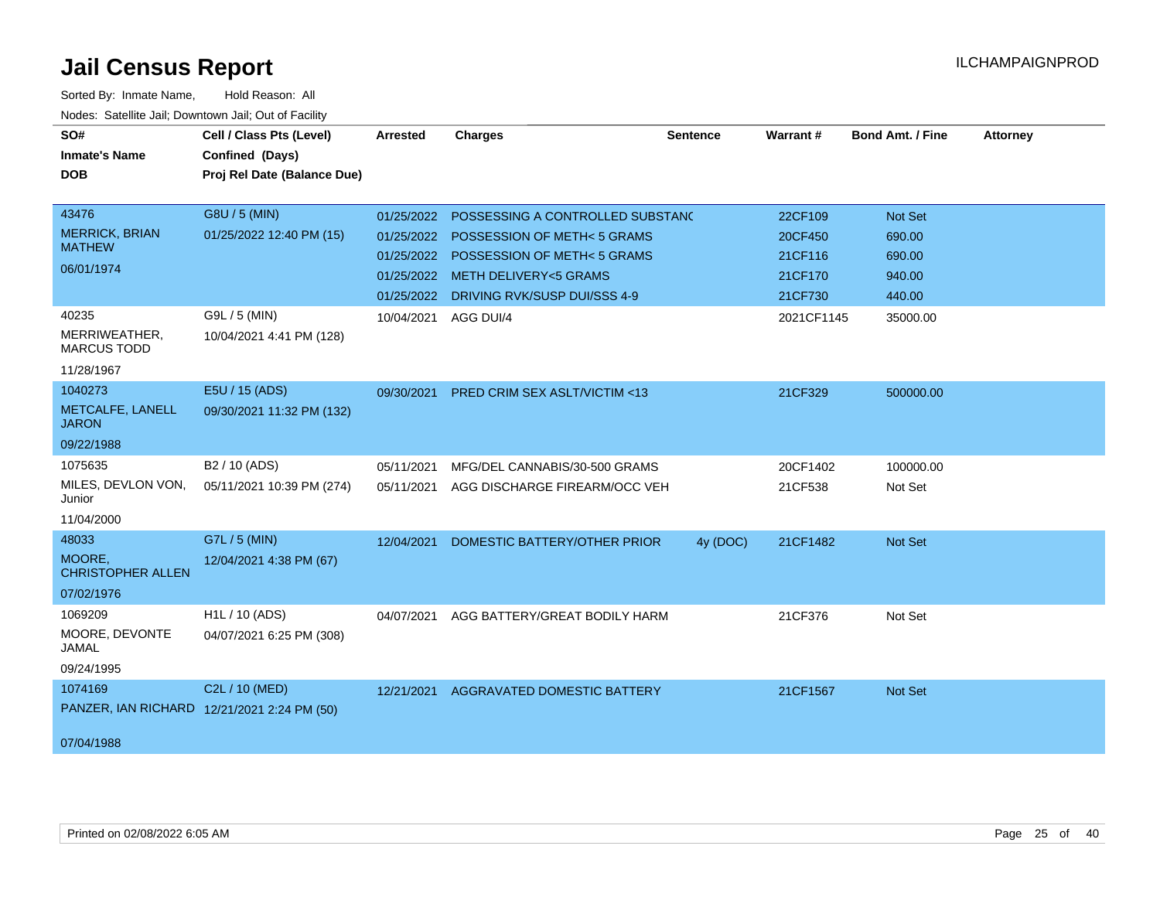| SO#<br><b>Inmate's Name</b><br><b>DOB</b>                     | Cell / Class Pts (Level)<br>Confined (Days)<br>Proj Rel Date (Balance Due) | <b>Arrested</b>                                      | <b>Charges</b>                                                                                                                                                    | <b>Sentence</b> | <b>Warrant#</b>                                     | <b>Bond Amt. / Fine</b>                                | <b>Attorney</b> |
|---------------------------------------------------------------|----------------------------------------------------------------------------|------------------------------------------------------|-------------------------------------------------------------------------------------------------------------------------------------------------------------------|-----------------|-----------------------------------------------------|--------------------------------------------------------|-----------------|
| 43476<br><b>MERRICK, BRIAN</b><br><b>MATHEW</b><br>06/01/1974 | G8U / 5 (MIN)<br>01/25/2022 12:40 PM (15)                                  | 01/25/2022<br>01/25/2022<br>01/25/2022<br>01/25/2022 | POSSESSING A CONTROLLED SUBSTAND<br>POSSESSION OF METH<5 GRAMS<br>POSSESSION OF METH< 5 GRAMS<br>METH DELIVERY<5 GRAMS<br>01/25/2022 DRIVING RVK/SUSP DUI/SSS 4-9 |                 | 22CF109<br>20CF450<br>21CF116<br>21CF170<br>21CF730 | <b>Not Set</b><br>690.00<br>690.00<br>940.00<br>440.00 |                 |
| 40235<br>MERRIWEATHER,<br><b>MARCUS TODD</b><br>11/28/1967    | G9L / 5 (MIN)<br>10/04/2021 4:41 PM (128)                                  | 10/04/2021                                           | AGG DUI/4                                                                                                                                                         |                 | 2021CF1145                                          | 35000.00                                               |                 |
| 1040273<br>METCALFE, LANELL<br><b>JARON</b><br>09/22/1988     | E5U / 15 (ADS)<br>09/30/2021 11:32 PM (132)                                | 09/30/2021                                           | <b>PRED CRIM SEX ASLT/VICTIM &lt;13</b>                                                                                                                           |                 | 21CF329                                             | 500000.00                                              |                 |
| 1075635<br>MILES, DEVLON VON,<br>Junior<br>11/04/2000         | B <sub>2</sub> / 10 (ADS)<br>05/11/2021 10:39 PM (274)                     | 05/11/2021<br>05/11/2021                             | MFG/DEL CANNABIS/30-500 GRAMS<br>AGG DISCHARGE FIREARM/OCC VEH                                                                                                    |                 | 20CF1402<br>21CF538                                 | 100000.00<br>Not Set                                   |                 |
| 48033<br>MOORE,<br><b>CHRISTOPHER ALLEN</b><br>07/02/1976     | G7L / 5 (MIN)<br>12/04/2021 4:38 PM (67)                                   | 12/04/2021                                           | DOMESTIC BATTERY/OTHER PRIOR                                                                                                                                      | 4y (DOC)        | 21CF1482                                            | <b>Not Set</b>                                         |                 |
| 1069209<br>MOORE, DEVONTE<br>JAMAL<br>09/24/1995              | H <sub>1</sub> L / 10 (ADS)<br>04/07/2021 6:25 PM (308)                    | 04/07/2021                                           | AGG BATTERY/GREAT BODILY HARM                                                                                                                                     |                 | 21CF376                                             | Not Set                                                |                 |
| 1074169<br>07/04/1988                                         | C2L / 10 (MED)<br>PANZER, IAN RICHARD 12/21/2021 2:24 PM (50)              | 12/21/2021                                           | AGGRAVATED DOMESTIC BATTERY                                                                                                                                       |                 | 21CF1567                                            | Not Set                                                |                 |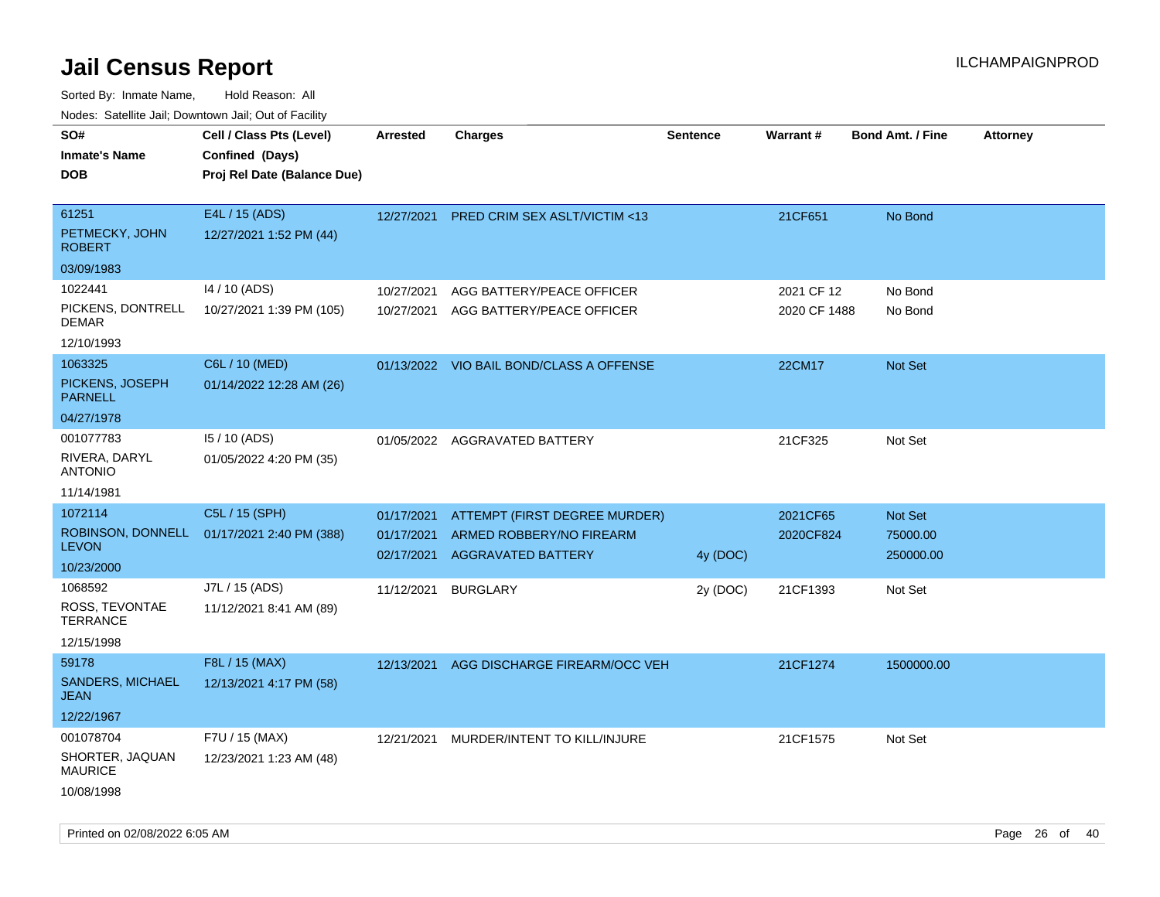| ivouss. Satellite Jali, Downtown Jali, Out of Facility |                                            |                          |                                                       |                 |              |                         |                 |
|--------------------------------------------------------|--------------------------------------------|--------------------------|-------------------------------------------------------|-----------------|--------------|-------------------------|-----------------|
| SO#                                                    | Cell / Class Pts (Level)                   | <b>Arrested</b>          | <b>Charges</b>                                        | <b>Sentence</b> | Warrant#     | <b>Bond Amt. / Fine</b> | <b>Attorney</b> |
| Inmate's Name                                          | Confined (Days)                            |                          |                                                       |                 |              |                         |                 |
| DOB                                                    | Proj Rel Date (Balance Due)                |                          |                                                       |                 |              |                         |                 |
| 61251                                                  | E4L / 15 (ADS)                             | 12/27/2021               | <b>PRED CRIM SEX ASLT/VICTIM &lt;13</b>               |                 | 21CF651      | No Bond                 |                 |
| PETMECKY, JOHN<br><b>ROBERT</b>                        | 12/27/2021 1:52 PM (44)                    |                          |                                                       |                 |              |                         |                 |
| 03/09/1983                                             |                                            |                          |                                                       |                 |              |                         |                 |
| 1022441                                                | 14 / 10 (ADS)                              | 10/27/2021               | AGG BATTERY/PEACE OFFICER                             |                 | 2021 CF 12   | No Bond                 |                 |
| PICKENS, DONTRELL<br>DEMAR                             | 10/27/2021 1:39 PM (105)                   | 10/27/2021               | AGG BATTERY/PEACE OFFICER                             |                 | 2020 CF 1488 | No Bond                 |                 |
| 12/10/1993                                             |                                            |                          |                                                       |                 |              |                         |                 |
| 1063325                                                | C6L / 10 (MED)                             |                          | 01/13/2022 VIO BAIL BOND/CLASS A OFFENSE              |                 | 22CM17       | Not Set                 |                 |
| PICKENS, JOSEPH<br><b>PARNELL</b>                      | 01/14/2022 12:28 AM (26)                   |                          |                                                       |                 |              |                         |                 |
| 04/27/1978                                             |                                            |                          |                                                       |                 |              |                         |                 |
| 001077783                                              | 15 / 10 (ADS)                              |                          | 01/05/2022 AGGRAVATED BATTERY                         |                 | 21CF325      | Not Set                 |                 |
| RIVERA, DARYL<br>ANTONIO                               | 01/05/2022 4:20 PM (35)                    |                          |                                                       |                 |              |                         |                 |
| 11/14/1981                                             |                                            |                          |                                                       |                 |              |                         |                 |
| 1072114                                                | C5L / 15 (SPH)                             | 01/17/2021               | ATTEMPT (FIRST DEGREE MURDER)                         |                 | 2021CF65     | Not Set                 |                 |
| <b>LEVON</b>                                           | ROBINSON, DONNELL 01/17/2021 2:40 PM (388) | 01/17/2021<br>02/17/2021 | ARMED ROBBERY/NO FIREARM<br><b>AGGRAVATED BATTERY</b> | 4y (DOC)        | 2020CF824    | 75000.00<br>250000.00   |                 |
| 10/23/2000                                             |                                            |                          |                                                       |                 |              |                         |                 |
| 1068592                                                | J7L / 15 (ADS)                             | 11/12/2021               | <b>BURGLARY</b>                                       | 2y (DOC)        | 21CF1393     | Not Set                 |                 |
| ROSS, TEVONTAE<br>TERRANCE                             | 11/12/2021 8:41 AM (89)                    |                          |                                                       |                 |              |                         |                 |
| 12/15/1998                                             |                                            |                          |                                                       |                 |              |                         |                 |
| 59178                                                  | F8L / 15 (MAX)                             | 12/13/2021               | AGG DISCHARGE FIREARM/OCC VEH                         |                 | 21CF1274     | 1500000.00              |                 |
| <b>SANDERS, MICHAEL</b><br>JEAN                        | 12/13/2021 4:17 PM (58)                    |                          |                                                       |                 |              |                         |                 |
| 12/22/1967                                             |                                            |                          |                                                       |                 |              |                         |                 |
| 001078704                                              | F7U / 15 (MAX)                             | 12/21/2021               | MURDER/INTENT TO KILL/INJURE                          |                 | 21CF1575     | Not Set                 |                 |
| SHORTER, JAQUAN<br><b>MAURICE</b>                      | 12/23/2021 1:23 AM (48)                    |                          |                                                       |                 |              |                         |                 |
| 10/08/1998                                             |                                            |                          |                                                       |                 |              |                         |                 |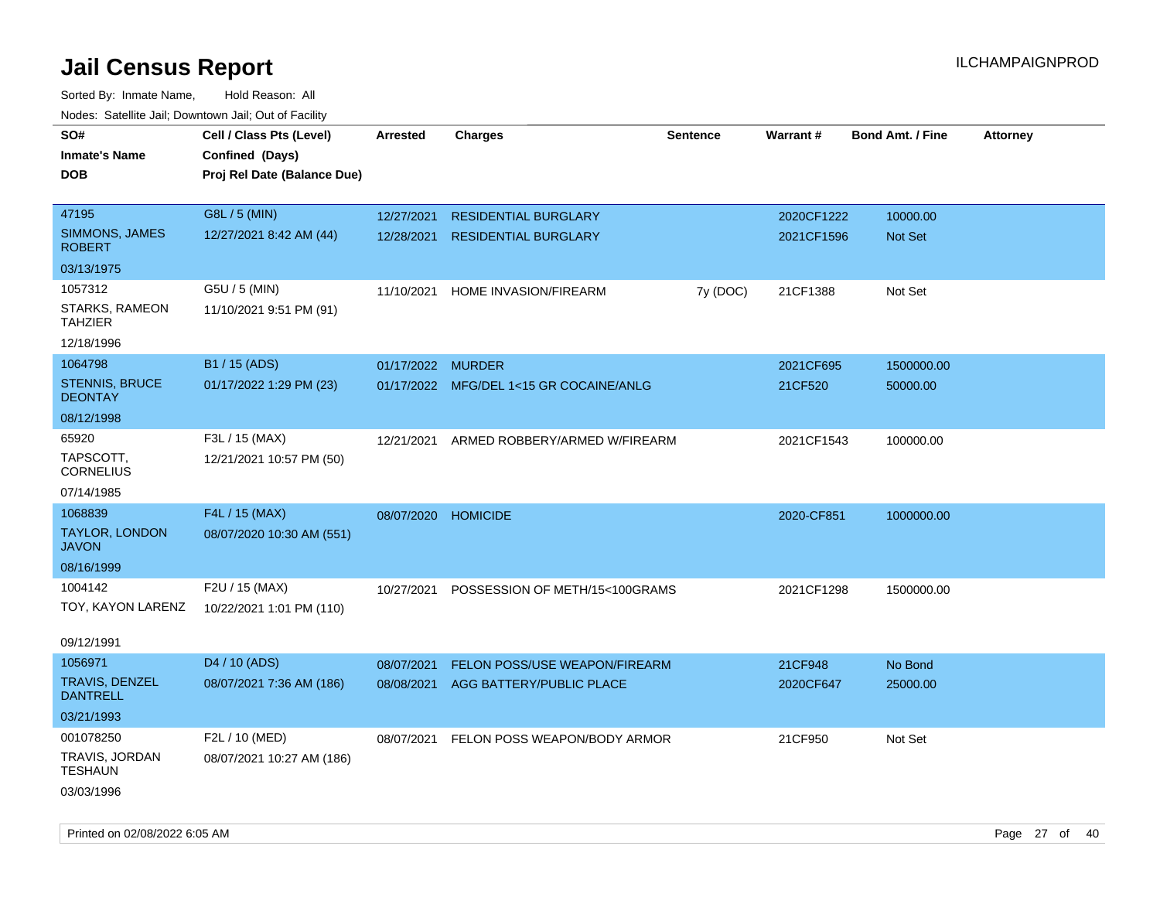| rougs. Calcing Jan, Downtown Jan, Out of Facinty |                             |                   |                                         |          |            |                         |                 |
|--------------------------------------------------|-----------------------------|-------------------|-----------------------------------------|----------|------------|-------------------------|-----------------|
| SO#                                              | Cell / Class Pts (Level)    | <b>Arrested</b>   | <b>Charges</b>                          | Sentence | Warrant#   | <b>Bond Amt. / Fine</b> | <b>Attorney</b> |
| <b>Inmate's Name</b>                             | Confined (Days)             |                   |                                         |          |            |                         |                 |
| <b>DOB</b>                                       | Proj Rel Date (Balance Due) |                   |                                         |          |            |                         |                 |
|                                                  |                             |                   |                                         |          |            |                         |                 |
| 47195                                            | G8L / 5 (MIN)               | 12/27/2021        | <b>RESIDENTIAL BURGLARY</b>             |          | 2020CF1222 | 10000.00                |                 |
| SIMMONS, JAMES<br><b>ROBERT</b>                  | 12/27/2021 8:42 AM (44)     | 12/28/2021        | <b>RESIDENTIAL BURGLARY</b>             |          | 2021CF1596 | <b>Not Set</b>          |                 |
| 03/13/1975                                       |                             |                   |                                         |          |            |                         |                 |
| 1057312                                          | G5U / 5 (MIN)               | 11/10/2021        | HOME INVASION/FIREARM                   | 7y (DOC) | 21CF1388   | Not Set                 |                 |
| STARKS, RAMEON<br><b>TAHZIER</b>                 | 11/10/2021 9:51 PM (91)     |                   |                                         |          |            |                         |                 |
| 12/18/1996                                       |                             |                   |                                         |          |            |                         |                 |
| 1064798                                          | B1 / 15 (ADS)               | 01/17/2022 MURDER |                                         |          | 2021CF695  | 1500000.00              |                 |
| <b>STENNIS, BRUCE</b><br><b>DEONTAY</b>          | 01/17/2022 1:29 PM (23)     |                   | 01/17/2022 MFG/DEL 1<15 GR COCAINE/ANLG |          | 21CF520    | 50000.00                |                 |
| 08/12/1998                                       |                             |                   |                                         |          |            |                         |                 |
| 65920                                            | F3L / 15 (MAX)              | 12/21/2021        | ARMED ROBBERY/ARMED W/FIREARM           |          | 2021CF1543 | 100000.00               |                 |
| TAPSCOTT,<br><b>CORNELIUS</b>                    | 12/21/2021 10:57 PM (50)    |                   |                                         |          |            |                         |                 |
| 07/14/1985                                       |                             |                   |                                         |          |            |                         |                 |
| 1068839                                          | F4L / 15 (MAX)              | 08/07/2020        | <b>HOMICIDE</b>                         |          | 2020-CF851 | 1000000.00              |                 |
| <b>TAYLOR, LONDON</b><br><b>JAVON</b>            | 08/07/2020 10:30 AM (551)   |                   |                                         |          |            |                         |                 |
| 08/16/1999                                       |                             |                   |                                         |          |            |                         |                 |
| 1004142                                          | F2U / 15 (MAX)              | 10/27/2021        | POSSESSION OF METH/15<100GRAMS          |          | 2021CF1298 | 1500000.00              |                 |
| TOY, KAYON LARENZ                                | 10/22/2021 1:01 PM (110)    |                   |                                         |          |            |                         |                 |
| 09/12/1991                                       |                             |                   |                                         |          |            |                         |                 |
| 1056971                                          | D <sub>4</sub> / 10 (ADS)   | 08/07/2021        | FELON POSS/USE WEAPON/FIREARM           |          | 21CF948    | No Bond                 |                 |
| <b>TRAVIS, DENZEL</b><br><b>DANTRELL</b>         | 08/07/2021 7:36 AM (186)    | 08/08/2021        | AGG BATTERY/PUBLIC PLACE                |          | 2020CF647  | 25000.00                |                 |
| 03/21/1993                                       |                             |                   |                                         |          |            |                         |                 |
| 001078250                                        | F2L / 10 (MED)              | 08/07/2021        | FELON POSS WEAPON/BODY ARMOR            |          | 21CF950    | Not Set                 |                 |
| <b>TRAVIS, JORDAN</b><br>TESHAUN                 | 08/07/2021 10:27 AM (186)   |                   |                                         |          |            |                         |                 |
| 03/03/1996                                       |                             |                   |                                         |          |            |                         |                 |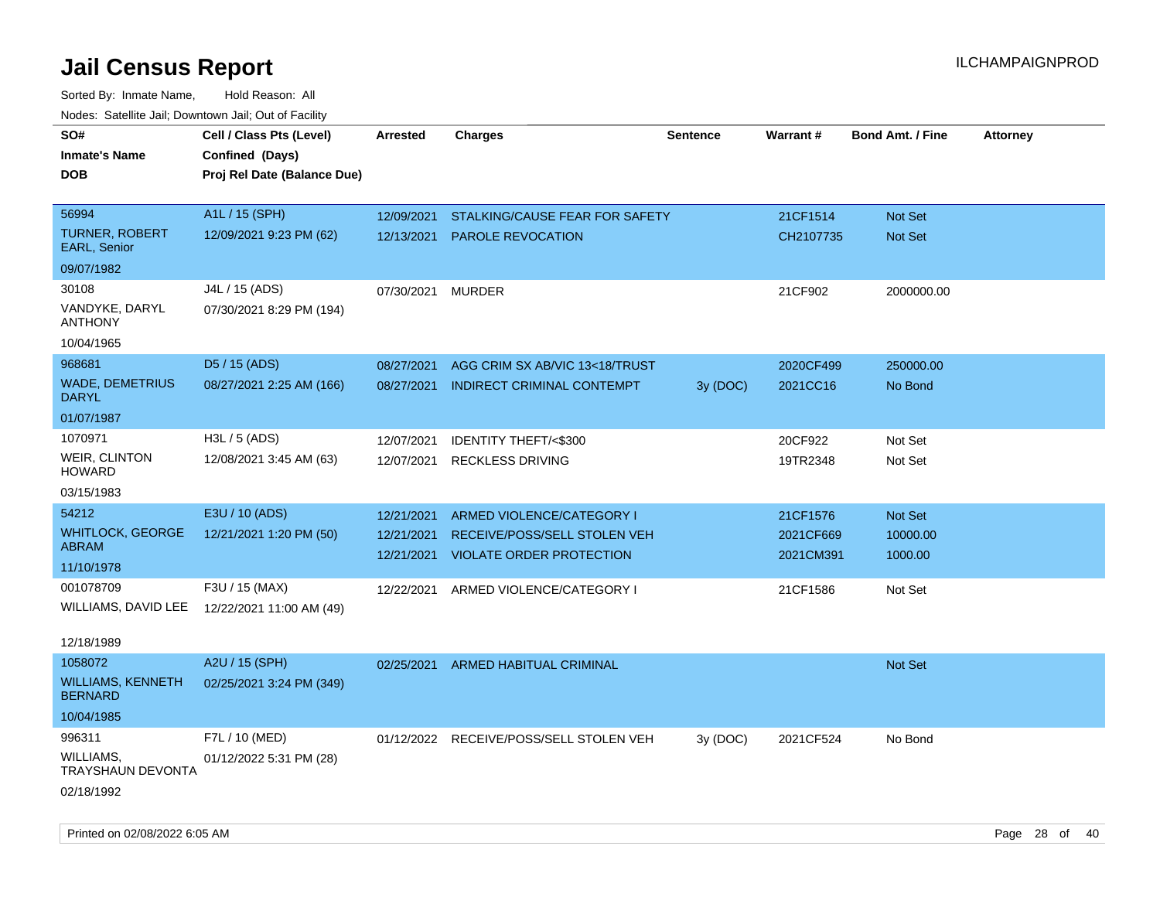| roaco. Catolino dall, Downtown dall, Out of Fability |                                                                            |                 |                                         |                 |           |                         |                 |
|------------------------------------------------------|----------------------------------------------------------------------------|-----------------|-----------------------------------------|-----------------|-----------|-------------------------|-----------------|
| SO#<br><b>Inmate's Name</b><br><b>DOB</b>            | Cell / Class Pts (Level)<br>Confined (Days)<br>Proj Rel Date (Balance Due) | <b>Arrested</b> | <b>Charges</b>                          | <b>Sentence</b> | Warrant#  | <b>Bond Amt. / Fine</b> | <b>Attorney</b> |
|                                                      |                                                                            |                 |                                         |                 |           |                         |                 |
| 56994                                                | A1L / 15 (SPH)                                                             | 12/09/2021      | STALKING/CAUSE FEAR FOR SAFETY          |                 | 21CF1514  | <b>Not Set</b>          |                 |
| <b>TURNER, ROBERT</b><br><b>EARL, Senior</b>         | 12/09/2021 9:23 PM (62)                                                    | 12/13/2021      | <b>PAROLE REVOCATION</b>                |                 | CH2107735 | <b>Not Set</b>          |                 |
| 09/07/1982                                           |                                                                            |                 |                                         |                 |           |                         |                 |
| 30108                                                | J4L / 15 (ADS)                                                             | 07/30/2021      | <b>MURDER</b>                           |                 | 21CF902   | 2000000.00              |                 |
| VANDYKE, DARYL<br><b>ANTHONY</b>                     | 07/30/2021 8:29 PM (194)                                                   |                 |                                         |                 |           |                         |                 |
| 10/04/1965                                           |                                                                            |                 |                                         |                 |           |                         |                 |
| 968681                                               | D5 / 15 (ADS)                                                              | 08/27/2021      | AGG CRIM SX AB/VIC 13<18/TRUST          |                 | 2020CF499 | 250000.00               |                 |
| <b>WADE, DEMETRIUS</b><br><b>DARYL</b>               | 08/27/2021 2:25 AM (166)                                                   | 08/27/2021      | <b>INDIRECT CRIMINAL CONTEMPT</b>       | 3y (DOC)        | 2021CC16  | No Bond                 |                 |
| 01/07/1987                                           |                                                                            |                 |                                         |                 |           |                         |                 |
| 1070971                                              | H3L / 5 (ADS)                                                              | 12/07/2021      | <b>IDENTITY THEFT/&lt;\$300</b>         |                 | 20CF922   | Not Set                 |                 |
| <b>WEIR, CLINTON</b><br><b>HOWARD</b>                | 12/08/2021 3:45 AM (63)                                                    | 12/07/2021      | <b>RECKLESS DRIVING</b>                 |                 | 19TR2348  | Not Set                 |                 |
| 03/15/1983                                           |                                                                            |                 |                                         |                 |           |                         |                 |
| 54212                                                | E3U / 10 (ADS)                                                             | 12/21/2021      | ARMED VIOLENCE/CATEGORY I               |                 | 21CF1576  | Not Set                 |                 |
| <b>WHITLOCK, GEORGE</b>                              | 12/21/2021 1:20 PM (50)                                                    | 12/21/2021      | RECEIVE/POSS/SELL STOLEN VEH            |                 | 2021CF669 | 10000.00                |                 |
| ABRAM                                                |                                                                            | 12/21/2021      | <b>VIOLATE ORDER PROTECTION</b>         |                 | 2021CM391 | 1000.00                 |                 |
| 11/10/1978                                           |                                                                            |                 |                                         |                 |           |                         |                 |
| 001078709                                            | F3U / 15 (MAX)                                                             |                 | 12/22/2021 ARMED VIOLENCE/CATEGORY I    |                 | 21CF1586  | Not Set                 |                 |
| WILLIAMS, DAVID LEE                                  | 12/22/2021 11:00 AM (49)                                                   |                 |                                         |                 |           |                         |                 |
| 12/18/1989                                           |                                                                            |                 |                                         |                 |           |                         |                 |
| 1058072                                              | A2U / 15 (SPH)                                                             | 02/25/2021      | ARMED HABITUAL CRIMINAL                 |                 |           | <b>Not Set</b>          |                 |
| <b>WILLIAMS, KENNETH</b><br><b>BERNARD</b>           | 02/25/2021 3:24 PM (349)                                                   |                 |                                         |                 |           |                         |                 |
| 10/04/1985                                           |                                                                            |                 |                                         |                 |           |                         |                 |
| 996311                                               | F7L / 10 (MED)                                                             |                 | 01/12/2022 RECEIVE/POSS/SELL STOLEN VEH | 3y (DOC)        | 2021CF524 | No Bond                 |                 |
| WILLIAMS,<br>TRAYSHAUN DEVONTA                       | 01/12/2022 5:31 PM (28)                                                    |                 |                                         |                 |           |                         |                 |
| 02/18/1992                                           |                                                                            |                 |                                         |                 |           |                         |                 |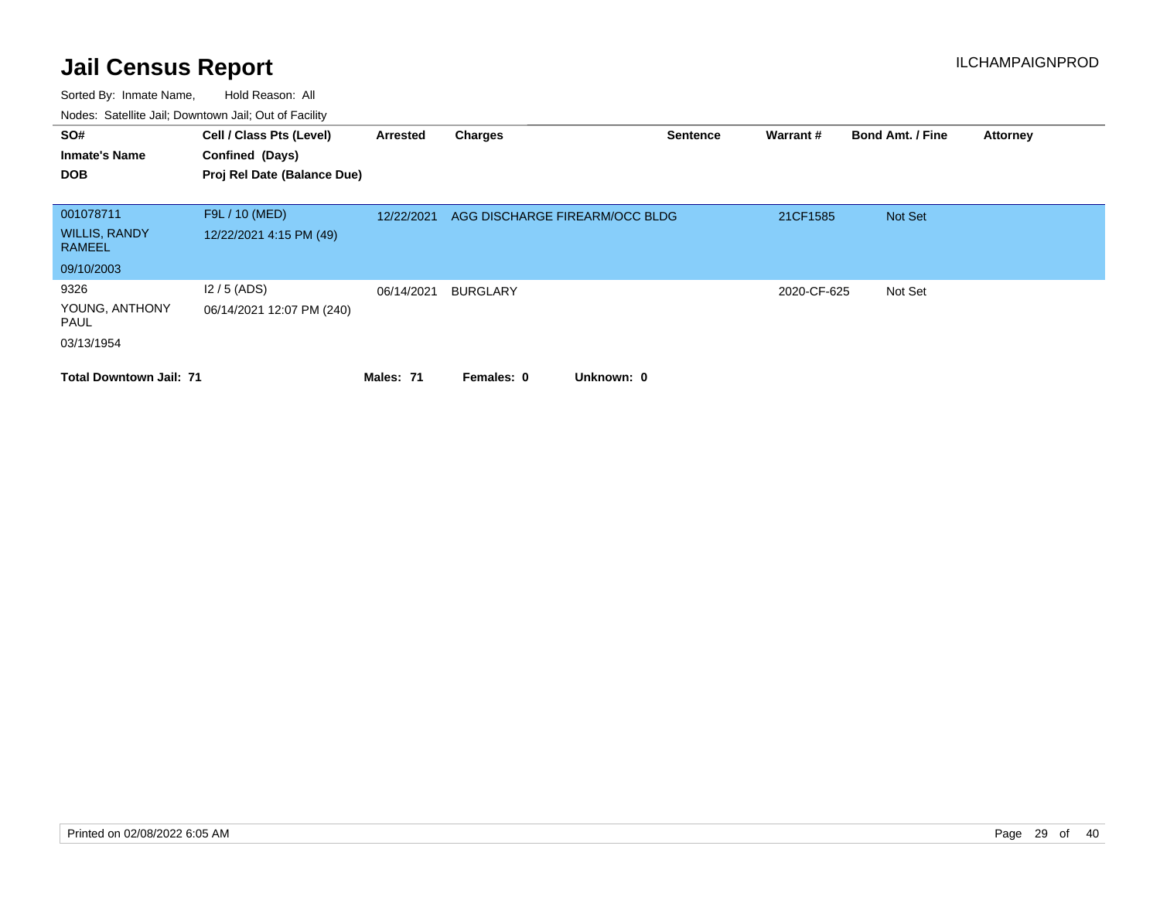| SO#<br><b>Inmate's Name</b><br><b>DOB</b>           | Cell / Class Pts (Level)<br>Confined (Days)<br>Proj Rel Date (Balance Due) | Arrested   | <b>Charges</b>                 | <b>Sentence</b> | Warrant#    | <b>Bond Amt. / Fine</b> | <b>Attorney</b> |
|-----------------------------------------------------|----------------------------------------------------------------------------|------------|--------------------------------|-----------------|-------------|-------------------------|-----------------|
| 001078711<br><b>WILLIS, RANDY</b><br><b>RAMEEL</b>  | F9L / 10 (MED)<br>12/22/2021 4:15 PM (49)                                  | 12/22/2021 | AGG DISCHARGE FIREARM/OCC BLDG |                 | 21CF1585    | Not Set                 |                 |
| 09/10/2003                                          |                                                                            |            |                                |                 |             |                         |                 |
| 9326<br>YOUNG, ANTHONY<br><b>PAUL</b><br>03/13/1954 | $12/5$ (ADS)<br>06/14/2021 12:07 PM (240)                                  | 06/14/2021 | <b>BURGLARY</b>                |                 | 2020-CF-625 | Not Set                 |                 |
| <b>Total Downtown Jail: 71</b>                      |                                                                            | Males: 71  | Unknown: 0<br>Females: 0       |                 |             |                         |                 |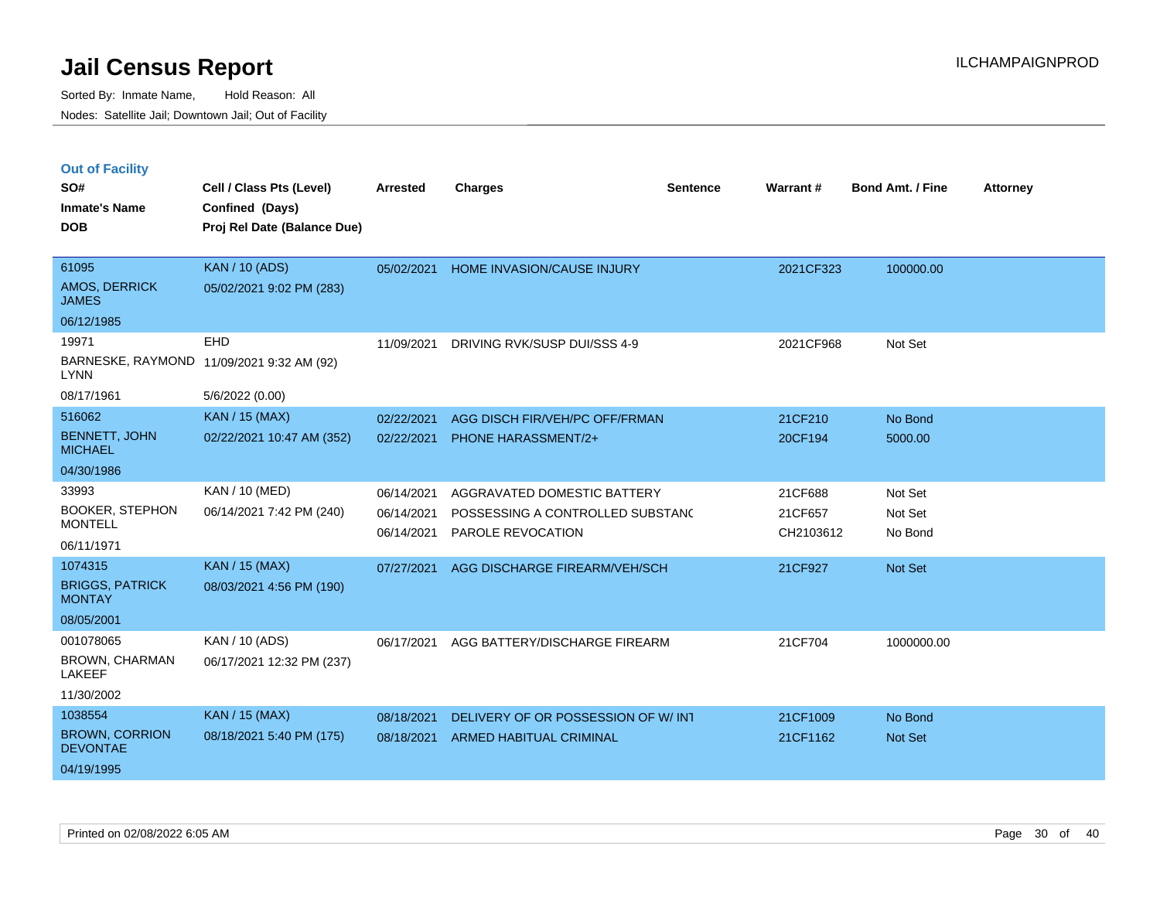|  | <b>Out of Facility</b> |  |
|--|------------------------|--|
|  |                        |  |

| SO#<br><b>Inmate's Name</b>              | Cell / Class Pts (Level)<br>Confined (Days) | <b>Arrested</b> | <b>Charges</b>                     | <b>Sentence</b> | Warrant#  | <b>Bond Amt. / Fine</b> | <b>Attorney</b> |
|------------------------------------------|---------------------------------------------|-----------------|------------------------------------|-----------------|-----------|-------------------------|-----------------|
| <b>DOB</b>                               | Proj Rel Date (Balance Due)                 |                 |                                    |                 |           |                         |                 |
|                                          |                                             |                 |                                    |                 |           |                         |                 |
| 61095                                    | <b>KAN / 10 (ADS)</b>                       | 05/02/2021      | HOME INVASION/CAUSE INJURY         |                 | 2021CF323 | 100000.00               |                 |
| <b>AMOS, DERRICK</b><br><b>JAMES</b>     | 05/02/2021 9:02 PM (283)                    |                 |                                    |                 |           |                         |                 |
| 06/12/1985                               |                                             |                 |                                    |                 |           |                         |                 |
| 19971                                    | <b>EHD</b>                                  | 11/09/2021      | DRIVING RVK/SUSP DUI/SSS 4-9       |                 | 2021CF968 | Not Set                 |                 |
| <b>LYNN</b>                              | BARNESKE, RAYMOND 11/09/2021 9:32 AM (92)   |                 |                                    |                 |           |                         |                 |
| 08/17/1961                               | 5/6/2022 (0.00)                             |                 |                                    |                 |           |                         |                 |
| 516062                                   | <b>KAN / 15 (MAX)</b>                       | 02/22/2021      | AGG DISCH FIR/VEH/PC OFF/FRMAN     |                 | 21CF210   | No Bond                 |                 |
| <b>BENNETT, JOHN</b><br><b>MICHAEL</b>   | 02/22/2021 10:47 AM (352)                   | 02/22/2021      | <b>PHONE HARASSMENT/2+</b>         |                 | 20CF194   | 5000.00                 |                 |
| 04/30/1986                               |                                             |                 |                                    |                 |           |                         |                 |
| 33993                                    | <b>KAN / 10 (MED)</b>                       | 06/14/2021      | AGGRAVATED DOMESTIC BATTERY        |                 | 21CF688   | Not Set                 |                 |
| <b>BOOKER, STEPHON</b>                   | 06/14/2021 7:42 PM (240)                    | 06/14/2021      | POSSESSING A CONTROLLED SUBSTANC   |                 | 21CF657   | Not Set                 |                 |
| <b>MONTELL</b>                           |                                             | 06/14/2021      | <b>PAROLE REVOCATION</b>           |                 | CH2103612 | No Bond                 |                 |
| 06/11/1971                               |                                             |                 |                                    |                 |           |                         |                 |
| 1074315                                  | <b>KAN / 15 (MAX)</b>                       | 07/27/2021      | AGG DISCHARGE FIREARM/VEH/SCH      |                 | 21CF927   | Not Set                 |                 |
| <b>BRIGGS, PATRICK</b><br><b>MONTAY</b>  | 08/03/2021 4:56 PM (190)                    |                 |                                    |                 |           |                         |                 |
| 08/05/2001                               |                                             |                 |                                    |                 |           |                         |                 |
| 001078065                                | KAN / 10 (ADS)                              | 06/17/2021      | AGG BATTERY/DISCHARGE FIREARM      |                 | 21CF704   | 1000000.00              |                 |
| <b>BROWN, CHARMAN</b><br>LAKEEF          | 06/17/2021 12:32 PM (237)                   |                 |                                    |                 |           |                         |                 |
| 11/30/2002                               |                                             |                 |                                    |                 |           |                         |                 |
| 1038554                                  | <b>KAN / 15 (MAX)</b>                       | 08/18/2021      | DELIVERY OF OR POSSESSION OF W/INT |                 | 21CF1009  | No Bond                 |                 |
| <b>BROWN, CORRION</b><br><b>DEVONTAE</b> | 08/18/2021 5:40 PM (175)                    | 08/18/2021      | <b>ARMED HABITUAL CRIMINAL</b>     |                 | 21CF1162  | <b>Not Set</b>          |                 |
| 04/19/1995                               |                                             |                 |                                    |                 |           |                         |                 |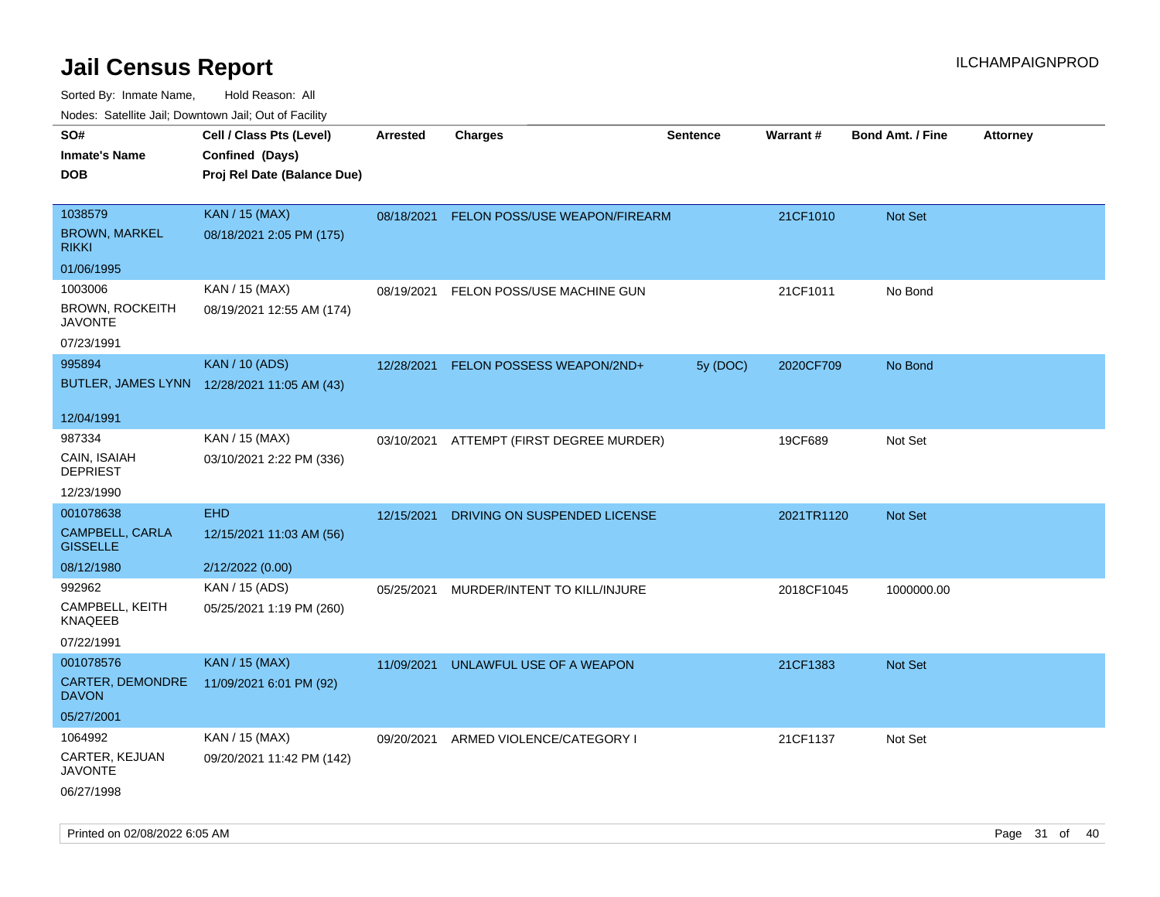| ivouss. Satellite Jali, Downtown Jali, Out of Facility |                                             |                 |                                          |                 |            |                         |                 |
|--------------------------------------------------------|---------------------------------------------|-----------------|------------------------------------------|-----------------|------------|-------------------------|-----------------|
| SO#                                                    | Cell / Class Pts (Level)                    | <b>Arrested</b> | <b>Charges</b>                           | <b>Sentence</b> | Warrant#   | <b>Bond Amt. / Fine</b> | <b>Attorney</b> |
| Inmate's Name                                          | Confined (Days)                             |                 |                                          |                 |            |                         |                 |
| DOB                                                    | Proj Rel Date (Balance Due)                 |                 |                                          |                 |            |                         |                 |
| 1038579                                                |                                             |                 |                                          |                 |            |                         |                 |
|                                                        | <b>KAN / 15 (MAX)</b>                       | 08/18/2021      | FELON POSS/USE WEAPON/FIREARM            |                 | 21CF1010   | Not Set                 |                 |
| <b>BROWN, MARKEL</b><br>RIKKI                          | 08/18/2021 2:05 PM (175)                    |                 |                                          |                 |            |                         |                 |
| 01/06/1995                                             |                                             |                 |                                          |                 |            |                         |                 |
| 1003006                                                | KAN / 15 (MAX)                              | 08/19/2021      | FELON POSS/USE MACHINE GUN               |                 | 21CF1011   | No Bond                 |                 |
| BROWN, ROCKEITH<br>JAVONTE                             | 08/19/2021 12:55 AM (174)                   |                 |                                          |                 |            |                         |                 |
| 07/23/1991                                             |                                             |                 |                                          |                 |            |                         |                 |
| 995894                                                 | <b>KAN / 10 (ADS)</b>                       | 12/28/2021      | <b>FELON POSSESS WEAPON/2ND+</b>         | 5y (DOC)        | 2020CF709  | No Bond                 |                 |
|                                                        | BUTLER, JAMES LYNN 12/28/2021 11:05 AM (43) |                 |                                          |                 |            |                         |                 |
| 12/04/1991                                             |                                             |                 |                                          |                 |            |                         |                 |
| 987334                                                 | KAN / 15 (MAX)                              |                 | 03/10/2021 ATTEMPT (FIRST DEGREE MURDER) |                 | 19CF689    | Not Set                 |                 |
| CAIN, ISAIAH<br>DEPRIEST                               | 03/10/2021 2:22 PM (336)                    |                 |                                          |                 |            |                         |                 |
| 12/23/1990                                             |                                             |                 |                                          |                 |            |                         |                 |
| 001078638                                              | <b>EHD</b>                                  | 12/15/2021      | DRIVING ON SUSPENDED LICENSE             |                 | 2021TR1120 | Not Set                 |                 |
| CAMPBELL, CARLA<br><b>GISSELLE</b>                     | 12/15/2021 11:03 AM (56)                    |                 |                                          |                 |            |                         |                 |
| 08/12/1980                                             | 2/12/2022 (0.00)                            |                 |                                          |                 |            |                         |                 |
| 992962                                                 | KAN / 15 (ADS)                              | 05/25/2021      | MURDER/INTENT TO KILL/INJURE             |                 | 2018CF1045 | 1000000.00              |                 |
| CAMPBELL, KEITH<br>KNAQEEB                             | 05/25/2021 1:19 PM (260)                    |                 |                                          |                 |            |                         |                 |
| 07/22/1991                                             |                                             |                 |                                          |                 |            |                         |                 |
| 001078576                                              | <b>KAN / 15 (MAX)</b>                       | 11/09/2021      | UNLAWFUL USE OF A WEAPON                 |                 | 21CF1383   | <b>Not Set</b>          |                 |
| CARTER, DEMONDRE<br>DAVON                              | 11/09/2021 6:01 PM (92)                     |                 |                                          |                 |            |                         |                 |
| 05/27/2001                                             |                                             |                 |                                          |                 |            |                         |                 |
| 1064992                                                | KAN / 15 (MAX)                              | 09/20/2021      | ARMED VIOLENCE/CATEGORY I                |                 | 21CF1137   | Not Set                 |                 |
| CARTER, KEJUAN<br>JAVONTE                              | 09/20/2021 11:42 PM (142)                   |                 |                                          |                 |            |                         |                 |
| 06/27/1998                                             |                                             |                 |                                          |                 |            |                         |                 |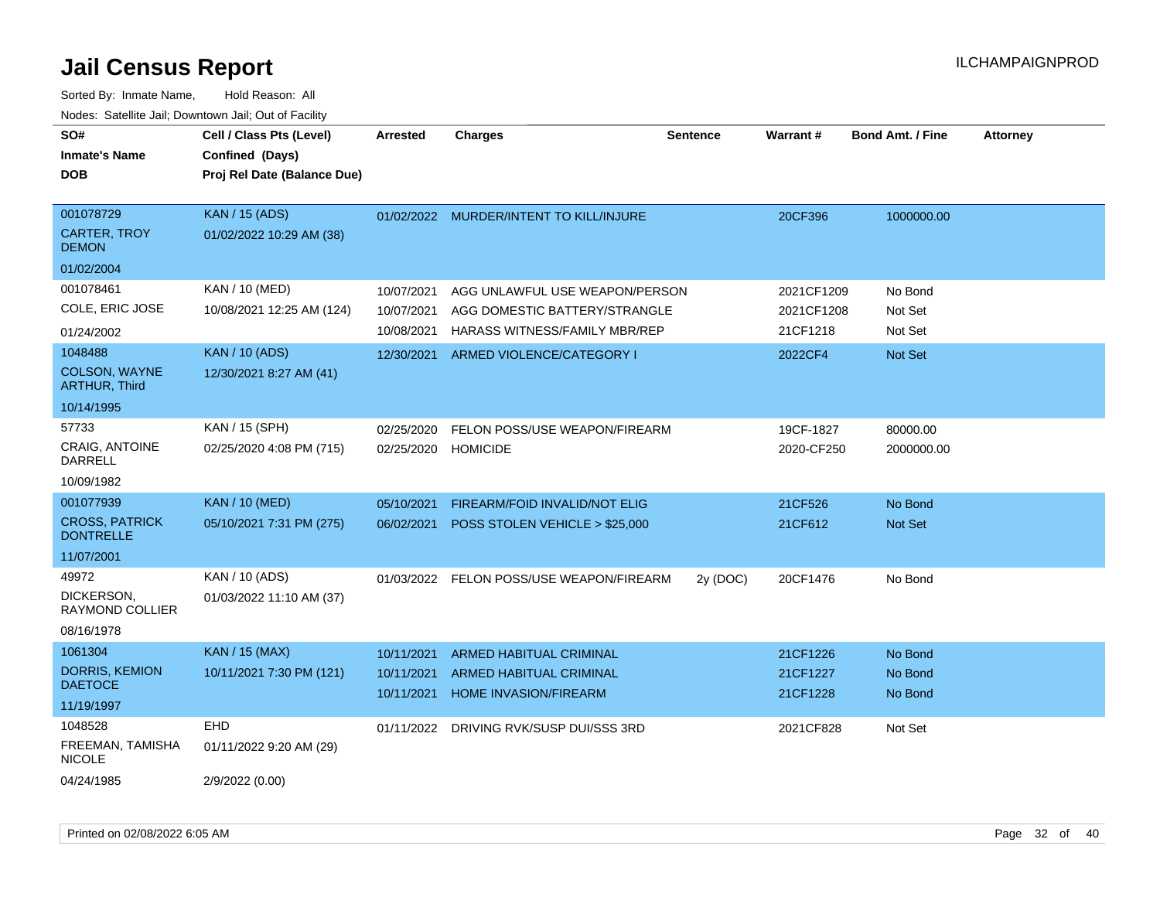| SO#<br><b>Inmate's Name</b><br><b>DOB</b>        | Cell / Class Pts (Level)<br>Confined (Days)<br>Proj Rel Date (Balance Due) | <b>Arrested</b> | <b>Charges</b>                          | <b>Sentence</b> | <b>Warrant#</b> | <b>Bond Amt. / Fine</b> | <b>Attorney</b> |
|--------------------------------------------------|----------------------------------------------------------------------------|-----------------|-----------------------------------------|-----------------|-----------------|-------------------------|-----------------|
| 001078729<br><b>CARTER, TROY</b><br><b>DEMON</b> | <b>KAN / 15 (ADS)</b><br>01/02/2022 10:29 AM (38)                          |                 | 01/02/2022 MURDER/INTENT TO KILL/INJURE |                 | 20CF396         | 1000000.00              |                 |
| 01/02/2004                                       |                                                                            |                 |                                         |                 |                 |                         |                 |
| 001078461                                        | KAN / 10 (MED)                                                             | 10/07/2021      | AGG UNLAWFUL USE WEAPON/PERSON          |                 | 2021CF1209      | No Bond                 |                 |
| COLE, ERIC JOSE                                  | 10/08/2021 12:25 AM (124)                                                  | 10/07/2021      | AGG DOMESTIC BATTERY/STRANGLE           |                 | 2021CF1208      | Not Set                 |                 |
| 01/24/2002                                       |                                                                            | 10/08/2021      | HARASS WITNESS/FAMILY MBR/REP           |                 | 21CF1218        | Not Set                 |                 |
| 1048488                                          | <b>KAN / 10 (ADS)</b>                                                      | 12/30/2021      | ARMED VIOLENCE/CATEGORY I               |                 | 2022CF4         | Not Set                 |                 |
| <b>COLSON, WAYNE</b><br><b>ARTHUR, Third</b>     | 12/30/2021 8:27 AM (41)                                                    |                 |                                         |                 |                 |                         |                 |
| 10/14/1995                                       |                                                                            |                 |                                         |                 |                 |                         |                 |
| 57733                                            | KAN / 15 (SPH)                                                             | 02/25/2020      | FELON POSS/USE WEAPON/FIREARM           |                 | 19CF-1827       | 80000.00                |                 |
| CRAIG, ANTOINE<br><b>DARRELL</b>                 | 02/25/2020 4:08 PM (715)                                                   | 02/25/2020      | <b>HOMICIDE</b>                         |                 | 2020-CF250      | 2000000.00              |                 |
| 10/09/1982                                       |                                                                            |                 |                                         |                 |                 |                         |                 |
| 001077939                                        | <b>KAN / 10 (MED)</b>                                                      | 05/10/2021      | FIREARM/FOID INVALID/NOT ELIG           |                 | 21CF526         | No Bond                 |                 |
| <b>CROSS, PATRICK</b><br><b>DONTRELLE</b>        | 05/10/2021 7:31 PM (275)                                                   | 06/02/2021      | POSS STOLEN VEHICLE > \$25,000          |                 | 21CF612         | Not Set                 |                 |
| 11/07/2001                                       |                                                                            |                 |                                         |                 |                 |                         |                 |
| 49972                                            | KAN / 10 (ADS)                                                             | 01/03/2022      | FELON POSS/USE WEAPON/FIREARM           | 2y (DOC)        | 20CF1476        | No Bond                 |                 |
| DICKERSON,<br><b>RAYMOND COLLIER</b>             | 01/03/2022 11:10 AM (37)                                                   |                 |                                         |                 |                 |                         |                 |
| 08/16/1978                                       |                                                                            |                 |                                         |                 |                 |                         |                 |
| 1061304                                          | <b>KAN / 15 (MAX)</b>                                                      | 10/11/2021      | <b>ARMED HABITUAL CRIMINAL</b>          |                 | 21CF1226        | No Bond                 |                 |
| <b>DORRIS, KEMION</b><br><b>DAETOCE</b>          | 10/11/2021 7:30 PM (121)                                                   | 10/11/2021      | ARMED HABITUAL CRIMINAL                 |                 | 21CF1227        | No Bond                 |                 |
| 11/19/1997                                       |                                                                            | 10/11/2021      | HOME INVASION/FIREARM                   |                 | 21CF1228        | No Bond                 |                 |
| 1048528                                          | <b>EHD</b>                                                                 | 01/11/2022      | DRIVING RVK/SUSP DUI/SSS 3RD            |                 | 2021CF828       | Not Set                 |                 |
| FREEMAN, TAMISHA<br><b>NICOLE</b>                | 01/11/2022 9:20 AM (29)                                                    |                 |                                         |                 |                 |                         |                 |
| 04/24/1985                                       | 2/9/2022 (0.00)                                                            |                 |                                         |                 |                 |                         |                 |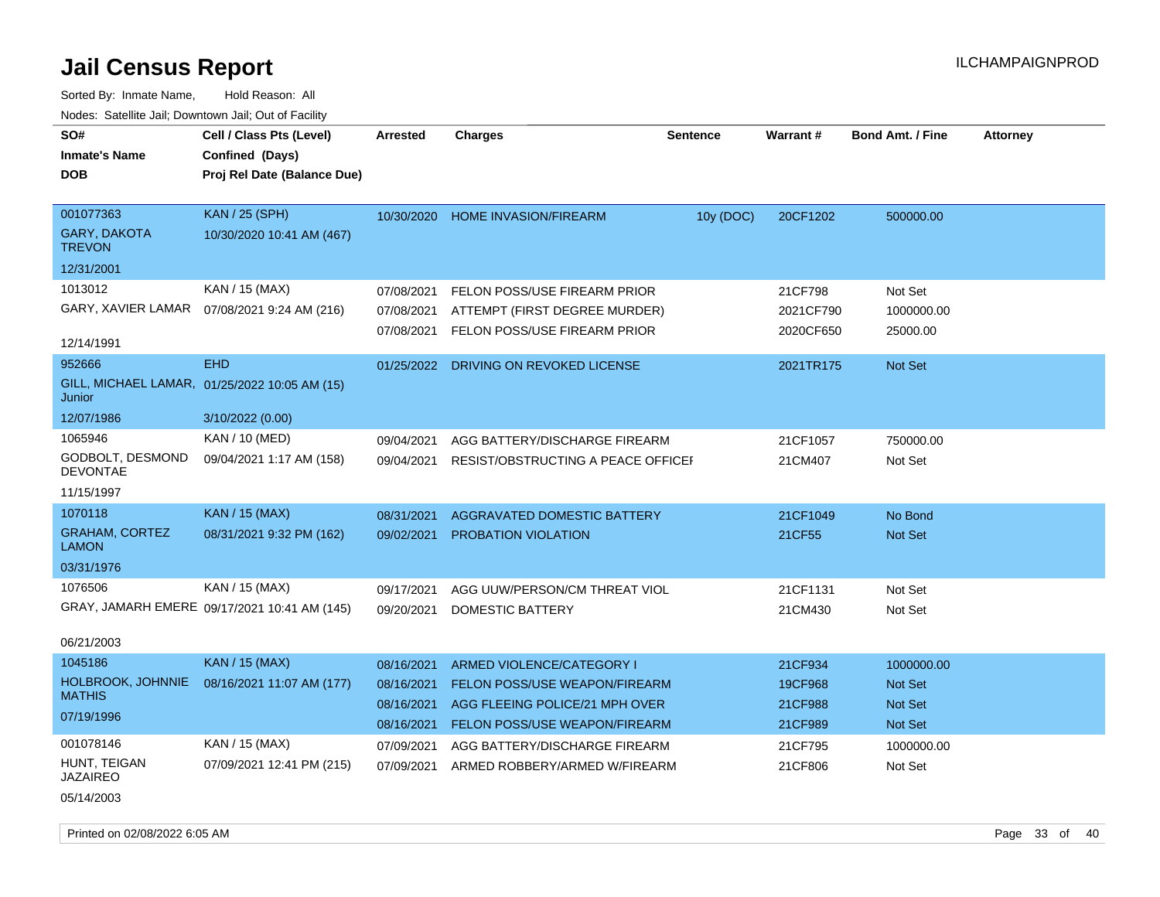| SO#<br><b>Inmate's Name</b><br><b>DOB</b>                                  | Cell / Class Pts (Level)<br>Confined (Days)<br>Proj Rel Date (Balance Due) | <b>Arrested</b>                                      | <b>Charges</b>                                                                                                                | <b>Sentence</b> | <b>Warrant#</b>                          | <b>Bond Amt. / Fine</b>                     | <b>Attorney</b> |
|----------------------------------------------------------------------------|----------------------------------------------------------------------------|------------------------------------------------------|-------------------------------------------------------------------------------------------------------------------------------|-----------------|------------------------------------------|---------------------------------------------|-----------------|
| 001077363<br><b>GARY, DAKOTA</b><br><b>TREVON</b>                          | <b>KAN / 25 (SPH)</b><br>10/30/2020 10:41 AM (467)                         | 10/30/2020                                           | <b>HOME INVASION/FIREARM</b>                                                                                                  | 10y (DOC)       | 20CF1202                                 | 500000.00                                   |                 |
| 12/31/2001<br>1013012<br>GARY, XAVIER LAMAR<br>12/14/1991                  | KAN / 15 (MAX)<br>07/08/2021 9:24 AM (216)                                 | 07/08/2021<br>07/08/2021<br>07/08/2021               | FELON POSS/USE FIREARM PRIOR<br>ATTEMPT (FIRST DEGREE MURDER)<br><b>FELON POSS/USE FIREARM PRIOR</b>                          |                 | 21CF798<br>2021CF790<br>2020CF650        | Not Set<br>1000000.00<br>25000.00           |                 |
| 952666<br>Junior                                                           | <b>EHD</b><br>GILL, MICHAEL LAMAR, 01/25/2022 10:05 AM (15)                | 01/25/2022                                           | DRIVING ON REVOKED LICENSE                                                                                                    |                 | 2021TR175                                | Not Set                                     |                 |
| 12/07/1986<br>1065946<br>GODBOLT, DESMOND<br><b>DEVONTAE</b><br>11/15/1997 | 3/10/2022 (0.00)<br>KAN / 10 (MED)<br>09/04/2021 1:17 AM (158)             | 09/04/2021<br>09/04/2021                             | AGG BATTERY/DISCHARGE FIREARM<br>RESIST/OBSTRUCTING A PEACE OFFICEI                                                           |                 | 21CF1057<br>21CM407                      | 750000.00<br>Not Set                        |                 |
| 1070118<br><b>GRAHAM, CORTEZ</b><br><b>LAMON</b><br>03/31/1976             | <b>KAN / 15 (MAX)</b><br>08/31/2021 9:32 PM (162)                          | 08/31/2021<br>09/02/2021                             | AGGRAVATED DOMESTIC BATTERY<br>PROBATION VIOLATION                                                                            |                 | 21CF1049<br>21CF55                       | No Bond<br>Not Set                          |                 |
| 1076506<br>06/21/2003                                                      | KAN / 15 (MAX)<br>GRAY, JAMARH EMERE 09/17/2021 10:41 AM (145)             | 09/17/2021<br>09/20/2021                             | AGG UUW/PERSON/CM THREAT VIOL<br>DOMESTIC BATTERY                                                                             |                 | 21CF1131<br>21CM430                      | Not Set<br>Not Set                          |                 |
| 1045186<br>HOLBROOK, JOHNNIE<br><b>MATHIS</b><br>07/19/1996                | <b>KAN / 15 (MAX)</b><br>08/16/2021 11:07 AM (177)                         | 08/16/2021<br>08/16/2021<br>08/16/2021<br>08/16/2021 | ARMED VIOLENCE/CATEGORY I<br>FELON POSS/USE WEAPON/FIREARM<br>AGG FLEEING POLICE/21 MPH OVER<br>FELON POSS/USE WEAPON/FIREARM |                 | 21CF934<br>19CF968<br>21CF988<br>21CF989 | 1000000.00<br>Not Set<br>Not Set<br>Not Set |                 |
| 001078146<br>HUNT, TEIGAN<br><b>JAZAIREO</b><br>05/14/2003                 | KAN / 15 (MAX)<br>07/09/2021 12:41 PM (215)                                | 07/09/2021<br>07/09/2021                             | AGG BATTERY/DISCHARGE FIREARM<br>ARMED ROBBERY/ARMED W/FIREARM                                                                |                 | 21CF795<br>21CF806                       | 1000000.00<br>Not Set                       |                 |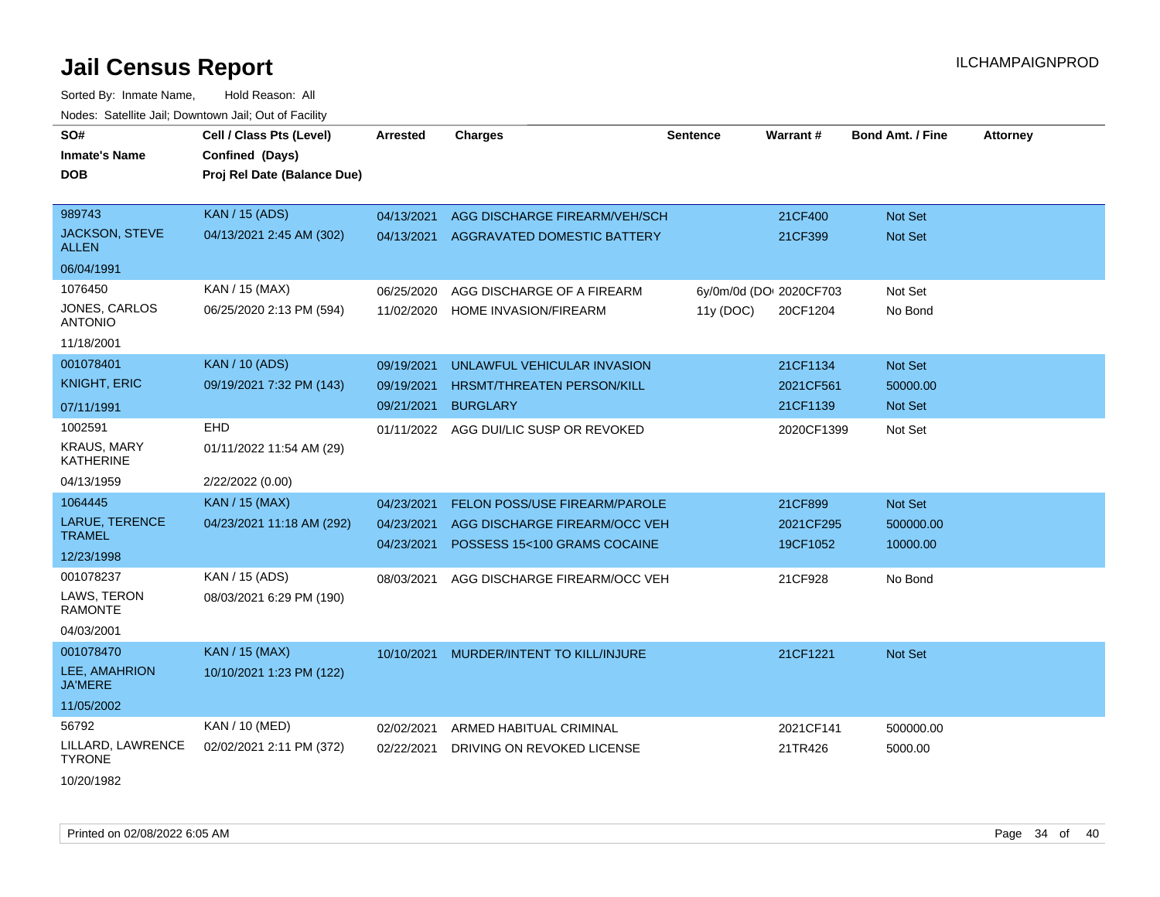| SO#<br><b>Inmate's Name</b><br><b>DOB</b>         | Cell / Class Pts (Level)<br>Confined (Days)<br>Proj Rel Date (Balance Due) | Arrested   | <b>Charges</b>                | <b>Sentence</b> | Warrant#                | <b>Bond Amt. / Fine</b> | <b>Attorney</b> |
|---------------------------------------------------|----------------------------------------------------------------------------|------------|-------------------------------|-----------------|-------------------------|-------------------------|-----------------|
| 989743                                            | <b>KAN / 15 (ADS)</b>                                                      | 04/13/2021 | AGG DISCHARGE FIREARM/VEH/SCH |                 | 21CF400                 | Not Set                 |                 |
| JACKSON, STEVE<br><b>ALLEN</b>                    | 04/13/2021 2:45 AM (302)                                                   | 04/13/2021 | AGGRAVATED DOMESTIC BATTERY   |                 | 21CF399                 | Not Set                 |                 |
| 06/04/1991                                        |                                                                            |            |                               |                 |                         |                         |                 |
| 1076450                                           | KAN / 15 (MAX)                                                             | 06/25/2020 | AGG DISCHARGE OF A FIREARM    |                 | 6y/0m/0d (DO: 2020CF703 | Not Set                 |                 |
| <b>JONES, CARLOS</b><br>ANTONIO                   | 06/25/2020 2:13 PM (594)                                                   | 11/02/2020 | HOME INVASION/FIREARM         | 11y (DOC)       | 20CF1204                | No Bond                 |                 |
| 11/18/2001                                        |                                                                            |            |                               |                 |                         |                         |                 |
| 001078401                                         | <b>KAN / 10 (ADS)</b>                                                      | 09/19/2021 | UNLAWFUL VEHICULAR INVASION   |                 | 21CF1134                | Not Set                 |                 |
| <b>KNIGHT, ERIC</b>                               | 09/19/2021 7:32 PM (143)                                                   | 09/19/2021 | HRSMT/THREATEN PERSON/KILL    |                 | 2021CF561               | 50000.00                |                 |
| 07/11/1991                                        |                                                                            | 09/21/2021 | <b>BURGLARY</b>               |                 | 21CF1139                | Not Set                 |                 |
| 1002591<br><b>KRAUS, MARY</b><br><b>KATHERINE</b> | EHD<br>01/11/2022 11:54 AM (29)                                            | 01/11/2022 | AGG DUI/LIC SUSP OR REVOKED   |                 | 2020CF1399              | Not Set                 |                 |
| 04/13/1959                                        | 2/22/2022 (0.00)                                                           |            |                               |                 |                         |                         |                 |
| 1064445                                           | <b>KAN / 15 (MAX)</b>                                                      | 04/23/2021 | FELON POSS/USE FIREARM/PAROLE |                 | 21CF899                 | Not Set                 |                 |
| LARUE, TERENCE<br><b>TRAMEL</b>                   | 04/23/2021 11:18 AM (292)                                                  | 04/23/2021 | AGG DISCHARGE FIREARM/OCC VEH |                 | 2021CF295               | 500000.00               |                 |
| 12/23/1998                                        |                                                                            | 04/23/2021 | POSSESS 15<100 GRAMS COCAINE  |                 | 19CF1052                | 10000.00                |                 |
| 001078237                                         | KAN / 15 (ADS)                                                             | 08/03/2021 | AGG DISCHARGE FIREARM/OCC VEH |                 | 21CF928                 | No Bond                 |                 |
| LAWS, TERON<br>RAMONTE                            | 08/03/2021 6:29 PM (190)                                                   |            |                               |                 |                         |                         |                 |
| 04/03/2001                                        |                                                                            |            |                               |                 |                         |                         |                 |
| 001078470                                         | <b>KAN / 15 (MAX)</b>                                                      | 10/10/2021 | MURDER/INTENT TO KILL/INJURE  |                 | 21CF1221                | Not Set                 |                 |
| LEE, AMAHRION<br><b>JA'MERE</b>                   | 10/10/2021 1:23 PM (122)                                                   |            |                               |                 |                         |                         |                 |
| 11/05/2002                                        |                                                                            |            |                               |                 |                         |                         |                 |
| 56792                                             | KAN / 10 (MED)                                                             | 02/02/2021 | ARMED HABITUAL CRIMINAL       |                 | 2021CF141               | 500000.00               |                 |
| LILLARD, LAWRENCE<br><b>TYRONE</b>                | 02/02/2021 2:11 PM (372)                                                   | 02/22/2021 | DRIVING ON REVOKED LICENSE    |                 | 21TR426                 | 5000.00                 |                 |
| 10/20/1982                                        |                                                                            |            |                               |                 |                         |                         |                 |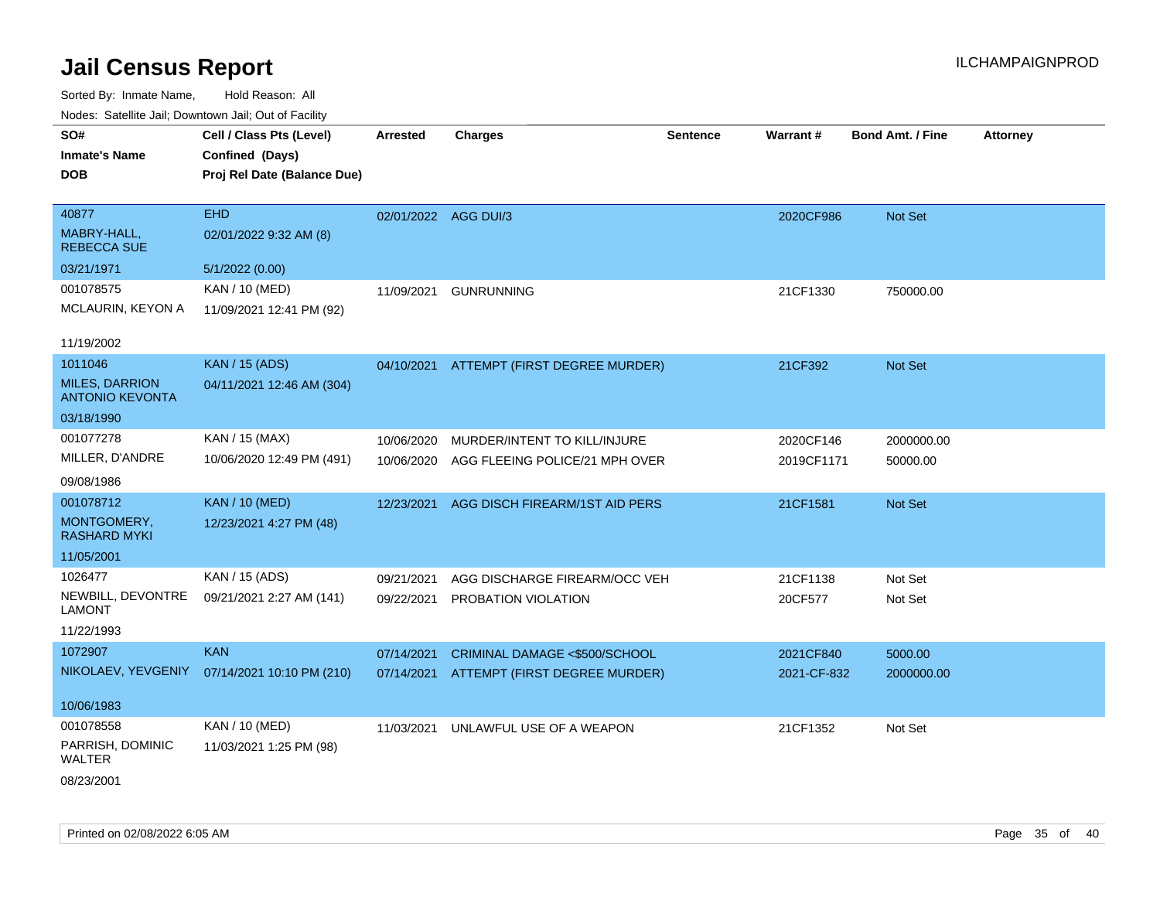| roaco. Catolino cali, Domntonn cali, Out of Facility |                             |                      |                                          |          |             |                         |                 |
|------------------------------------------------------|-----------------------------|----------------------|------------------------------------------|----------|-------------|-------------------------|-----------------|
| SO#                                                  | Cell / Class Pts (Level)    | <b>Arrested</b>      | <b>Charges</b>                           | Sentence | Warrant#    | <b>Bond Amt. / Fine</b> | <b>Attorney</b> |
| <b>Inmate's Name</b>                                 | Confined (Days)             |                      |                                          |          |             |                         |                 |
| <b>DOB</b>                                           | Proj Rel Date (Balance Due) |                      |                                          |          |             |                         |                 |
|                                                      |                             |                      |                                          |          |             |                         |                 |
| 40877                                                | <b>EHD</b>                  | 02/01/2022 AGG DUI/3 |                                          |          | 2020CF986   | Not Set                 |                 |
| MABRY-HALL,<br><b>REBECCA SUE</b>                    | 02/01/2022 9:32 AM (8)      |                      |                                          |          |             |                         |                 |
| 03/21/1971                                           | 5/1/2022 (0.00)             |                      |                                          |          |             |                         |                 |
| 001078575                                            | KAN / 10 (MED)              | 11/09/2021           | <b>GUNRUNNING</b>                        |          | 21CF1330    | 750000.00               |                 |
| MCLAURIN, KEYON A                                    | 11/09/2021 12:41 PM (92)    |                      |                                          |          |             |                         |                 |
| 11/19/2002                                           |                             |                      |                                          |          |             |                         |                 |
| 1011046                                              | <b>KAN / 15 (ADS)</b>       |                      | 04/10/2021 ATTEMPT (FIRST DEGREE MURDER) |          | 21CF392     | Not Set                 |                 |
| <b>MILES, DARRION</b><br><b>ANTONIO KEVONTA</b>      | 04/11/2021 12:46 AM (304)   |                      |                                          |          |             |                         |                 |
| 03/18/1990                                           |                             |                      |                                          |          |             |                         |                 |
| 001077278                                            | KAN / 15 (MAX)              | 10/06/2020           | MURDER/INTENT TO KILL/INJURE             |          | 2020CF146   | 2000000.00              |                 |
| MILLER, D'ANDRE                                      | 10/06/2020 12:49 PM (491)   | 10/06/2020           | AGG FLEEING POLICE/21 MPH OVER           |          | 2019CF1171  | 50000.00                |                 |
| 09/08/1986                                           |                             |                      |                                          |          |             |                         |                 |
| 001078712                                            | <b>KAN / 10 (MED)</b>       | 12/23/2021           | AGG DISCH FIREARM/1ST AID PERS           |          | 21CF1581    | Not Set                 |                 |
| MONTGOMERY,<br><b>RASHARD MYKI</b>                   | 12/23/2021 4:27 PM (48)     |                      |                                          |          |             |                         |                 |
| 11/05/2001                                           |                             |                      |                                          |          |             |                         |                 |
| 1026477                                              | KAN / 15 (ADS)              | 09/21/2021           | AGG DISCHARGE FIREARM/OCC VEH            |          | 21CF1138    | Not Set                 |                 |
| NEWBILL, DEVONTRE<br><b>LAMONT</b>                   | 09/21/2021 2:27 AM (141)    | 09/22/2021           | PROBATION VIOLATION                      |          | 20CF577     | Not Set                 |                 |
| 11/22/1993                                           |                             |                      |                                          |          |             |                         |                 |
| 1072907                                              | <b>KAN</b>                  | 07/14/2021           | CRIMINAL DAMAGE <\$500/SCHOOL            |          | 2021CF840   | 5000.00                 |                 |
| NIKOLAEV, YEVGENIY                                   | 07/14/2021 10:10 PM (210)   |                      | 07/14/2021 ATTEMPT (FIRST DEGREE MURDER) |          | 2021-CF-832 | 2000000.00              |                 |
| 10/06/1983                                           |                             |                      |                                          |          |             |                         |                 |
| 001078558                                            | KAN / 10 (MED)              | 11/03/2021           | UNLAWFUL USE OF A WEAPON                 |          | 21CF1352    | Not Set                 |                 |
| PARRISH, DOMINIC<br><b>WALTER</b>                    | 11/03/2021 1:25 PM (98)     |                      |                                          |          |             |                         |                 |
| 08/23/2001                                           |                             |                      |                                          |          |             |                         |                 |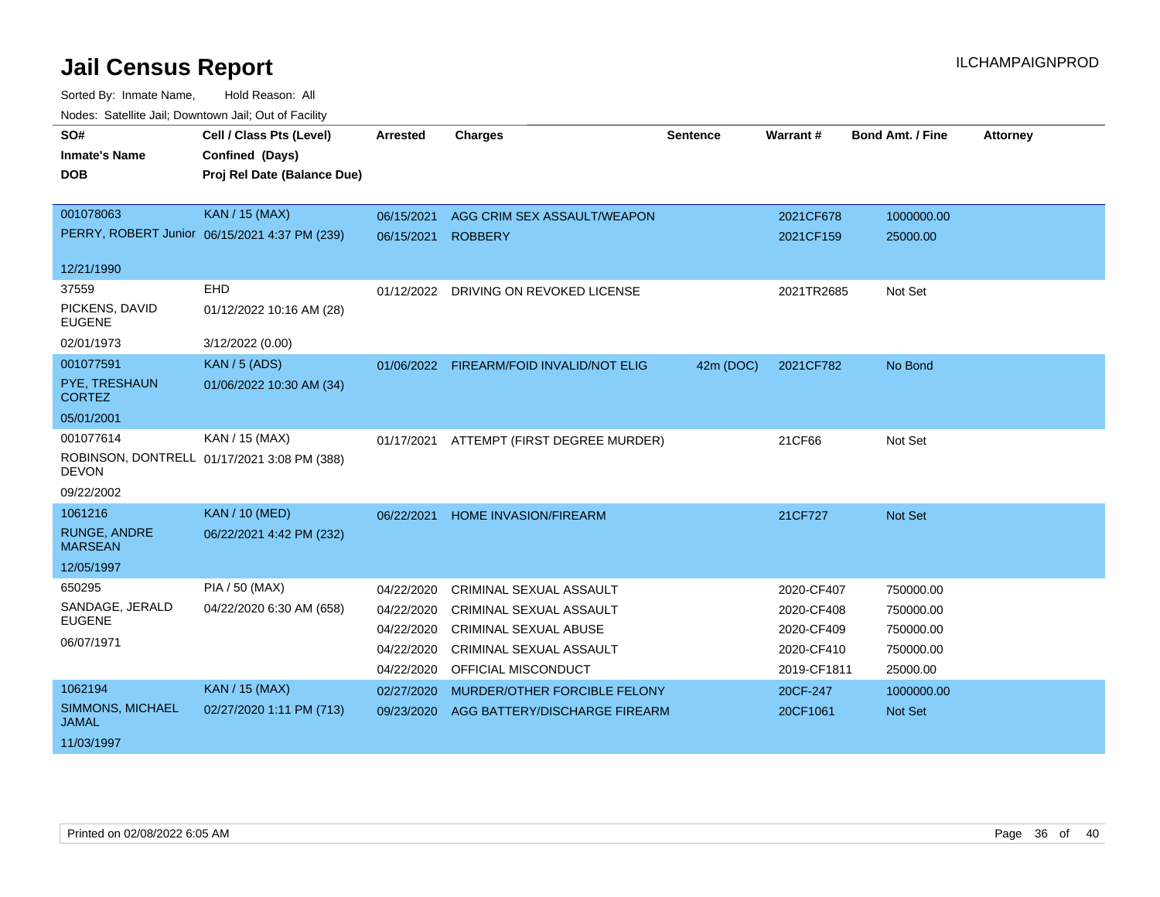| SO#                                   | Cell / Class Pts (Level)                      | <b>Arrested</b> | <b>Charges</b>                           | Sentence  | Warrant#    | <b>Bond Amt. / Fine</b> | <b>Attorney</b> |
|---------------------------------------|-----------------------------------------------|-----------------|------------------------------------------|-----------|-------------|-------------------------|-----------------|
| <b>Inmate's Name</b>                  | Confined (Days)                               |                 |                                          |           |             |                         |                 |
| <b>DOB</b>                            | Proj Rel Date (Balance Due)                   |                 |                                          |           |             |                         |                 |
|                                       |                                               |                 |                                          |           |             |                         |                 |
| 001078063                             | <b>KAN / 15 (MAX)</b>                         | 06/15/2021      | AGG CRIM SEX ASSAULT/WEAPON              |           | 2021CF678   | 1000000.00              |                 |
|                                       | PERRY, ROBERT Junior 06/15/2021 4:37 PM (239) | 06/15/2021      | <b>ROBBERY</b>                           |           | 2021CF159   | 25000.00                |                 |
|                                       |                                               |                 |                                          |           |             |                         |                 |
| 12/21/1990                            |                                               |                 |                                          |           |             |                         |                 |
| 37559                                 | <b>EHD</b>                                    | 01/12/2022      | DRIVING ON REVOKED LICENSE               |           | 2021TR2685  | Not Set                 |                 |
| PICKENS, DAVID<br><b>EUGENE</b>       | 01/12/2022 10:16 AM (28)                      |                 |                                          |           |             |                         |                 |
| 02/01/1973                            | 3/12/2022 (0.00)                              |                 |                                          |           |             |                         |                 |
| 001077591                             | <b>KAN / 5 (ADS)</b>                          |                 | 01/06/2022 FIREARM/FOID INVALID/NOT ELIG | 42m (DOC) | 2021CF782   | No Bond                 |                 |
| PYE, TRESHAUN<br><b>CORTEZ</b>        | 01/06/2022 10:30 AM (34)                      |                 |                                          |           |             |                         |                 |
| 05/01/2001                            |                                               |                 |                                          |           |             |                         |                 |
| 001077614                             | KAN / 15 (MAX)                                | 01/17/2021      | ATTEMPT (FIRST DEGREE MURDER)            |           | 21CF66      | Not Set                 |                 |
| <b>DEVON</b>                          | ROBINSON, DONTRELL 01/17/2021 3:08 PM (388)   |                 |                                          |           |             |                         |                 |
| 09/22/2002                            |                                               |                 |                                          |           |             |                         |                 |
| 1061216                               | <b>KAN / 10 (MED)</b>                         | 06/22/2021      | <b>HOME INVASION/FIREARM</b>             |           | 21CF727     | <b>Not Set</b>          |                 |
| <b>RUNGE, ANDRE</b><br><b>MARSEAN</b> | 06/22/2021 4:42 PM (232)                      |                 |                                          |           |             |                         |                 |
| 12/05/1997                            |                                               |                 |                                          |           |             |                         |                 |
| 650295                                | <b>PIA / 50 (MAX)</b>                         | 04/22/2020      | <b>CRIMINAL SEXUAL ASSAULT</b>           |           | 2020-CF407  | 750000.00               |                 |
| SANDAGE, JERALD                       | 04/22/2020 6:30 AM (658)                      | 04/22/2020      | <b>CRIMINAL SEXUAL ASSAULT</b>           |           | 2020-CF408  | 750000.00               |                 |
| <b>EUGENE</b>                         |                                               | 04/22/2020      | CRIMINAL SEXUAL ABUSE                    |           | 2020-CF409  | 750000.00               |                 |
| 06/07/1971                            |                                               | 04/22/2020      | CRIMINAL SEXUAL ASSAULT                  |           | 2020-CF410  | 750000.00               |                 |
|                                       |                                               | 04/22/2020      | OFFICIAL MISCONDUCT                      |           | 2019-CF1811 | 25000.00                |                 |
| 1062194                               | <b>KAN / 15 (MAX)</b>                         | 02/27/2020      | MURDER/OTHER FORCIBLE FELONY             |           | 20CF-247    | 1000000.00              |                 |
| SIMMONS, MICHAEL<br><b>JAMAL</b>      | 02/27/2020 1:11 PM (713)                      | 09/23/2020      | AGG BATTERY/DISCHARGE FIREARM            |           | 20CF1061    | <b>Not Set</b>          |                 |
| 11/03/1997                            |                                               |                 |                                          |           |             |                         |                 |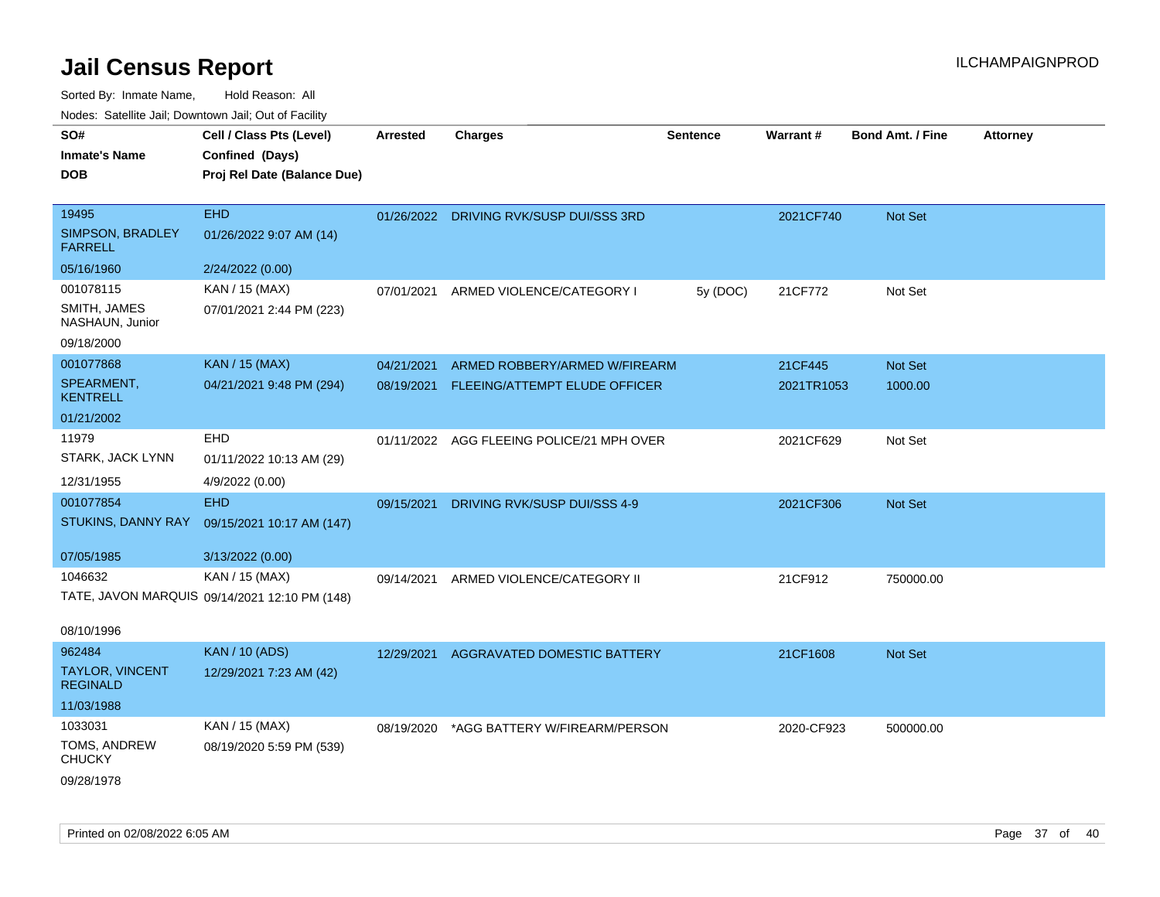| SO#                                | Cell / Class Pts (Level)                      | <b>Arrested</b> | <b>Charges</b>                            | <b>Sentence</b> | Warrant#   | <b>Bond Amt. / Fine</b> | <b>Attorney</b> |
|------------------------------------|-----------------------------------------------|-----------------|-------------------------------------------|-----------------|------------|-------------------------|-----------------|
| <b>Inmate's Name</b>               | Confined (Days)                               |                 |                                           |                 |            |                         |                 |
| <b>DOB</b>                         | Proj Rel Date (Balance Due)                   |                 |                                           |                 |            |                         |                 |
|                                    |                                               |                 |                                           |                 |            |                         |                 |
| 19495                              | <b>EHD</b>                                    |                 | 01/26/2022 DRIVING RVK/SUSP DUI/SSS 3RD   |                 | 2021CF740  | Not Set                 |                 |
| SIMPSON, BRADLEY<br><b>FARRELL</b> | 01/26/2022 9:07 AM (14)                       |                 |                                           |                 |            |                         |                 |
| 05/16/1960                         | 2/24/2022 (0.00)                              |                 |                                           |                 |            |                         |                 |
| 001078115                          | KAN / 15 (MAX)                                | 07/01/2021      | ARMED VIOLENCE/CATEGORY I                 | 5y (DOC)        | 21CF772    | Not Set                 |                 |
| SMITH, JAMES<br>NASHAUN, Junior    | 07/01/2021 2:44 PM (223)                      |                 |                                           |                 |            |                         |                 |
| 09/18/2000                         |                                               |                 |                                           |                 |            |                         |                 |
| 001077868                          | <b>KAN / 15 (MAX)</b>                         | 04/21/2021      | ARMED ROBBERY/ARMED W/FIREARM             |                 | 21CF445    | Not Set                 |                 |
| SPEARMENT,<br><b>KENTRELL</b>      | 04/21/2021 9:48 PM (294)                      | 08/19/2021      | FLEEING/ATTEMPT ELUDE OFFICER             |                 | 2021TR1053 | 1000.00                 |                 |
| 01/21/2002                         |                                               |                 |                                           |                 |            |                         |                 |
| 11979                              | EHD                                           |                 | 01/11/2022 AGG FLEEING POLICE/21 MPH OVER |                 | 2021CF629  | Not Set                 |                 |
| STARK, JACK LYNN                   | 01/11/2022 10:13 AM (29)                      |                 |                                           |                 |            |                         |                 |
| 12/31/1955                         | 4/9/2022 (0.00)                               |                 |                                           |                 |            |                         |                 |
| 001077854                          | <b>EHD</b>                                    | 09/15/2021      | DRIVING RVK/SUSP DUI/SSS 4-9              |                 | 2021CF306  | Not Set                 |                 |
| STUKINS, DANNY RAY                 | 09/15/2021 10:17 AM (147)                     |                 |                                           |                 |            |                         |                 |
|                                    |                                               |                 |                                           |                 |            |                         |                 |
| 07/05/1985                         | 3/13/2022 (0.00)                              |                 |                                           |                 |            |                         |                 |
| 1046632                            | KAN / 15 (MAX)                                | 09/14/2021      | ARMED VIOLENCE/CATEGORY II                |                 | 21CF912    | 750000.00               |                 |
|                                    | TATE, JAVON MARQUIS 09/14/2021 12:10 PM (148) |                 |                                           |                 |            |                         |                 |
| 08/10/1996                         |                                               |                 |                                           |                 |            |                         |                 |
| 962484                             | <b>KAN / 10 (ADS)</b>                         | 12/29/2021      | AGGRAVATED DOMESTIC BATTERY               |                 | 21CF1608   | Not Set                 |                 |
| TAYLOR, VINCENT<br><b>REGINALD</b> | 12/29/2021 7:23 AM (42)                       |                 |                                           |                 |            |                         |                 |
| 11/03/1988                         |                                               |                 |                                           |                 |            |                         |                 |
| 1033031                            | KAN / 15 (MAX)                                | 08/19/2020      | *AGG BATTERY W/FIREARM/PERSON             |                 | 2020-CF923 | 500000.00               |                 |
| TOMS, ANDREW<br><b>CHUCKY</b>      | 08/19/2020 5:59 PM (539)                      |                 |                                           |                 |            |                         |                 |
| 09/28/1978                         |                                               |                 |                                           |                 |            |                         |                 |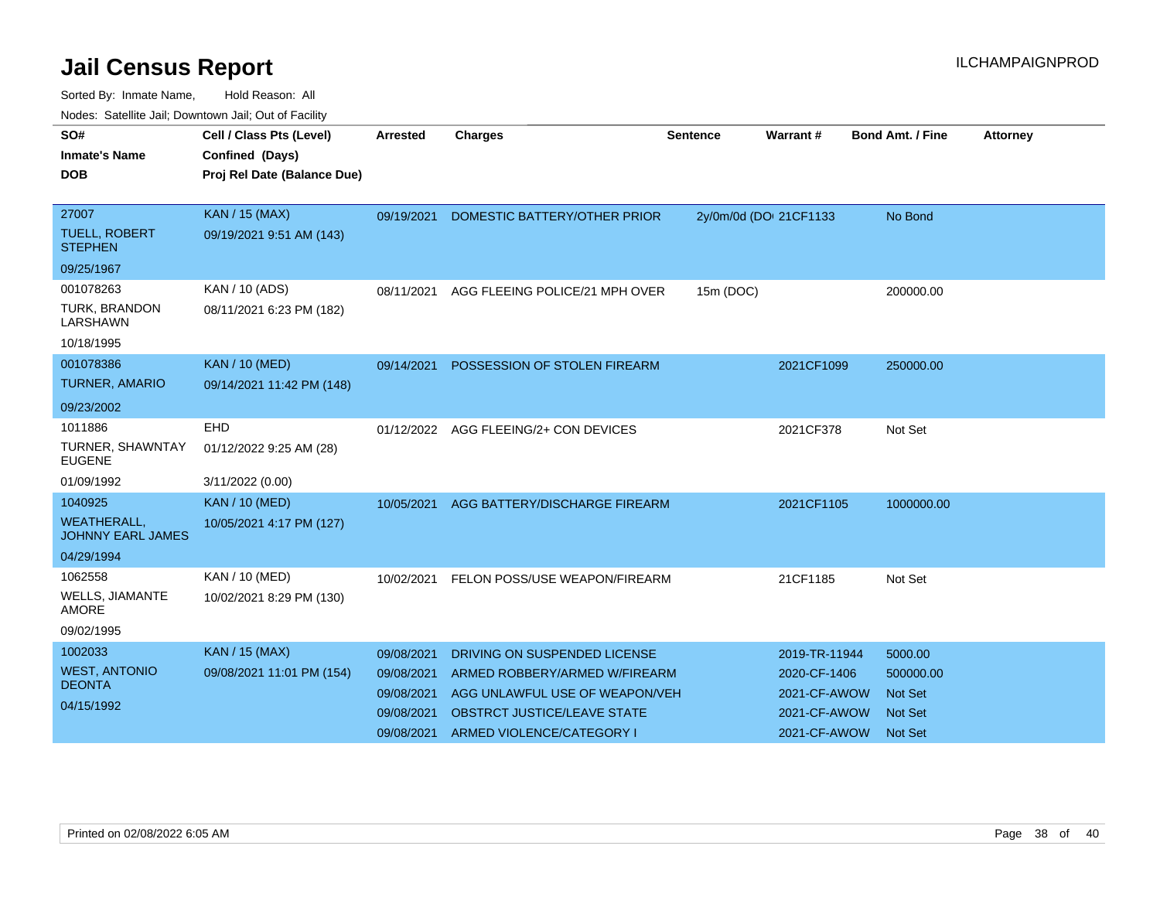| nouco. Catolino can, Downtown can, Out of Facility |                             |                 |                                         |                 |                        |                         |                 |
|----------------------------------------------------|-----------------------------|-----------------|-----------------------------------------|-----------------|------------------------|-------------------------|-----------------|
| SO#                                                | Cell / Class Pts (Level)    | <b>Arrested</b> | <b>Charges</b>                          | <b>Sentence</b> | <b>Warrant#</b>        | <b>Bond Amt. / Fine</b> | <b>Attorney</b> |
| <b>Inmate's Name</b>                               | Confined (Days)             |                 |                                         |                 |                        |                         |                 |
| DOB                                                | Proj Rel Date (Balance Due) |                 |                                         |                 |                        |                         |                 |
|                                                    |                             |                 |                                         |                 |                        |                         |                 |
| 27007                                              | <b>KAN / 15 (MAX)</b>       |                 | 09/19/2021 DOMESTIC BATTERY/OTHER PRIOR |                 | 2y/0m/0d (DOI 21CF1133 | No Bond                 |                 |
| <b>TUELL, ROBERT</b><br><b>STEPHEN</b>             | 09/19/2021 9:51 AM (143)    |                 |                                         |                 |                        |                         |                 |
| 09/25/1967                                         |                             |                 |                                         |                 |                        |                         |                 |
| 001078263                                          | KAN / 10 (ADS)              | 08/11/2021      | AGG FLEEING POLICE/21 MPH OVER          | 15m (DOC)       |                        | 200000.00               |                 |
| <b>TURK, BRANDON</b><br><b>LARSHAWN</b>            | 08/11/2021 6:23 PM (182)    |                 |                                         |                 |                        |                         |                 |
| 10/18/1995                                         |                             |                 |                                         |                 |                        |                         |                 |
| 001078386                                          | <b>KAN / 10 (MED)</b>       | 09/14/2021      | POSSESSION OF STOLEN FIREARM            |                 | 2021CF1099             | 250000.00               |                 |
| <b>TURNER, AMARIO</b>                              | 09/14/2021 11:42 PM (148)   |                 |                                         |                 |                        |                         |                 |
| 09/23/2002                                         |                             |                 |                                         |                 |                        |                         |                 |
| 1011886                                            | EHD                         |                 | 01/12/2022 AGG FLEEING/2+ CON DEVICES   |                 | 2021CF378              | Not Set                 |                 |
| TURNER, SHAWNTAY<br><b>EUGENE</b>                  | 01/12/2022 9:25 AM (28)     |                 |                                         |                 |                        |                         |                 |
| 01/09/1992                                         | 3/11/2022 (0.00)            |                 |                                         |                 |                        |                         |                 |
| 1040925                                            | <b>KAN / 10 (MED)</b>       | 10/05/2021      | AGG BATTERY/DISCHARGE FIREARM           |                 | 2021CF1105             | 1000000.00              |                 |
| <b>WEATHERALL,</b><br><b>JOHNNY EARL JAMES</b>     | 10/05/2021 4:17 PM (127)    |                 |                                         |                 |                        |                         |                 |
| 04/29/1994                                         |                             |                 |                                         |                 |                        |                         |                 |
| 1062558                                            | KAN / 10 (MED)              | 10/02/2021      | FELON POSS/USE WEAPON/FIREARM           |                 | 21CF1185               | Not Set                 |                 |
| <b>WELLS, JIAMANTE</b><br><b>AMORE</b>             | 10/02/2021 8:29 PM (130)    |                 |                                         |                 |                        |                         |                 |
| 09/02/1995                                         |                             |                 |                                         |                 |                        |                         |                 |
| 1002033                                            | <b>KAN / 15 (MAX)</b>       | 09/08/2021      | DRIVING ON SUSPENDED LICENSE            |                 | 2019-TR-11944          | 5000.00                 |                 |
| <b>WEST, ANTONIO</b>                               | 09/08/2021 11:01 PM (154)   | 09/08/2021      | ARMED ROBBERY/ARMED W/FIREARM           |                 | 2020-CF-1406           | 500000.00               |                 |
| <b>DEONTA</b>                                      |                             | 09/08/2021      | AGG UNLAWFUL USE OF WEAPON/VEH          |                 | 2021-CF-AWOW           | <b>Not Set</b>          |                 |
| 04/15/1992                                         |                             | 09/08/2021      | <b>OBSTRCT JUSTICE/LEAVE STATE</b>      |                 | 2021-CF-AWOW           | <b>Not Set</b>          |                 |
|                                                    |                             | 09/08/2021      | ARMED VIOLENCE/CATEGORY I               |                 | 2021-CF-AWOW           | <b>Not Set</b>          |                 |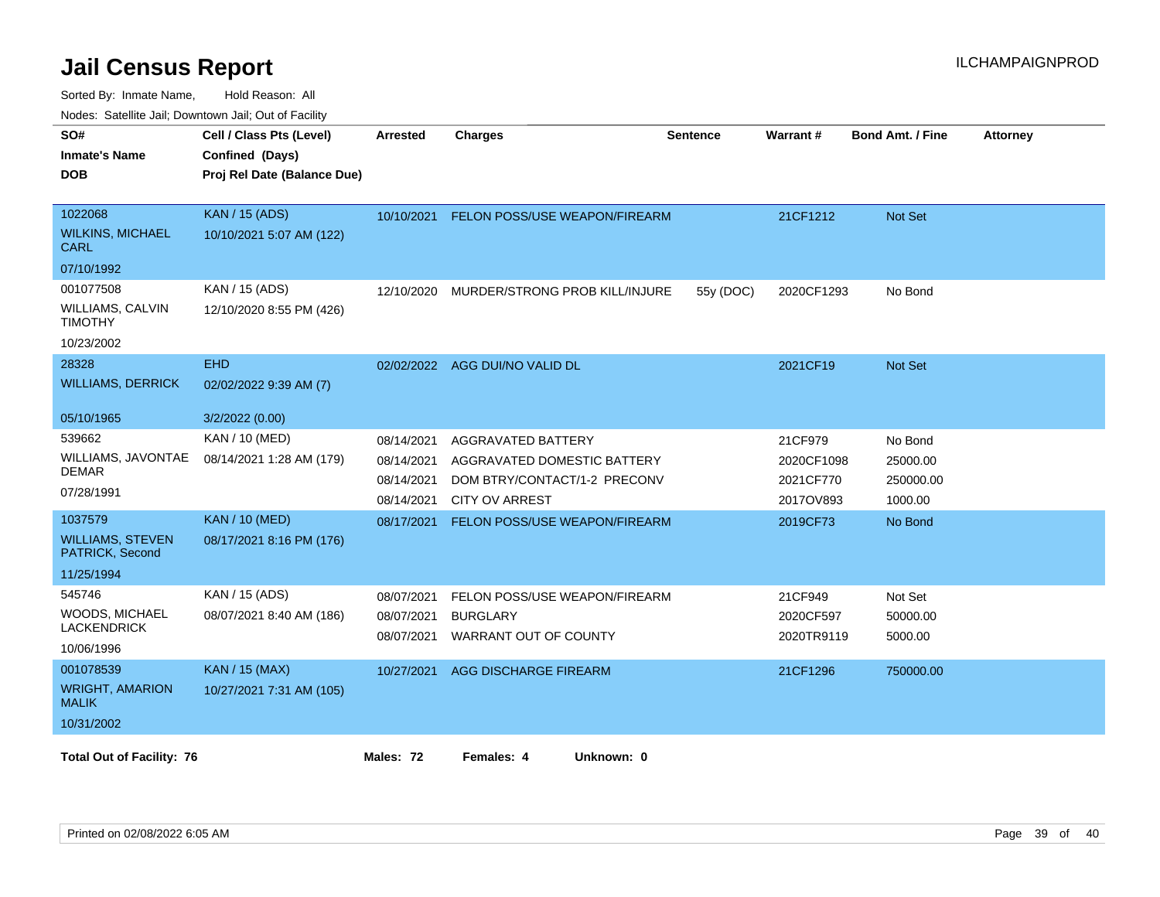| SO#<br><b>Inmate's Name</b>                | Cell / Class Pts (Level)<br>Confined (Days) | <b>Arrested</b> | <b>Charges</b>                 | <b>Sentence</b> | Warrant#   | <b>Bond Amt. / Fine</b> | <b>Attorney</b> |
|--------------------------------------------|---------------------------------------------|-----------------|--------------------------------|-----------------|------------|-------------------------|-----------------|
| <b>DOB</b>                                 | Proj Rel Date (Balance Due)                 |                 |                                |                 |            |                         |                 |
| 1022068                                    | KAN / 15 (ADS)                              | 10/10/2021      | FELON POSS/USE WEAPON/FIREARM  |                 | 21CF1212   | <b>Not Set</b>          |                 |
| <b>WILKINS, MICHAEL</b><br><b>CARL</b>     | 10/10/2021 5:07 AM (122)                    |                 |                                |                 |            |                         |                 |
| 07/10/1992                                 |                                             |                 |                                |                 |            |                         |                 |
| 001077508                                  | KAN / 15 (ADS)                              | 12/10/2020      | MURDER/STRONG PROB KILL/INJURE | 55y (DOC)       | 2020CF1293 | No Bond                 |                 |
| <b>WILLIAMS, CALVIN</b><br><b>TIMOTHY</b>  | 12/10/2020 8:55 PM (426)                    |                 |                                |                 |            |                         |                 |
| 10/23/2002                                 |                                             |                 |                                |                 |            |                         |                 |
| 28328                                      | <b>EHD</b>                                  | 02/02/2022      | AGG DUI/NO VALID DL            |                 | 2021CF19   | <b>Not Set</b>          |                 |
| <b>WILLIAMS, DERRICK</b>                   | 02/02/2022 9:39 AM (7)                      |                 |                                |                 |            |                         |                 |
| 05/10/1965                                 | 3/2/2022 (0.00)                             |                 |                                |                 |            |                         |                 |
| 539662                                     | KAN / 10 (MED)                              | 08/14/2021      | AGGRAVATED BATTERY             |                 | 21CF979    | No Bond                 |                 |
| WILLIAMS, JAVONTAE                         | 08/14/2021 1:28 AM (179)                    | 08/14/2021      | AGGRAVATED DOMESTIC BATTERY    |                 | 2020CF1098 | 25000.00                |                 |
| DEMAR                                      |                                             | 08/14/2021      | DOM BTRY/CONTACT/1-2 PRECONV   |                 | 2021CF770  | 250000.00               |                 |
| 07/28/1991                                 |                                             | 08/14/2021      | <b>CITY OV ARREST</b>          |                 | 2017OV893  | 1000.00                 |                 |
| 1037579                                    | <b>KAN / 10 (MED)</b>                       | 08/17/2021      | FELON POSS/USE WEAPON/FIREARM  |                 | 2019CF73   | No Bond                 |                 |
| <b>WILLIAMS, STEVEN</b><br>PATRICK, Second | 08/17/2021 8:16 PM (176)                    |                 |                                |                 |            |                         |                 |
| 11/25/1994                                 |                                             |                 |                                |                 |            |                         |                 |
| 545746                                     | KAN / 15 (ADS)                              | 08/07/2021      | FELON POSS/USE WEAPON/FIREARM  |                 | 21CF949    | Not Set                 |                 |
| WOODS, MICHAEL<br><b>LACKENDRICK</b>       | 08/07/2021 8:40 AM (186)                    | 08/07/2021      | <b>BURGLARY</b>                |                 | 2020CF597  | 50000.00                |                 |
|                                            |                                             | 08/07/2021      | WARRANT OUT OF COUNTY          |                 | 2020TR9119 | 5000.00                 |                 |
| 10/06/1996                                 |                                             |                 |                                |                 |            |                         |                 |
| 001078539                                  | <b>KAN / 15 (MAX)</b>                       | 10/27/2021      | AGG DISCHARGE FIREARM          |                 | 21CF1296   | 750000.00               |                 |
| <b>WRIGHT, AMARION</b><br><b>MALIK</b>     | 10/27/2021 7:31 AM (105)                    |                 |                                |                 |            |                         |                 |
| 10/31/2002                                 |                                             |                 |                                |                 |            |                         |                 |
| <b>Total Out of Facility: 76</b>           |                                             | Males: 72       | Females: 4<br>Unknown: 0       |                 |            |                         |                 |